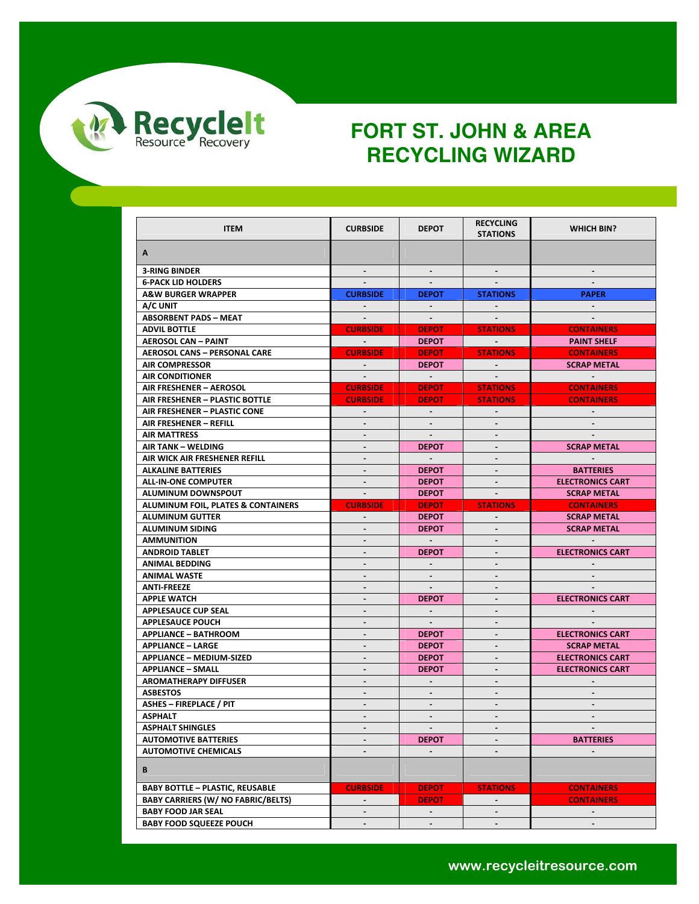

| <b>ITEM</b>                                                 | <b>CURBSIDE</b>              | <b>DEPOT</b>     | <b>RECYCLING</b><br><b>STATIONS</b> | <b>WHICH BIN?</b>       |
|-------------------------------------------------------------|------------------------------|------------------|-------------------------------------|-------------------------|
|                                                             |                              |                  |                                     |                         |
| A                                                           |                              |                  |                                     |                         |
| <b>3-RING BINDER</b>                                        | $\sim$                       | $\sim$           |                                     |                         |
| <b>6-PACK LID HOLDERS</b>                                   |                              |                  |                                     |                         |
| <b>A&amp;W BURGER WRAPPER</b>                               | <b>CURBSIDE</b>              | <b>DEPOT</b>     | <b>STATIONS</b>                     | <b>PAPER</b>            |
| A/C UNIT                                                    |                              | $\sim$ 100 $\mu$ |                                     | $\sim$                  |
| <b>ABSORBENT PADS - MEAT</b>                                | $\sim 100$                   | $\sim 100$       |                                     |                         |
| <b>ADVIL BOTTLE</b>                                         | <b>CURBSIDE</b>              | <b>DEPOT</b>     | <b>STATIONS</b>                     | <b>CONTAINERS</b>       |
| <b>AEROSOL CAN - PAINT</b>                                  | <b>Contractor</b>            | <b>DEPOT</b>     | <b>Contract Contract</b>            | <b>PAINT SHELF</b>      |
| <b>AEROSOL CANS - PERSONAL CARE</b>                         | <b>CURBSIDE</b>              | <b>DEPOT</b>     | <b>STATIONS</b>                     | <b>CONTAINERS</b>       |
| <b>AIR COMPRESSOR</b>                                       | $\sim$ 10 $\pm$              | <b>DEPOT</b>     |                                     | <b>SCRAP METAL</b>      |
| <b>AIR CONDITIONER</b>                                      |                              | $\sim 100$       |                                     |                         |
| AIR FRESHENER - AEROSOL                                     | <b>CURBSIDE</b>              | <b>DEPOT</b>     | <b>STATIONS</b>                     | <b>CONTAINERS</b>       |
| AIR FRESHENER - PLASTIC BOTTLE                              | <b>CURBSIDE</b>              | <b>DEPOT</b>     | <b>STATIONS</b>                     | <b>CONTAINERS</b>       |
| AIR FRESHENER - PLASTIC CONE                                | $\sim$                       | $\sim$           |                                     |                         |
| AIR FRESHENER - REFILL                                      | $\blacksquare$               | $\sim$           |                                     |                         |
| <b>AIR MATTRESS</b>                                         | $\blacksquare$               | $\sim$           | $\blacksquare$                      |                         |
| AIR TANK - WELDING                                          | $\blacksquare$               | <b>DEPOT</b>     |                                     | <b>SCRAP METAL</b>      |
| AIR WICK AIR FRESHENER REFILL                               |                              |                  |                                     |                         |
| <b>ALKALINE BATTERIES</b>                                   | $\sim$                       | <b>DEPOT</b>     | $\sim$                              | <b>BATTERIES</b>        |
| <b>ALL-IN-ONE COMPUTER</b>                                  | $\sim$                       | <b>DEPOT</b>     |                                     | <b>ELECTRONICS CART</b> |
| ALUMINUM DOWNSPOUT                                          | $\sim$                       | <b>DEPOT</b>     |                                     | <b>SCRAP METAL</b>      |
| ALUMINUM FOIL, PLATES & CONTAINERS                          | <b>CURBSIDE</b>              | <b>DEPOT</b>     | <b>STATIONS</b>                     | <b>CONTAINERS</b>       |
| <b>ALUMINUM GUTTER</b>                                      | $\sim$                       | <b>DEPOT</b>     |                                     | <b>SCRAP METAL</b>      |
|                                                             |                              |                  |                                     |                         |
|                                                             |                              |                  |                                     |                         |
| <b>ALUMINUM SIDING</b>                                      | $\blacksquare$               | <b>DEPOT</b>     |                                     | <b>SCRAP METAL</b>      |
| <b>AMMUNITION</b>                                           |                              |                  |                                     |                         |
| <b>ANDROID TABLET</b>                                       | $\sim$                       | <b>DEPOT</b>     | $\sim$                              | <b>ELECTRONICS CART</b> |
| <b>ANIMAL BEDDING</b>                                       | $\qquad \qquad \blacksquare$ |                  |                                     |                         |
| <b>ANIMAL WASTE</b>                                         | $\overline{a}$               |                  |                                     |                         |
| <b>ANTI-FREEZE</b>                                          | ä,                           | $\sim$           | $\blacksquare$                      |                         |
| <b>APPLE WATCH</b>                                          | ۰                            | <b>DEPOT</b>     | $\blacksquare$                      | <b>ELECTRONICS CART</b> |
| <b>APPLESAUCE CUP SEAL</b>                                  | $\blacksquare$               | $\sim$           | $\overline{\phantom{a}}$            |                         |
| <b>APPLESAUCE POUCH</b>                                     | $\blacksquare$               | $\sim$           |                                     |                         |
| <b>APPLIANCE - BATHROOM</b>                                 | $\blacksquare$               | <b>DEPOT</b>     | $\sim$                              | <b>ELECTRONICS CART</b> |
| <b>APPLIANCE - LARGE</b>                                    | $\blacksquare$               | <b>DEPOT</b>     |                                     | <b>SCRAP METAL</b>      |
| <b>APPLIANCE - MEDIUM-SIZED</b>                             | $\blacksquare$               | <b>DEPOT</b>     |                                     | <b>ELECTRONICS CART</b> |
| <b>APPLIANCE - SMALL</b>                                    | $\blacksquare$               | <b>DEPOT</b>     | $\mathbf{r}$                        | <b>ELECTRONICS CART</b> |
| <b>AROMATHERAPY DIFFUSER</b>                                | ۰                            |                  |                                     |                         |
| <b>ASBESTOS</b>                                             | -                            | $\blacksquare$   | $\sim$                              |                         |
| <b>ASHES - FIREPLACE / PIT</b>                              |                              |                  |                                     |                         |
| <b>ASPHALT</b>                                              | $\sim$                       | $\sim$           | $\sim$                              | $\sim$                  |
| <b>ASPHALT SHINGLES</b>                                     |                              |                  |                                     |                         |
| <b>AUTOMOTIVE BATTERIES</b>                                 | $\frac{1}{2}$                | <b>DEPOT</b>     |                                     | <b>BATTERIES</b>        |
| <b>AUTOMOTIVE CHEMICALS</b>                                 | $\blacksquare$               | $\blacksquare$   | $\sim$                              | $\sim$                  |
| В                                                           |                              |                  |                                     |                         |
| <b>BABY BOTTLE - PLASTIC, REUSABLE</b>                      | <b>CURBSIDE</b>              | <b>DEPOT</b>     | <b>STATIONS</b>                     | <b>CONTAINERS</b>       |
| <b>BABY CARRIERS (W/ NO FABRIC/BELTS)</b>                   | $\blacksquare$               | <b>DEPOT</b>     | $\omega$ .                          | <b>CONTAINERS</b>       |
| <b>BABY FOOD JAR SEAL</b><br><b>BABY FOOD SQUEEZE POUCH</b> | $\blacksquare$               | $\sim$           | $\blacksquare$                      | $\sim$                  |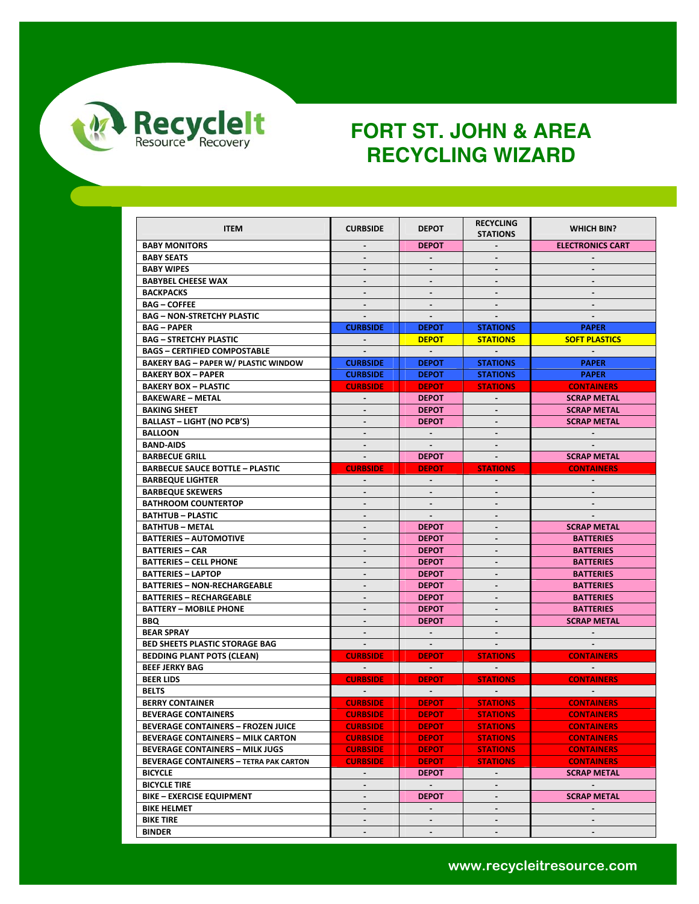

| <b>ITEM</b>                                   | <b>CURBSIDE</b>              | <b>DEPOT</b>   | <b>RECYCLING</b><br><b>STATIONS</b> | <b>WHICH BIN?</b>       |
|-----------------------------------------------|------------------------------|----------------|-------------------------------------|-------------------------|
| <b>BABY MONITORS</b>                          | $\qquad \qquad \blacksquare$ | <b>DEPOT</b>   |                                     | <b>ELECTRONICS CART</b> |
| <b>BABY SEATS</b>                             | $\overline{\phantom{a}}$     |                |                                     |                         |
| <b>BABY WIPES</b>                             | $\blacksquare$               | $\blacksquare$ | $\blacksquare$                      |                         |
| <b>BABYBEL CHEESE WAX</b>                     |                              |                |                                     |                         |
| <b>BACKPACKS</b>                              | $\blacksquare$               | $\blacksquare$ |                                     |                         |
| <b>BAG - COFFEE</b>                           | $\overline{a}$               | $\blacksquare$ |                                     |                         |
| <b>BAG - NON-STRETCHY PLASTIC</b>             |                              |                |                                     |                         |
| <b>BAG-PAPER</b>                              | <b>CURBSIDE</b>              | <b>DEPOT</b>   | <b>STATIONS</b>                     | <b>PAPER</b>            |
| <b>BAG - STRETCHY PLASTIC</b>                 | $\blacksquare$               | <b>DEPOT</b>   | <b>STATIONS</b>                     | <b>SOFT PLASTICS</b>    |
| <b>BAGS - CERTIFIED COMPOSTABLE</b>           |                              | $\sim$         |                                     |                         |
| <b>BAKERY BAG - PAPER W/ PLASTIC WINDOW</b>   | <b>CURBSIDE</b>              | <b>DEPOT</b>   | <b>STATIONS</b>                     | <b>PAPER</b>            |
| <b>BAKERY BOX - PAPER</b>                     | <b>CURBSIDE</b>              | <b>DEPOT</b>   | <b>STATIONS</b>                     | <b>PAPER</b>            |
| <b>BAKERY BOX - PLASTIC</b>                   | <b>CURBSIDE</b>              | <b>DEPOT</b>   |                                     | <b>CONTAINERS</b>       |
|                                               |                              |                | <b>STATIONS</b>                     |                         |
| <b>BAKEWARE - METAL</b>                       | $\blacksquare$               | <b>DEPOT</b>   |                                     | <b>SCRAP METAL</b>      |
| <b>BAKING SHEET</b>                           | $\blacksquare$               | <b>DEPOT</b>   | $\blacksquare$                      | <b>SCRAP METAL</b>      |
| <b>BALLAST - LIGHT (NO PCB'S)</b>             | $\blacksquare$               | <b>DEPOT</b>   |                                     | <b>SCRAP METAL</b>      |
| <b>BALLOON</b>                                | $\blacksquare$               | $\sim$         |                                     |                         |
| <b>BAND-AIDS</b>                              | $\blacksquare$               | $\mathbf{r}$   |                                     |                         |
| <b>BARBECUE GRILL</b>                         | $\blacksquare$               | <b>DEPOT</b>   | $\blacksquare$                      | <b>SCRAP METAL</b>      |
| <b>BARBECUE SAUCE BOTTLE - PLASTIC</b>        | <b>CURBSIDE</b>              | <b>DEPOT</b>   | <b>STATIONS</b>                     | <b>CONTAINERS</b>       |
| <b>BARBEQUE LIGHTER</b>                       | $\blacksquare$               | $\blacksquare$ | $\blacksquare$                      | $\sim$                  |
| <b>BARBEQUE SKEWERS</b>                       | $\blacksquare$               | $\blacksquare$ | $\blacksquare$                      | $\blacksquare$          |
| <b>BATHROOM COUNTERTOP</b>                    | $\overline{\phantom{a}}$     | $\blacksquare$ |                                     |                         |
| <b>BATHTUB - PLASTIC</b>                      | $\blacksquare$               | $\sim$         |                                     |                         |
| <b>BATHTUB - METAL</b>                        | $\blacksquare$               | <b>DEPOT</b>   |                                     | <b>SCRAP METAL</b>      |
| <b>BATTERIES - AUTOMOTIVE</b>                 | $\overline{\phantom{a}}$     | <b>DEPOT</b>   |                                     | <b>BATTERIES</b>        |
| <b>BATTERIES - CAR</b>                        |                              | <b>DEPOT</b>   |                                     | <b>BATTERIES</b>        |
| <b>BATTERIES - CELL PHONE</b>                 |                              | <b>DEPOT</b>   |                                     | <b>BATTERIES</b>        |
| <b>BATTERIES - LAPTOP</b>                     | $\blacksquare$               | <b>DEPOT</b>   | $\blacksquare$                      | <b>BATTERIES</b>        |
| <b>BATTERIES - NON-RECHARGEABLE</b>           | $\blacksquare$               | <b>DEPOT</b>   |                                     | <b>BATTERIES</b>        |
| <b>BATTERIES - RECHARGEABLE</b>               | $\blacksquare$               | <b>DEPOT</b>   |                                     | <b>BATTERIES</b>        |
| <b>BATTERY - MOBILE PHONE</b>                 | $\blacksquare$               | <b>DEPOT</b>   |                                     | <b>BATTERIES</b>        |
| <b>BBQ</b>                                    | $\overline{\phantom{a}}$     | <b>DEPOT</b>   |                                     | <b>SCRAP METAL</b>      |
| <b>BEAR SPRAY</b>                             | $\blacksquare$               | $\sim$         |                                     |                         |
| <b>BED SHEETS PLASTIC STORAGE BAG</b>         |                              |                |                                     |                         |
| <b>BEDDING PLANT POTS (CLEAN)</b>             | <b>CURBSIDE</b>              | <b>DEPOT</b>   | <b>STATIONS</b>                     | <b>CONTAINERS</b>       |
| <b>BEEF JERKY BAG</b>                         | $\sim 100$                   | $\sim 100$     |                                     | $\sim$ 100 $\pm$        |
| <b>BEER LIDS</b>                              | <b>CURBSIDE</b>              | <b>DEPOT</b>   | <b>STATIONS</b>                     | <b>CONTAINERS</b>       |
| <b>BELTS</b>                                  | $\sim$                       | $\sim$         | $\sim$                              | $\sim$                  |
| <b>BERRY CONTAINER</b>                        | <b>CURBSIDE</b>              | <b>DEPOT</b>   | <b>STATIONS</b>                     | <b>CONTAINERS</b>       |
| <b>BEVERAGE CONTAINERS</b>                    | <b>CURBSIDE</b>              | <b>DEPOT</b>   | <b>STATIONS</b>                     | <b>CONTAINERS</b>       |
| <b>BEVERAGE CONTAINERS - FROZEN JUICE</b>     | <b>CURBSIDE</b>              | <b>DEPOT</b>   | <b>STATIONS</b>                     | <b>CONTAINERS</b>       |
| <b>BEVERAGE CONTAINERS - MILK CARTON</b>      | <b>CURBSIDE</b>              | <b>DEPOT</b>   | <b>STATIONS</b>                     | <b>CONTAINERS</b>       |
| <b>BEVERAGE CONTAINERS - MILK JUGS</b>        | <b>CURBSIDE</b>              | <b>DEPOT</b>   | <b>STATIONS</b>                     | <b>CONTAINERS</b>       |
| <b>BEVERAGE CONTAINERS - TETRA PAK CARTON</b> | <b>CURBSIDE</b>              | <b>DEPOT</b>   | <b>STATIONS</b>                     | <b>CONTAINERS</b>       |
| <b>BICYCLE</b>                                | $\blacksquare$               | <b>DEPOT</b>   | $\blacksquare$                      | <b>SCRAP METAL</b>      |
| <b>BICYCLE TIRE</b>                           | $\blacksquare$               | $\blacksquare$ |                                     | $\sim$                  |
| <b>BIKE - EXERCISE EQUIPMENT</b>              | $\blacksquare$               | <b>DEPOT</b>   | $\overline{\phantom{a}}$            | <b>SCRAP METAL</b>      |
| <b>BIKE HELMET</b>                            | $\overline{\phantom{a}}$     |                |                                     |                         |
| <b>BIKE TIRE</b>                              | $\blacksquare$               | ۰              | $\blacksquare$                      | $\blacksquare$          |
| <b>BINDER</b>                                 |                              |                |                                     |                         |
|                                               |                              |                |                                     |                         |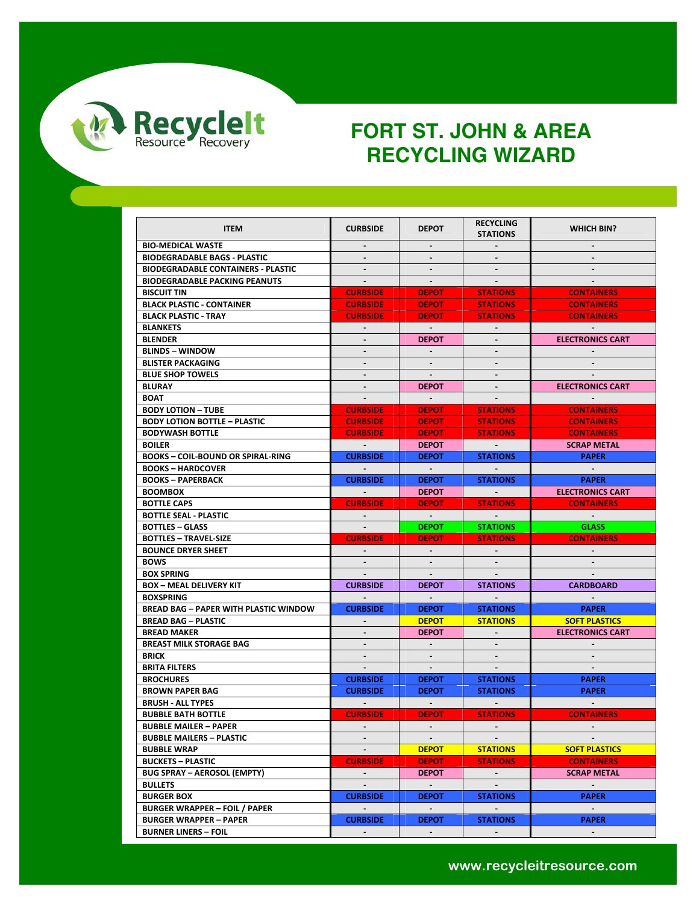

| <b>ITEM</b>                                  | <b>CURBSIDE</b>          | <b>DEPOT</b>   | <b>RECYCLING</b><br><b>STATIONS</b> | <b>WHICH BIN?</b>       |
|----------------------------------------------|--------------------------|----------------|-------------------------------------|-------------------------|
| <b>BIO-MEDICAL WASTE</b>                     |                          |                |                                     |                         |
| <b>BIODEGRADABLE BAGS - PLASTIC</b>          | $\blacksquare$           | $\blacksquare$ |                                     |                         |
| <b>BIODEGRADABLE CONTAINERS - PLASTIC</b>    | $\blacksquare$           | $\blacksquare$ |                                     |                         |
| <b>BIODEGRADABLE PACKING PEANUTS</b>         |                          |                |                                     |                         |
| <b>BISCUIT TIN</b>                           | <b>CURBSIDE</b>          | <b>DEPOT</b>   | <b>STATIONS</b>                     | <b>CONTAINERS</b>       |
| <b>BLACK PLASTIC - CONTAINER</b>             | <b>CURBSIDE</b>          | <b>DEPOT</b>   | <b>STATIONS</b>                     | <b>CONTAINERS</b>       |
| <b>BLACK PLASTIC - TRAY</b>                  | <b>CURBSIDE</b>          | <b>DEPOT</b>   | <b>STATIONS</b>                     | <b>CONTAINERS</b>       |
| <b>BLANKETS</b>                              | $\sim$                   | $\sim$         | $\sim$                              | $\sim$                  |
| <b>BLENDER</b>                               | $\blacksquare$           | <b>DEPOT</b>   | $\blacksquare$                      | <b>ELECTRONICS CART</b> |
| <b>BLINDS - WINDOW</b>                       | $\blacksquare$           | $\sim$         |                                     |                         |
| <b>BLISTER PACKAGING</b>                     |                          |                |                                     |                         |
| <b>BLUE SHOP TOWELS</b>                      | $\blacksquare$           | $\sim$         | $\sim$                              |                         |
| <b>BLURAY</b>                                | $\blacksquare$           | <b>DEPOT</b>   |                                     | <b>ELECTRONICS CART</b> |
| <b>BOAT</b>                                  |                          | $\sim$         |                                     |                         |
| <b>BODY LOTION - TUBE</b>                    | <b>CURBSIDE</b>          | <b>DEPOT</b>   | <b>STATIONS</b>                     | <b>CONTAINERS</b>       |
| <b>BODY LOTION BOTTLE - PLASTIC</b>          | <b>CURBSIDE</b>          | <b>DEPOT</b>   | <b>STATIONS</b>                     | <b>CONTAINERS</b>       |
| <b>BODYWASH BOTTLE</b>                       | <b>CURBSIDE</b>          | <b>DEPOT</b>   | <b>STATIONS</b>                     | <b>CONTAINERS</b>       |
| <b>BOILER</b>                                |                          | <b>DEPOT</b>   |                                     | <b>SCRAP METAL</b>      |
| <b>BOOKS - COIL-BOUND OR SPIRAL-RING</b>     | <b>CURBSIDE</b>          | <b>DEPOT</b>   | <b>STATIONS</b>                     | <b>PAPER</b>            |
| <b>BOOKS-HARDCOVER</b>                       |                          |                |                                     |                         |
| <b>BOOKS-PAPERBACK</b>                       | <b>CURBSIDE</b>          | <b>DEPOT</b>   | <b>STATIONS</b>                     | <b>PAPER</b>            |
| <b>BOOMBOX</b>                               | <b>Contract Contract</b> | <b>DEPOT</b>   | <b>Contract Contract</b>            | <b>ELECTRONICS CART</b> |
| <b>BOTTLE CAPS</b>                           | <b>CURBSIDE</b>          | <b>DEPOT</b>   | <b>STATIONS</b>                     | <b>CONTAINERS</b>       |
| <b>BOTTLE SEAL - PLASTIC</b>                 | $\blacksquare$           | $\sim$ $-$     | $\sim$ $-$                          | $\sim$                  |
| <b>BOTTLES - GLASS</b>                       |                          | <b>DEPOT</b>   | <b>STATIONS</b>                     | <b>GLASS</b>            |
| <b>BOTTLES - TRAVEL-SIZE</b>                 | <b>CURBSIDE</b>          | <b>DEPOT</b>   | <b>STATIONS</b>                     | <b>CONTAINERS</b>       |
| <b>BOUNCE DRYER SHEET</b>                    |                          |                |                                     |                         |
| <b>BOWS</b>                                  |                          |                |                                     |                         |
| <b>BOX SPRING</b>                            | ÷.                       | $\blacksquare$ | $\sim$                              | $\mathbf{r}$            |
| <b>BOX - MEAL DELIVERY KIT</b>               | <b>CURBSIDE</b>          | <b>DEPOT</b>   | <b>STATIONS</b>                     | <b>CARDBOARD</b>        |
| <b>BOXSPRING</b>                             | $\sim$                   | $\sim$         |                                     |                         |
| <b>BREAD BAG - PAPER WITH PLASTIC WINDOW</b> | <b>CURBSIDE</b>          | <b>DEPOT</b>   | <b>STATIONS</b>                     | <b>PAPER</b>            |
| <b>BREAD BAG - PLASTIC</b>                   | $\blacksquare$           | <b>DEPOT</b>   | <b>STATIONS</b>                     | <b>SOFT PLASTICS</b>    |
| <b>BREAD MAKER</b>                           |                          | <b>DEPOT</b>   |                                     | <b>ELECTRONICS CART</b> |
| <b>BREAST MILK STORAGE BAG</b>               |                          | $\sim$         |                                     |                         |
| <b>BRICK</b>                                 | $\blacksquare$           | $\blacksquare$ | $\blacksquare$                      | $\sim$                  |
| <b>BRITA FILTERS</b>                         | $\blacksquare$           | $\sim$         |                                     |                         |
| <b>BROCHURES</b>                             | <b>CURBSIDE</b>          | <b>DEPOT</b>   | <b>STATIONS</b>                     | <b>PAPER</b>            |
| <b>BROWN PAPER BAG</b>                       | <b>CURBSIDE</b>          | <b>DEPOT</b>   | <b>STATIONS</b>                     | <b>PAPER</b>            |
| <b>BRUSH - ALL TYPES</b>                     |                          | $\blacksquare$ |                                     |                         |
| <b>BUBBLE BATH BOTTLE</b>                    | <b>CURBSIDE</b>          | <b>DEPOT</b>   | <b>STATIONS</b>                     | <b>CONTAINERS</b>       |
| <b>BUBBLE MAILER - PAPER</b>                 |                          |                |                                     |                         |
| <b>BUBBLE MAILERS - PLASTIC</b>              | $\blacksquare$           | $\sim$         |                                     |                         |
| <b>BUBBLE WRAP</b>                           | $\sim$                   | <b>DEPOT</b>   | <b>STATIONS</b>                     | <b>SOFT PLASTICS</b>    |
| <b>BUCKETS - PLASTIC</b>                     | <b>CURBSIDE</b>          | <b>DEPOT</b>   | <b>STATIONS</b>                     | <b>CONTAINERS</b>       |
| <b>BUG SPRAY - AEROSOL (EMPTY)</b>           | $\sim 100$               | <b>DEPOT</b>   | $\sim 100$ km s $^{-1}$             | <b>SCRAP METAL</b>      |
| <b>BULLETS</b>                               | $\sim$                   | $\sim 10^{-1}$ | $\sim$                              | $\sim$                  |
| <b>BURGER BOX</b>                            | <b>CURBSIDE</b>          | <b>DEPOT</b>   | <b>STATIONS</b>                     | <b>PAPER</b>            |
| <b>BURGER WRAPPER - FOIL / PAPER</b>         | <b>Contract Contract</b> | $\sim$ $-$     |                                     | $\sim$ $-$              |
| <b>BURGER WRAPPER - PAPER</b>                | <b>CURBSIDE</b>          | <b>DEPOT</b>   | <b>STATIONS</b>                     | <b>PAPER</b>            |
| <b>BURNER LINERS - FOIL</b>                  | $\sim$                   | $\sim$         | $\sim$                              | $\sim$                  |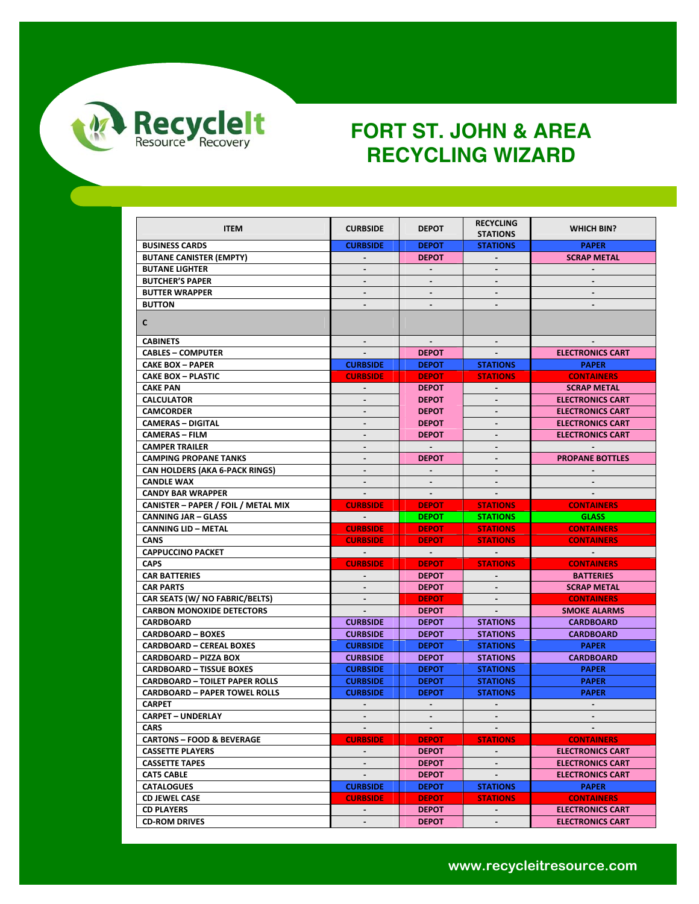

| <b>ITEM</b>                                | <b>CURBSIDE</b>   | <b>DEPOT</b>   | <b>RECYCLING</b><br><b>STATIONS</b> | <b>WHICH BIN?</b>       |
|--------------------------------------------|-------------------|----------------|-------------------------------------|-------------------------|
| <b>BUSINESS CARDS</b>                      | <b>CURBSIDE</b>   | <b>DEPOT</b>   | <b>STATIONS</b>                     | <b>PAPER</b>            |
| <b>BUTANE CANISTER (EMPTY)</b>             |                   | <b>DEPOT</b>   |                                     | <b>SCRAP METAL</b>      |
| <b>BUTANE LIGHTER</b>                      | -                 | $\sim$         | $\blacksquare$                      |                         |
| <b>BUTCHER'S PAPER</b>                     |                   |                |                                     |                         |
| <b>BUTTER WRAPPER</b>                      | $\blacksquare$    | $\sim$         | $\blacksquare$                      |                         |
| <b>BUTTON</b>                              |                   |                |                                     |                         |
|                                            |                   |                |                                     |                         |
| C                                          |                   |                |                                     |                         |
| <b>CABINETS</b>                            | $\sim$            | $\blacksquare$ | $\sim$                              |                         |
| <b>CABLES - COMPUTER</b>                   |                   | <b>DEPOT</b>   |                                     | <b>ELECTRONICS CART</b> |
| <b>CAKE BOX - PAPER</b>                    | <b>CURBSIDE</b>   | <b>DEPOT</b>   | <b>STATIONS</b>                     | <b>PAPER</b>            |
| <b>CAKE BOX - PLASTIC</b>                  | <b>CURBSIDE</b>   | <b>DEPOT</b>   | <b>STATIONS</b>                     | <b>CONTAINERS</b>       |
| <b>CAKE PAN</b>                            | $\blacksquare$    | <b>DEPOT</b>   |                                     | <b>SCRAP METAL</b>      |
| <b>CALCULATOR</b>                          |                   | <b>DEPOT</b>   |                                     | <b>ELECTRONICS CART</b> |
| <b>CAMCORDER</b>                           |                   | <b>DEPOT</b>   |                                     | <b>ELECTRONICS CART</b> |
| <b>CAMERAS - DIGITAL</b>                   | ۰.                | <b>DEPOT</b>   | $\blacksquare$                      | <b>ELECTRONICS CART</b> |
| <b>CAMERAS - FILM</b>                      | $\blacksquare$    | <b>DEPOT</b>   |                                     | <b>ELECTRONICS CART</b> |
| <b>CAMPER TRAILER</b>                      | $\blacksquare$    | $\sim$ $-$     |                                     |                         |
| <b>CAMPING PROPANE TANKS</b>               |                   | <b>DEPOT</b>   |                                     | <b>PROPANE BOTTLES</b>  |
| <b>CAN HOLDERS (AKA 6-PACK RINGS)</b>      |                   |                |                                     |                         |
| <b>CANDLE WAX</b>                          | $\blacksquare$    |                |                                     |                         |
| <b>CANDY BAR WRAPPER</b>                   |                   |                |                                     |                         |
| <b>CANISTER - PAPER / FOIL / METAL MIX</b> | <b>CURBSIDE</b>   | <b>DEPOT</b>   | <b>STATIONS</b>                     | <b>CONTAINERS</b>       |
| <b>CANNING JAR - GLASS</b>                 | <b>Contractor</b> | <b>DEPOT</b>   | <b>STATIONS</b>                     | <b>GLASS</b>            |
| <b>CANNING LID - METAL</b>                 | <b>CURBSIDE</b>   | <b>DEPOT</b>   | <b>STATIONS</b>                     | <b>CONTAINERS</b>       |
| <b>CANS</b>                                | <b>CURBSIDE</b>   | <b>DEPOT</b>   | <b>STATIONS</b>                     | <b>CONTAINERS</b>       |
| <b>CAPPUCCINO PACKET</b>                   | $\sim$            | $\sim 100$     | $\sim$                              | $\sim 100$ km s $^{-1}$ |
| <b>CAPS</b>                                | <b>CURBSIDE</b>   | <b>DEPOT</b>   | <b>STATIONS</b>                     | <b>CONTAINERS</b>       |
| <b>CAR BATTERIES</b>                       |                   | <b>DEPOT</b>   |                                     | <b>BATTERIES</b>        |
| <b>CAR PARTS</b>                           | ۰.                | <b>DEPOT</b>   | $\blacksquare$                      | <b>SCRAP METAL</b>      |
| CAR SEATS (W/ NO FABRIC/BELTS)             |                   | <b>DEPOT</b>   |                                     | <b>CONTAINERS</b>       |
| <b>CARBON MONOXIDE DETECTORS</b>           |                   | <b>DEPOT</b>   |                                     | <b>SMOKE ALARMS</b>     |
| <b>CARDBOARD</b>                           | <b>CURBSIDE</b>   | <b>DEPOT</b>   | <b>STATIONS</b>                     | <b>CARDBOARD</b>        |
| <b>CARDBOARD - BOXES</b>                   | <b>CURBSIDE</b>   | <b>DEPOT</b>   | <b>STATIONS</b>                     | <b>CARDBOARD</b>        |
| <b>CARDBOARD - CEREAL BOXES</b>            | <b>CURBSIDE</b>   | <b>DEPOT</b>   | <b>STATIONS</b>                     | <b>PAPER</b>            |
| <b>CARDBOARD - PIZZA BOX</b>               | <b>CURBSIDE</b>   | <b>DEPOT</b>   | <b>STATIONS</b>                     | <b>CARDBOARD</b>        |
| <b>CARDBOARD - TISSUE BOXES</b>            | <b>CURBSIDE</b>   | <b>DEPOT</b>   | <b>STATIONS</b>                     | <b>PAPER</b>            |
| <b>CARDBOARD - TOILET PAPER ROLLS</b>      | <b>CURBSIDE</b>   | <b>DEPOT</b>   | <b>STATIONS</b>                     | <b>PAPER</b>            |
| <b>CARDBOARD - PAPER TOWEL ROLLS</b>       | <b>CURBSIDE</b>   | <b>DEPOT</b>   | <b>STATIONS</b>                     | <b>PAPER</b>            |
| <b>CARPET</b>                              |                   |                |                                     |                         |
| <b>CARPET - UNDERLAY</b>                   | $\blacksquare$    | $\blacksquare$ | $\blacksquare$                      | $\blacksquare$          |
| <b>CARS</b>                                | $\sim$ 100 $\sim$ | <b>Service</b> |                                     |                         |
| <b>CARTONS - FOOD &amp; BEVERAGE</b>       | <b>CURBSIDE</b>   | <b>DEPOT</b>   | <b>STATIONS</b>                     | <b>CONTAINERS</b>       |
| <b>CASSETTE PLAYERS</b>                    | $\sim$            | <b>DEPOT</b>   |                                     | <b>ELECTRONICS CART</b> |
| <b>CASSETTE TAPES</b>                      | $\sim$            | <b>DEPOT</b>   |                                     | <b>ELECTRONICS CART</b> |
| <b>CAT5 CABLE</b>                          | $\sim$            | <b>DEPOT</b>   |                                     | <b>ELECTRONICS CART</b> |
| <b>CATALOGUES</b>                          | <b>CURBSIDE</b>   | <b>DEPOT</b>   | <b>STATIONS</b>                     | <b>PAPER</b>            |
|                                            |                   |                |                                     |                         |
| <b>CD JEWEL CASE</b>                       | <b>CURBSIDE</b>   | <b>DEPOT</b>   | <b>STATIONS</b>                     | <b>CONTAINERS</b>       |
| <b>CD PLAYERS</b>                          | $\sim$            | <b>DEPOT</b>   | $\sim$<br>$\mathbf{r}$              | <b>ELECTRONICS CART</b> |
| <b>CD-ROM DRIVES</b>                       | $\blacksquare$    | <b>DEPOT</b>   |                                     | <b>ELECTRONICS CART</b> |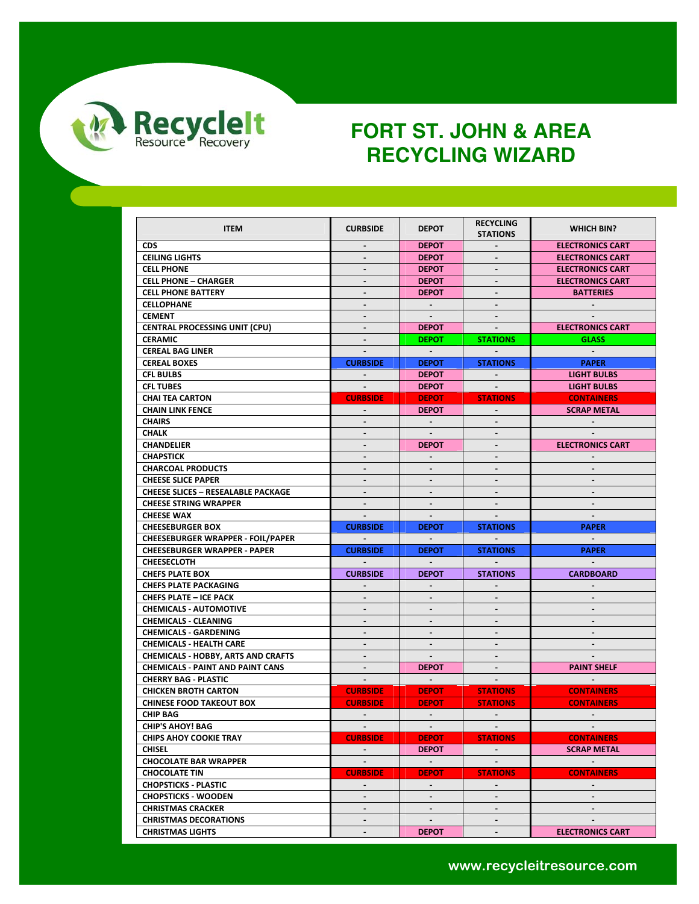

| <b>ITEM</b>                               | <b>CURBSIDE</b>              | <b>DEPOT</b>   | <b>RECYCLING</b> | <b>WHICH BIN?</b>       |
|-------------------------------------------|------------------------------|----------------|------------------|-------------------------|
|                                           |                              |                | <b>STATIONS</b>  |                         |
| <b>CDS</b>                                | $\blacksquare$               | <b>DEPOT</b>   |                  | <b>ELECTRONICS CART</b> |
| <b>CEILING LIGHTS</b>                     | $\blacksquare$               | <b>DEPOT</b>   | $\blacksquare$   | <b>ELECTRONICS CART</b> |
| <b>CELL PHONE</b>                         | $\overline{\phantom{a}}$     | <b>DEPOT</b>   |                  | <b>ELECTRONICS CART</b> |
| <b>CELL PHONE - CHARGER</b>               |                              | <b>DEPOT</b>   |                  | <b>ELECTRONICS CART</b> |
| <b>CELL PHONE BATTERY</b>                 | $\blacksquare$               | <b>DEPOT</b>   | $\sim$           | <b>BATTERIES</b>        |
| <b>CELLOPHANE</b>                         | $\qquad \qquad \blacksquare$ |                |                  |                         |
| <b>CEMENT</b>                             | $\blacksquare$               |                |                  |                         |
| <b>CENTRAL PROCESSING UNIT (CPU)</b>      | $\blacksquare$               | <b>DEPOT</b>   | $\sim$           | <b>ELECTRONICS CART</b> |
| <b>CERAMIC</b>                            | $\blacksquare$               | <b>DEPOT</b>   | <b>STATIONS</b>  | <b>GLASS</b>            |
| <b>CEREAL BAG LINER</b>                   | $\blacksquare$               | $\sim$ $-$     |                  | $\sim$ $-$              |
| <b>CEREAL BOXES</b>                       | <b>CURBSIDE</b>              | <b>DEPOT</b>   | <b>STATIONS</b>  | <b>PAPER</b>            |
| <b>CFL BULBS</b>                          | $\sim$                       | <b>DEPOT</b>   | $\sim$           | <b>LIGHT BULBS</b>      |
| <b>CFL TUBES</b>                          | $\sim$                       | <b>DEPOT</b>   | $\sim$           | <b>LIGHT BULBS</b>      |
| <b>CHAI TEA CARTON</b>                    | <b>CURBSIDE</b>              | <b>DEPOT</b>   | <b>STATIONS</b>  | <b>CONTAINERS</b>       |
| <b>CHAIN LINK FENCE</b>                   | $\sim$                       | <b>DEPOT</b>   | $\sim$           | <b>SCRAP METAL</b>      |
| <b>CHAIRS</b>                             | $\blacksquare$               | $\sim$         |                  |                         |
| <b>CHALK</b>                              | $\overline{\phantom{m}}$     | $\sim$         |                  |                         |
| <b>CHANDELIER</b>                         |                              | <b>DEPOT</b>   |                  | <b>ELECTRONICS CART</b> |
| <b>CHAPSTICK</b>                          | $\blacksquare$               | $\sim$         | $\blacksquare$   | $\sim$                  |
| <b>CHARCOAL PRODUCTS</b>                  | $\blacksquare$               |                |                  |                         |
| <b>CHEESE SLICE PAPER</b>                 | $\blacksquare$               |                |                  |                         |
| <b>CHEESE SLICES - RESEALABLE PACKAGE</b> | $\blacksquare$               | $\blacksquare$ |                  | $\sim$                  |
| <b>CHEESE STRING WRAPPER</b>              | $\blacksquare$               | $\blacksquare$ |                  |                         |
| <b>CHEESE WAX</b>                         |                              |                |                  |                         |
|                                           |                              |                |                  |                         |
|                                           |                              |                |                  |                         |
| <b>CHEESEBURGER BOX</b>                   | <b>CURBSIDE</b>              | <b>DEPOT</b>   | <b>STATIONS</b>  | <b>PAPER</b>            |
| <b>CHEESEBURGER WRAPPER - FOIL/PAPER</b>  |                              |                |                  | $\sim$                  |
| <b>CHEESEBURGER WRAPPER - PAPER</b>       | <b>CURBSIDE</b>              | <b>DEPOT</b>   | <b>STATIONS</b>  | <b>PAPER</b>            |
| <b>CHEESECLOTH</b>                        |                              | $\sim$         |                  | $\sim$                  |
| <b>CHEFS PLATE BOX</b>                    | <b>CURBSIDE</b>              | <b>DEPOT</b>   | <b>STATIONS</b>  | <b>CARDBOARD</b>        |
| <b>CHEFS PLATE PACKAGING</b>              |                              |                |                  |                         |
| <b>CHEFS PLATE - ICE PACK</b>             | $\blacksquare$               | $\blacksquare$ |                  |                         |
| <b>CHEMICALS - AUTOMOTIVE</b>             | $\overline{\phantom{a}}$     |                |                  |                         |
| <b>CHEMICALS - CLEANING</b>               | ۰.                           | $\blacksquare$ | $\blacksquare$   | $\sim$                  |
| <b>CHEMICALS - GARDENING</b>              | $\overline{a}$               |                |                  |                         |
| <b>CHEMICALS - HEALTH CARE</b>            | $\blacksquare$               | $\blacksquare$ |                  |                         |
| <b>CHEMICALS - HOBBY, ARTS AND CRAFTS</b> | $\overline{\phantom{a}}$     | $\blacksquare$ | $\blacksquare$   |                         |
| <b>CHEMICALS - PAINT AND PAINT CANS</b>   | $\blacksquare$               | <b>DEPOT</b>   |                  | <b>PAINT SHELF</b>      |
| <b>CHERRY BAG - PLASTIC</b>               | $\sim$                       | $\sim$ $-$     | $\sim$           | $\sim$                  |
| <b>CHICKEN BROTH CARTON</b>               | <b>CURBSIDE</b>              | <b>DEPOT</b>   | <b>STATIONS</b>  | <b>CONTAINERS</b>       |
| <b>CHINESE FOOD TAKEOUT BOX</b>           | <b>CURBSIDE</b>              | <b>DEPOT</b>   | <b>STATIONS</b>  | <b>CONTAINERS</b>       |
| <b>CHIP BAG</b>                           | $\sim$                       | $\sim$         | $\sim$           | $\sim$                  |
| <b>CHIP'S AHOY! BAG</b>                   |                              |                |                  |                         |
| <b>CHIPS AHOY COOKIE TRAY</b>             | <b>CURBSIDE</b>              | <b>DEPOT</b>   | <b>STATIONS</b>  | <b>CONTAINERS</b>       |
| <b>CHISEL</b>                             | $\blacksquare$               | <b>DEPOT</b>   | $\sim$           | <b>SCRAP METAL</b>      |
| <b>CHOCOLATE BAR WRAPPER</b>              | $\blacksquare$               | $\sim$         |                  | $\sim$                  |
| <b>CHOCOLATE TIN</b>                      | <b>CURBSIDE</b>              | <b>DEPOT</b>   | <b>STATIONS</b>  | <b>CONTAINERS</b>       |
| <b>CHOPSTICKS - PLASTIC</b>               | $\blacksquare$               | $\sim 10$      | $\sim$           | $\sim$                  |
| <b>CHOPSTICKS - WOODEN</b>                | ÷.                           | $\blacksquare$ |                  |                         |
| <b>CHRISTMAS CRACKER</b>                  |                              |                |                  |                         |
| <b>CHRISTMAS DECORATIONS</b>              | $\blacksquare$               | $\blacksquare$ | $\sim$           | $\blacksquare$          |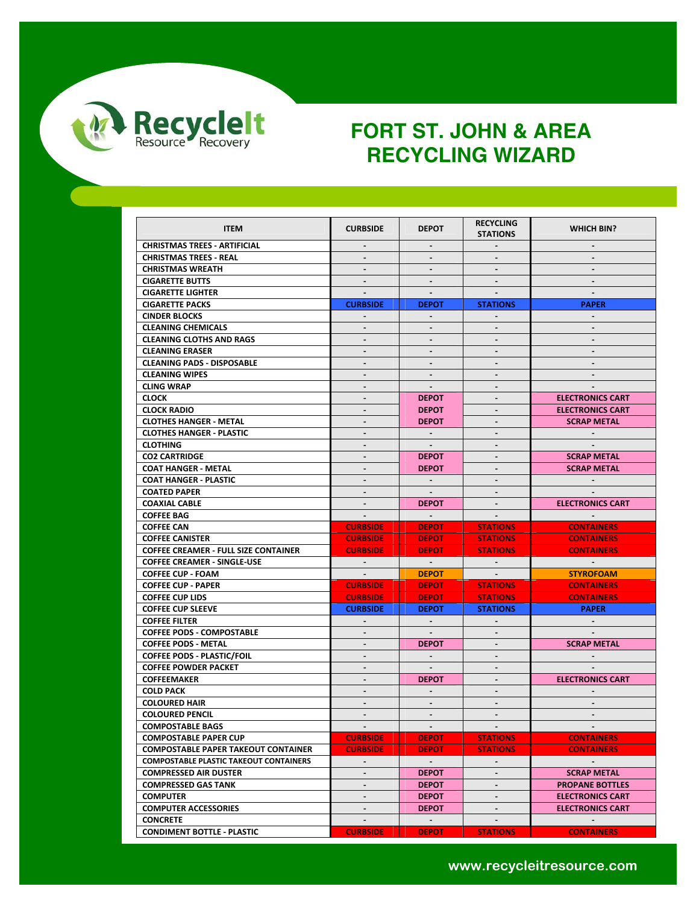

| <b>ITEM</b>                                   | <b>CURBSIDE</b>         | <b>DEPOT</b>             | <b>RECYCLING</b><br><b>STATIONS</b> | <b>WHICH BIN?</b>                                  |
|-----------------------------------------------|-------------------------|--------------------------|-------------------------------------|----------------------------------------------------|
| <b>CHRISTMAS TREES - ARTIFICIAL</b>           |                         |                          |                                     |                                                    |
| <b>CHRISTMAS TREES - REAL</b>                 | $\sim$                  | $\sim$                   | $\sim$                              | $\sim$                                             |
| <b>CHRISTMAS WREATH</b>                       | $\blacksquare$          | $\blacksquare$           |                                     |                                                    |
| <b>CIGARETTE BUTTS</b>                        |                         |                          |                                     |                                                    |
| <b>CIGARETTE LIGHTER</b>                      | $\sim$                  | $\sim$                   | $\sim$                              | $\sim$                                             |
| <b>CIGARETTE PACKS</b>                        | <b>CURBSIDE</b>         | <b>DEPOT</b>             | <b>STATIONS</b>                     | <b>PAPER</b>                                       |
| <b>CINDER BLOCKS</b>                          | $\blacksquare$          | $\blacksquare$           |                                     | $\sim$                                             |
| <b>CLEANING CHEMICALS</b>                     | $\blacksquare$          | $\blacksquare$           |                                     |                                                    |
| <b>CLEANING CLOTHS AND RAGS</b>               | $\blacksquare$          | $\blacksquare$           | $\blacksquare$                      | $\sim$                                             |
| <b>CLEANING ERASER</b>                        | $\blacksquare$          | $\overline{\phantom{a}}$ |                                     |                                                    |
| <b>CLEANING PADS - DISPOSABLE</b>             |                         |                          |                                     |                                                    |
| <b>CLEANING WIPES</b>                         | $\blacksquare$          | $\sim$                   | $\blacksquare$                      | $\sim$                                             |
| <b>CLING WRAP</b>                             | $\blacksquare$          | $\sim$                   | $\blacksquare$                      |                                                    |
| <b>CLOCK</b>                                  | $\blacksquare$          | <b>DEPOT</b>             |                                     |                                                    |
| <b>CLOCK RADIO</b>                            | $\blacksquare$          | <b>DEPOT</b>             | $\blacksquare$                      | <b>ELECTRONICS CART</b><br><b>ELECTRONICS CART</b> |
| <b>CLOTHES HANGER - METAL</b>                 |                         | <b>DEPOT</b>             |                                     | <b>SCRAP METAL</b>                                 |
|                                               | $\blacksquare$          |                          | $\blacksquare$                      |                                                    |
| <b>CLOTHES HANGER - PLASTIC</b>               | $\blacksquare$          | $\sim$                   |                                     | $\sim$                                             |
| <b>CLOTHING</b>                               | $\blacksquare$          |                          |                                     |                                                    |
| <b>CO2 CARTRIDGE</b>                          | $\sim$                  | <b>DEPOT</b>             | $\sim$                              | <b>SCRAP METAL</b>                                 |
| <b>COAT HANGER - METAL</b>                    | $\blacksquare$          | <b>DEPOT</b>             |                                     | <b>SCRAP METAL</b>                                 |
| <b>COAT HANGER - PLASTIC</b>                  |                         |                          |                                     |                                                    |
| <b>COATED PAPER</b>                           | $\blacksquare$          | $\sim$                   | $\mathbf{r}$                        |                                                    |
| <b>COAXIAL CABLE</b>                          | $\blacksquare$          | <b>DEPOT</b>             |                                     | <b>ELECTRONICS CART</b>                            |
| <b>COFFEE BAG</b>                             | $\sim$                  | $\sim 100$               |                                     | $\sim 100$                                         |
| <b>COFFEE CAN</b>                             | <b>CURBSIDE</b>         | <b>DEPOT</b>             | <b>STATIONS</b>                     | <b>CONTAINERS</b>                                  |
| <b>COFFEE CANISTER</b>                        | <b>CURBSIDE</b>         | <b>DEPOT</b>             | <b>STATIONS</b>                     | <b>CONTAINERS</b>                                  |
| <b>COFFEE CREAMER - FULL SIZE CONTAINER</b>   | <b>CURBSIDE</b>         | <b>DEPOT</b>             | <b>STATIONS</b>                     | <b>CONTAINERS</b>                                  |
| <b>COFFEE CREAMER - SINGLE-USE</b>            | <b>Contractor</b>       | $\sim 100$ km s $^{-1}$  | <b>Contract Contract</b>            | <b>Contract Contract</b>                           |
| <b>COFFEE CUP - FOAM</b>                      | $\sim 100$ km s $^{-1}$ | <b>DEPOT</b>             | <b>Contract Contract</b>            | <b>STYROFOAM</b>                                   |
| <b>COFFEE CUP - PAPER</b>                     | <b>CURBSIDE</b>         | <b>DEPOT</b>             | <b>STATIONS</b>                     | <b>CONTAINERS</b>                                  |
| <b>COFFEE CUP LIDS</b>                        | <b>CURBSIDE</b>         | <b>DEPOT</b>             | <b>STATIONS</b>                     | <b>CONTAINERS</b>                                  |
| <b>COFFEE CUP SLEEVE</b>                      | <b>CURBSIDE</b>         | <b>DEPOT</b>             | <b>STATIONS</b>                     | <b>PAPER</b>                                       |
| <b>COFFEE FILTER</b>                          | $\sim$                  | $\sim$                   |                                     | $\sim$ 100 $\pm$                                   |
| <b>COFFEE PODS - COMPOSTABLE</b>              | $\blacksquare$          | $\sim$                   |                                     |                                                    |
| <b>COFFEE PODS - METAL</b>                    | $\blacksquare$          | <b>DEPOT</b>             |                                     | <b>SCRAP METAL</b>                                 |
| <b>COFFEE PODS - PLASTIC/FOIL</b>             | $\blacksquare$          | $\sim$                   | $\overline{\phantom{a}}$            |                                                    |
| <b>COFFEE POWDER PACKET</b>                   | $\blacksquare$          | $\sim$                   | $\blacksquare$                      |                                                    |
| <b>COFFEEMAKER</b>                            | $\blacksquare$          | <b>DEPOT</b>             | $\sim$                              | <b>ELECTRONICS CART</b>                            |
| <b>COLD PACK</b>                              | $\blacksquare$          |                          |                                     |                                                    |
| <b>COLOURED HAIR</b>                          | $\blacksquare$          | $\sim$                   | $\blacksquare$                      | $\sim$                                             |
| <b>COLOURED PENCIL</b>                        | $\blacksquare$          | $\blacksquare$           |                                     |                                                    |
| <b>COMPOSTABLE BAGS</b>                       |                         | $\sim$                   |                                     |                                                    |
| <b>COMPOSTABLE PAPER CUP</b>                  | <b>CURBSIDE</b>         | <b>DEPOT</b>             | <b>STATIONS</b>                     | <b>CONTAINERS</b>                                  |
| <b>COMPOSTABLE PAPER TAKEOUT CONTAINER</b>    | <b>CURBSIDE</b>         | <b>DEPOT</b>             | <b>STATIONS</b>                     | <b>CONTAINERS</b>                                  |
| <b>COMPOSTABLE PLASTIC TAKEOUT CONTAINERS</b> | $\sim$                  | $\sim 100$               |                                     | <b>Contract Contract</b>                           |
| <b>COMPRESSED AIR DUSTER</b>                  | $\blacksquare$          | <b>DEPOT</b>             |                                     | <b>SCRAP METAL</b>                                 |
| <b>COMPRESSED GAS TANK</b>                    | $\blacksquare$          | <b>DEPOT</b>             | $\blacksquare$                      | <b>PROPANE BOTTLES</b>                             |
| <b>COMPUTER</b>                               | $\blacksquare$          | <b>DEPOT</b>             |                                     | <b>ELECTRONICS CART</b>                            |
| <b>COMPUTER ACCESSORIES</b>                   | $\blacksquare$          | <b>DEPOT</b>             |                                     | <b>ELECTRONICS CART</b>                            |
| <b>CONCRETE</b>                               | $\blacksquare$          | $\sim$                   | $\blacksquare$                      | $\sim$                                             |
| <b>CONDIMENT BOTTLE - PLASTIC</b>             | <b>CURBSIDE</b>         | <b>DEPOT</b>             | <b>STATIONS</b>                     | <b>CONTAINERS</b>                                  |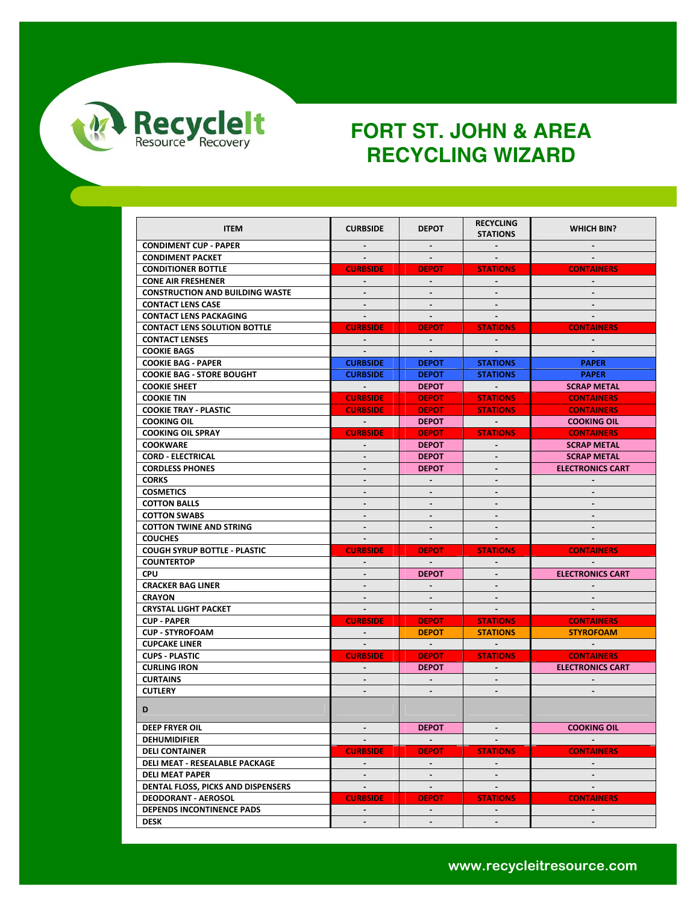

| <b>ITEM</b>                            | <b>CURBSIDE</b>          | <b>DEPOT</b>             | <b>RECYCLING</b><br><b>STATIONS</b> | <b>WHICH BIN?</b>       |
|----------------------------------------|--------------------------|--------------------------|-------------------------------------|-------------------------|
| <b>CONDIMENT CUP - PAPER</b>           | $\sim$                   | $\sim$                   | $\sim$                              |                         |
| <b>CONDIMENT PACKET</b>                | $\sim$                   | $\sim$                   |                                     |                         |
| <b>CONDITIONER BOTTLE</b>              | <b>CURBSIDE</b>          | <b>DEPOT</b>             | <b>STATIONS</b>                     | <b>CONTAINERS</b>       |
| <b>CONE AIR FRESHENER</b>              |                          |                          |                                     |                         |
| <b>CONSTRUCTION AND BUILDING WASTE</b> | $\sim$                   | $\overline{\phantom{a}}$ | $\sim$                              | $\sim$                  |
| <b>CONTACT LENS CASE</b>               |                          |                          |                                     |                         |
| <b>CONTACT LENS PACKAGING</b>          |                          | $\sim$                   |                                     |                         |
| <b>CONTACT LENS SOLUTION BOTTLE</b>    | <b>CURBSIDE</b>          | <b>DEPOT</b>             | <b>STATIONS</b>                     | <b>CONTAINERS</b>       |
| <b>CONTACT LENSES</b>                  | $\sim$                   | $\sim$                   |                                     |                         |
| <b>COOKIE BAGS</b>                     | $\sim$                   | $\sim$                   |                                     |                         |
| <b>COOKIE BAG - PAPER</b>              | <b>CURBSIDE</b>          | <b>DEPOT</b>             | <b>STATIONS</b>                     | <b>PAPER</b>            |
| <b>COOKIE BAG - STORE BOUGHT</b>       | <b>CURBSIDE</b>          | <b>DEPOT</b>             | <b>STATIONS</b>                     | <b>PAPER</b>            |
| <b>COOKIE SHEET</b>                    | $\sim 100$               | <b>DEPOT</b>             | $\sim 100$ km s $^{-1}$             | <b>SCRAP METAL</b>      |
| <b>COOKIE TIN</b>                      | <b>CURBSIDE</b>          | <b>DEPOT</b>             | <b>STATIONS</b>                     | <b>CONTAINERS</b>       |
| <b>COOKIE TRAY - PLASTIC</b>           | <b>CURBSIDE</b>          | <b>DEPOT</b>             | <b>STATIONS</b>                     | <b>CONTAINERS</b>       |
| <b>COOKING OIL</b>                     | $\sim 100$ km s $^{-1}$  | <b>DEPOT</b>             | $\sim 100$ km s $^{-1}$             | <b>COOKING OIL</b>      |
| <b>COOKING OIL SPRAY</b>               | <b>CURBSIDE</b>          | <b>DEPOT</b>             | <b>STATIONS</b>                     | <b>CONTAINERS</b>       |
| <b>COOKWARE</b>                        | $\blacksquare$           | <b>DEPOT</b>             | $\sim$                              | <b>SCRAP METAL</b>      |
| <b>CORD - ELECTRICAL</b>               | $\blacksquare$           | <b>DEPOT</b>             | $\sim$                              | <b>SCRAP METAL</b>      |
| <b>CORDLESS PHONES</b>                 |                          | <b>DEPOT</b>             |                                     | <b>ELECTRONICS CART</b> |
| <b>CORKS</b>                           |                          |                          |                                     |                         |
| <b>COSMETICS</b>                       | $\overline{\phantom{a}}$ | $\blacksquare$           | $\blacksquare$                      |                         |
| <b>COTTON BALLS</b>                    | $\blacksquare$           | $\blacksquare$           | $\blacksquare$                      |                         |
| <b>COTTON SWABS</b>                    | $\blacksquare$           | $\blacksquare$           | $\sim$                              | $\blacksquare$          |
| <b>COTTON TWINE AND STRING</b>         | $\blacksquare$           | $\blacksquare$           | $\blacksquare$                      |                         |
| <b>COUCHES</b>                         | $\sim$                   | $\sim$                   | $\sim$                              |                         |
| <b>COUGH SYRUP BOTTLE - PLASTIC</b>    | <b>CURBSIDE</b>          | <b>DEPOT</b>             | <b>STATIONS</b>                     | <b>CONTAINERS</b>       |
| <b>COUNTERTOP</b>                      |                          | $\sim$                   |                                     |                         |
| <b>CPU</b>                             | $\blacksquare$           | <b>DEPOT</b>             | $\sim$                              | <b>ELECTRONICS CART</b> |
| <b>CRACKER BAG LINER</b>               | $\sim$                   |                          | $\blacksquare$                      |                         |
| <b>CRAYON</b>                          | $\sim$                   | $\blacksquare$           | $\blacksquare$                      |                         |
| <b>CRYSTAL LIGHT PACKET</b>            | $\sim$                   | $\sim$                   |                                     |                         |
| <b>CUP PAPER</b>                       | <b>CURBSIDE</b>          | <b>DEPOT</b>             | <b>STATIONS</b>                     | <b>CONTAINERS</b>       |
| <b>CUP - STYROFOAM</b>                 | $\sim$                   | <b>DEPOT</b>             | <b>STATIONS</b>                     | <b>STYROFOAM</b>        |
| <b>CUPCAKE LINER</b>                   |                          | $\sim 100$               |                                     |                         |
| <b>CUPS - PLASTIC</b>                  | <b>CURBSIDE</b>          | <b>DEPOT</b>             | <b>STATIONS</b>                     | <b>CONTAINERS</b>       |
| <b>CURLING IRON</b>                    |                          | <b>DEPOT</b>             |                                     | <b>ELECTRONICS CART</b> |
| <b>CURTAINS</b>                        | ۰.                       | $\sim$                   |                                     |                         |
| <b>CUTLERY</b>                         | ä.                       | $\sim$                   | $\mathcal{L}^{\pm}$                 | $\sim$                  |
| D                                      |                          |                          |                                     |                         |
| DEEP FRYER OIL                         | $\sim$                   | DEPOT                    |                                     | <b>COOKING OIL</b>      |
| <b>DEHUMIDIFIER</b>                    | $\sim$                   | $\sim$                   |                                     |                         |
| <b>DELI CONTAINER</b>                  | <b>CURBSIDE</b>          | <b>DEPOT</b>             | <b>STATIONS</b>                     | <b>CONTAINERS</b>       |
| DELI MEAT - RESEALABLE PACKAGE         | $\blacksquare$           | $\sim$                   |                                     |                         |
| <b>DELI MEAT PAPER</b>                 | $\blacksquare$           | $\blacksquare$           | $\blacksquare$                      | $\sim$                  |
| DENTAL FLOSS, PICKS AND DISPENSERS     | $\blacksquare$           | $\blacksquare$           | $\blacksquare$                      | $\sim$                  |
| <b>DEODORANT - AEROSOL</b>             | <b>CURBSIDE</b>          | <b>DEPOT</b>             | <b>STATIONS</b>                     | <b>CONTAINERS</b>       |
| <b>DEPENDS INCONTINENCE PADS</b>       |                          |                          |                                     |                         |
|                                        | $\sim$                   | $\blacksquare$           | $\sim$                              | $\sim$                  |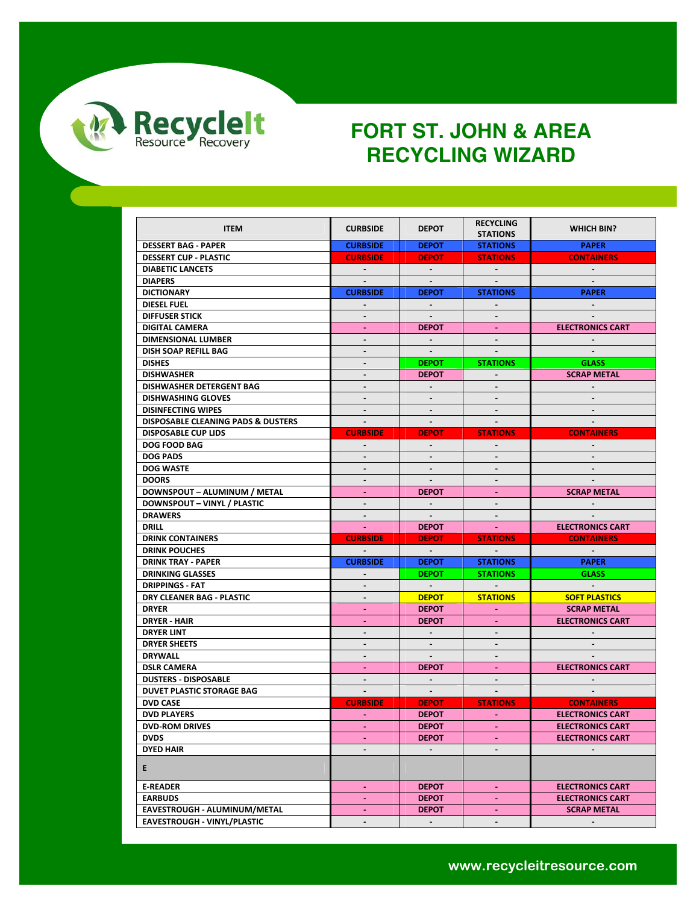

| <b>ITEM</b>                                   | <b>CURBSIDE</b>                  | <b>DEPOT</b>                 | <b>RECYCLING</b><br><b>STATIONS</b> | <b>WHICH BIN?</b>            |
|-----------------------------------------------|----------------------------------|------------------------------|-------------------------------------|------------------------------|
| <b>DESSERT BAG - PAPER</b>                    | <b>CURBSIDE</b>                  | <b>DEPOT</b>                 | <b>STATIONS</b>                     | <b>PAPER</b>                 |
| <b>DESSERT CUP - PLASTIC</b>                  | <b>CURBSIDE</b>                  | <b>DEPOT</b>                 | <b>STATIONS</b>                     | <b>CONTAINERS</b>            |
| <b>DIABETIC LANCETS</b>                       | $\sim$                           | $\sim$                       |                                     |                              |
| <b>DIAPERS</b>                                |                                  |                              |                                     |                              |
| <b>DICTIONARY</b>                             | <b>CURBSIDE</b>                  | <b>DEPOT</b>                 | <b>STATIONS</b>                     | <b>PAPER</b>                 |
| <b>DIESEL FUEL</b>                            |                                  | $\blacksquare$               |                                     |                              |
| <b>DIFFUSER STICK</b>                         |                                  |                              |                                     |                              |
| <b>DIGITAL CAMERA</b>                         | ÷.                               | <b>DEPOT</b>                 | $\sim$                              | <b>ELECTRONICS CART</b>      |
| DIMENSIONAL LUMBER                            | ۰                                |                              |                                     |                              |
| DISH SOAP REFILL BAG                          | $\blacksquare$                   | $\sim$                       |                                     |                              |
| <b>DISHES</b>                                 | $\overline{\phantom{a}}$         | <b>DEPOT</b>                 | <b>STATIONS</b>                     | <b>GLASS</b>                 |
| <b>DISHWASHER</b>                             | $\blacksquare$                   | <b>DEPOT</b>                 | $\blacksquare$                      | <b>SCRAP METAL</b>           |
| DISHWASHER DETERGENT BAG                      | $\blacksquare$                   |                              |                                     |                              |
| <b>DISHWASHING GLOVES</b>                     | -                                |                              |                                     |                              |
| <b>DISINFECTING WIPES</b>                     | $\blacksquare$                   | $\blacksquare$               | $\blacksquare$                      | $\blacksquare$               |
| <b>DISPOSABLE CLEANING PADS &amp; DUSTERS</b> | $\blacksquare$                   | $\overline{\phantom{a}}$     | $\sim$                              |                              |
| <b>DISPOSABLE CUP LIDS</b>                    | <b>CURBSIDE</b>                  | <b>DEPOT</b>                 | <b>STATIONS</b>                     | <b>CONTAINERS</b>            |
| <b>DOG FOOD BAG</b>                           | ÷.                               |                              |                                     |                              |
| <b>DOG PADS</b>                               | $\blacksquare$                   | ÷,                           | $\blacksquare$                      | $\sim$                       |
| <b>DOG WASTE</b>                              | ÷.                               |                              |                                     |                              |
| <b>DOORS</b>                                  | $\overline{\phantom{m}}$         |                              |                                     |                              |
| DOWNSPOUT - ALUMINUM / METAL                  | $\blacksquare$                   | <b>DEPOT</b>                 | $\sim$                              | <b>SCRAP METAL</b>           |
| DOWNSPOUT - VINYL / PLASTIC                   | $\blacksquare$                   |                              |                                     |                              |
| <b>DRAWERS</b>                                | $\sim$                           | $\sim$                       | $\sim$                              |                              |
|                                               |                                  |                              |                                     |                              |
|                                               |                                  |                              |                                     |                              |
| DRILL                                         | $\sim 10$                        | <b>DEPOT</b>                 | <b>College</b>                      | <b>ELECTRONICS CART</b>      |
| <b>DRINK CONTAINERS</b>                       | <b>CURBSIDE</b><br>$\sim$        | <b>DEPOT</b><br>$\sim$ $-$   | <b>STATIONS</b>                     | <b>CONTAINERS</b><br>$\sim$  |
| <b>DRINK POUCHES</b>                          |                                  |                              |                                     |                              |
| <b>DRINK TRAY - PAPER</b>                     | <b>CURBSIDE</b><br>$\sim$        | <b>DEPOT</b>                 | <b>STATIONS</b>                     | <b>PAPER</b><br><b>GLASS</b> |
| <b>DRINKING GLASSES</b>                       |                                  | <b>DEPOT</b>                 | <b>STATIONS</b><br>$\sim$           |                              |
| <b>DRIPPINGS - FAT</b>                        | $\blacksquare$<br>$\blacksquare$ | $\sim$                       |                                     |                              |
| DRY CLEANER BAG - PLASTIC                     | $\sim$                           | <b>DEPOT</b>                 | <b>STATIONS</b><br>$\sim$           | <b>SOFT PLASTICS</b>         |
| <b>DRYER</b>                                  | $\blacksquare$                   | <b>DEPOT</b><br><b>DEPOT</b> | $\sim$                              | <b>SCRAP METAL</b>           |
| DRYER HAIR<br><b>DRYER LINT</b>               | $\overline{\phantom{0}}$         | $\sim$                       |                                     | <b>ELECTRONICS CART</b>      |
|                                               |                                  |                              |                                     |                              |
| <b>DRYER SHEETS</b><br><b>DRYWALL</b>         | $\blacksquare$                   | $\blacksquare$               | $\sim$                              |                              |
| <b>DSLR CAMERA</b>                            | $\sim$                           | <b>DEPOT</b>                 | $\sim$                              | <b>ELECTRONICS CART</b>      |
| <b>DUSTERS - DISPOSABLE</b>                   | $\blacksquare$                   | $\sim$                       | $\blacksquare$                      |                              |
| <b>DUVET PLASTIC STORAGE BAG</b>              | $\sim$                           | $\sim$                       | $\sim$                              | $\sim$                       |
| <b>DVD CASE</b>                               | <b>CURBSIDE</b>                  | <b>DEPOT</b>                 | <b>STATIONS</b>                     | <b>CONTAINERS</b>            |
| <b>DVD PLAYERS</b>                            | $\blacksquare$                   | <b>DEPOT</b>                 | $\sim$                              | <b>ELECTRONICS CART</b>      |
|                                               |                                  | <b>DEPOT</b>                 |                                     |                              |
| <b>DVD-ROM DRIVES</b><br><b>DVDS</b>          | $\blacksquare$                   | <b>DEPOT</b>                 | $\sim$                              | <b>ELECTRONICS CART</b>      |
| <b>DYED HAIR</b>                              |                                  |                              |                                     | <b>ELECTRONICS CART</b>      |
| Е.                                            |                                  |                              |                                     |                              |
| <b>E-READER</b>                               | ÷.                               | <b>DEPOT</b>                 | $\sim$                              | <b>ELECTRONICS CART</b>      |
| <b>EARBUDS</b>                                | ۰                                | <b>DEPOT</b>                 | $\sim$                              | <b>ELECTRONICS CART</b>      |
| EAVESTROUGH - ALUMINUM/METAL                  | ٠                                | <b>DEPOT</b>                 | $\sim$                              | <b>SCRAP METAL</b>           |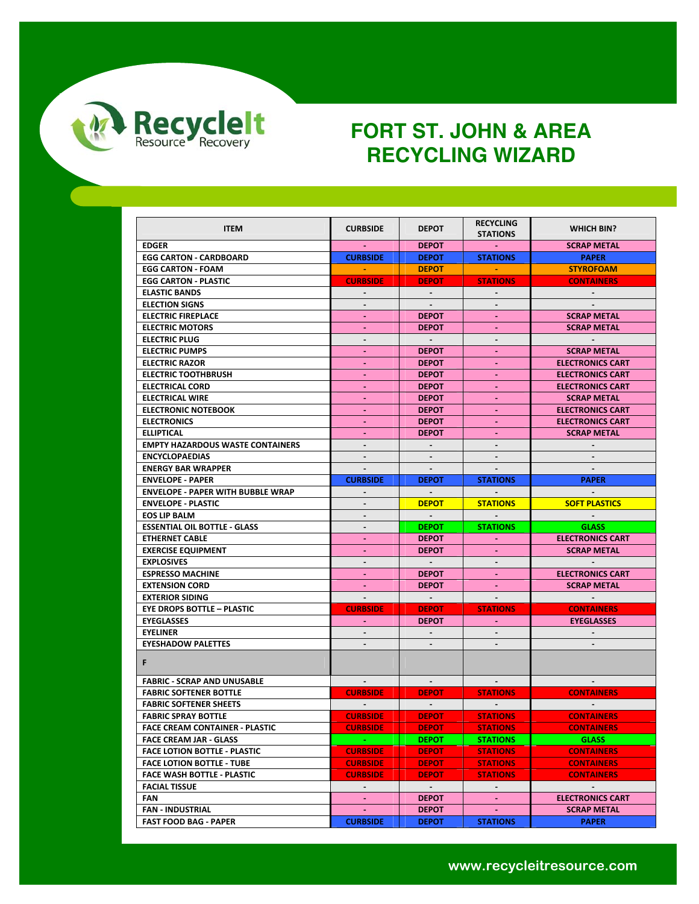

| <b>ITEM</b>                              | <b>CURBSIDE</b> | <b>DEPOT</b>   | <b>RECYCLING</b><br><b>STATIONS</b> | WHICH BIN?              |
|------------------------------------------|-----------------|----------------|-------------------------------------|-------------------------|
| <b>EDGER</b>                             |                 | <b>DEPOT</b>   |                                     | <b>SCRAP METAL</b>      |
| <b>EGG CARTON - CARDBOARD</b>            | <b>CURBSIDE</b> | <b>DEPOT</b>   | <b>STATIONS</b>                     | <b>PAPER</b>            |
| <b>EGG CARTON - FOAM</b>                 | <b>Contract</b> | <b>DEPOT</b>   |                                     | <b>STYROFOAM</b>        |
| <b>EGG CARTON - PLASTIC</b>              | <b>CURBSIDE</b> | <b>DEPOT</b>   | <b>STATIONS</b>                     | <b>CONTAINERS</b>       |
| <b>ELASTIC BANDS</b>                     | $\sim$          | $\sim$         | $\sim$                              | $\sim$                  |
| <b>ELECTION SIGNS</b>                    | $\blacksquare$  | $\sim$         |                                     |                         |
| <b>ELECTRIC FIREPLACE</b>                |                 | <b>DEPOT</b>   |                                     | <b>SCRAP METAL</b>      |
| <b>ELECTRIC MOTORS</b>                   | ÷.              | <b>DEPOT</b>   |                                     | <b>SCRAP METAL</b>      |
| <b>ELECTRIC PLUG</b>                     | $\blacksquare$  | $\sim$ $-$     | $\blacksquare$                      | $\sim 100$ m $^{-1}$    |
| <b>ELECTRIC PUMPS</b>                    | ÷.              | <b>DEPOT</b>   |                                     | <b>SCRAP METAL</b>      |
| <b>ELECTRIC RAZOR</b>                    |                 | <b>DEPOT</b>   |                                     | <b>ELECTRONICS CART</b> |
| <b>ELECTRIC TOOTHBRUSH</b>               | $\blacksquare$  | <b>DEPOT</b>   | $\sim$                              | <b>ELECTRONICS CART</b> |
| <b>ELECTRICAL CORD</b>                   | ٠               | <b>DEPOT</b>   |                                     | <b>ELECTRONICS CART</b> |
| <b>ELECTRICAL WIRE</b>                   | ٠               | <b>DEPOT</b>   |                                     | <b>SCRAP METAL</b>      |
| <b>ELECTRONIC NOTEBOOK</b>               | ä,              | <b>DEPOT</b>   | $\omega$                            | <b>ELECTRONICS CART</b> |
| <b>ELECTRONICS</b>                       | ٠               | <b>DEPOT</b>   |                                     | <b>ELECTRONICS CART</b> |
| <b>ELLIPTICAL</b>                        | ÷.              | <b>DEPOT</b>   |                                     | <b>SCRAP METAL</b>      |
| <b>EMPTY HAZARDOUS WASTE CONTAINERS</b>  | $\blacksquare$  |                |                                     |                         |
| <b>ENCYCLOPAEDIAS</b>                    | $\blacksquare$  | $\sim$         | $\sim$                              | $\sim$                  |
| <b>ENERGY BAR WRAPPER</b>                |                 |                |                                     |                         |
| <b>ENVELOPE - PAPER</b>                  | <b>CURBSIDE</b> | <b>DEPOT</b>   | <b>STATIONS</b>                     | <b>PAPER</b>            |
| <b>ENVELOPE - PAPER WITH BUBBLE WRAP</b> | ÷.              | $\sim$         | $\sim$ $^{-1}$                      | $\Delta \phi$           |
| <b>ENVELOPE - PLASTIC</b>                | ۰.              | <b>DEPOT</b>   | <b>STATIONS</b>                     | <b>SOFT PLASTICS</b>    |
| <b>EOS LIP BALM</b>                      | $\frac{1}{2}$   | $\sim 100$     |                                     | $\sim$                  |
| <b>ESSENTIAL OIL BOTTLE - GLASS</b>      | $\blacksquare$  | <b>DEPOT</b>   | <b>STATIONS</b>                     | <b>GLASS</b>            |
| <b>ETHERNET CABLE</b>                    | $\blacksquare$  | <b>DEPOT</b>   | $\sim$                              | <b>ELECTRONICS CART</b> |
| <b>EXERCISE EQUIPMENT</b>                | ä,              | <b>DEPOT</b>   |                                     | <b>SCRAP METAL</b>      |
| <b>EXPLOSIVES</b>                        | $\blacksquare$  | $\sim 10^{-1}$ |                                     |                         |
| <b>ESPRESSO MACHINE</b>                  | ä,              | <b>DEPOT</b>   | $\omega_{\rm{eff}}$                 | <b>ELECTRONICS CART</b> |
| <b>EXTENSION CORD</b>                    |                 | <b>DEPOT</b>   |                                     | <b>SCRAP METAL</b>      |
| <b>EXTERIOR SIDING</b>                   | $\blacksquare$  | $\sim 100$     | $\sim$                              | $\sim$ $-$              |
| <b>EYE DROPS BOTTLE - PLASTIC</b>        | <b>CURBSIDE</b> | <b>DEPOT</b>   | <b>STATIONS</b>                     | <b>CONTAINERS</b>       |
| <b>EYEGLASSES</b>                        | $\blacksquare$  | <b>DEPOT</b>   | $\sim$                              | <b>EYEGLASSES</b>       |
| <b>EYELINER</b>                          |                 |                |                                     |                         |
| <b>EYESHADOW PALETTES</b>                |                 |                |                                     |                         |
| F.                                       |                 |                |                                     |                         |
| <b>FABRIC - SCRAP AND UNUSABLE</b>       | $\sim$ $-$      | $\sim$         | $\sim$                              |                         |
| <b>FABRIC SOFTENER BOTTLE</b>            | <b>CURBSIDE</b> | <b>DEPOT</b>   | <b>STATIONS</b>                     | <b>CONTAINERS</b>       |
| <b>FABRIC SOFTENER SHEETS</b>            | $\sim 100$      | $\sim$ $-$     | $\sim 10^{-1}$                      | $\sim 100$              |
| <b>FABRIC SPRAY BOTTLE</b>               | <b>CURBSIDE</b> | <b>DEPOT</b>   | <b>STATIONS</b>                     | <b>CONTAINERS</b>       |
| <b>FACE CREAM CONTAINER - PLASTIC</b>    | <b>CURBSIDE</b> | <b>DEPOT</b>   | <b>STATIONS</b>                     | <b>CONTAINERS</b>       |
| <b>FACE CREAM JAR - GLASS</b>            |                 | <b>DEPOT</b>   | <b>STATIONS</b>                     | <b>GLASS</b>            |
| <b>FACE LOTION BOTTLE - PLASTIC</b>      | <b>CURBSIDE</b> | <b>DEPOT</b>   | <b>STATIONS</b>                     | <b>CONTAINERS</b>       |
| <b>FACE LOTION BOTTLE - TUBE</b>         | <b>CURBSIDE</b> | <b>DEPOT</b>   | <b>STATIONS</b>                     | <b>CONTAINERS</b>       |
| <b>FACE WASH BOTTLE - PLASTIC</b>        | <b>CURBSIDE</b> | <b>DEPOT</b>   | <b>STATIONS</b>                     | <b>CONTAINERS</b>       |
| <b>FACIAL TISSUE</b>                     | $\sim$          | $\sim$         | $\sim$                              | $\sim 10$               |
| FAN                                      | $\blacksquare$  | <b>DEPOT</b>   | $\sim$                              | <b>ELECTRONICS CART</b> |
| <b>FAN - INDUSTRIAL</b>                  | $\blacksquare$  | <b>DEPOT</b>   | $\sim$                              | <b>SCRAP METAL</b>      |
| <b>FAST FOOD BAG - PAPER</b>             | <b>CURBSIDE</b> | <b>DEPOT</b>   | <b>STATIONS</b>                     | <b>PAPER</b>            |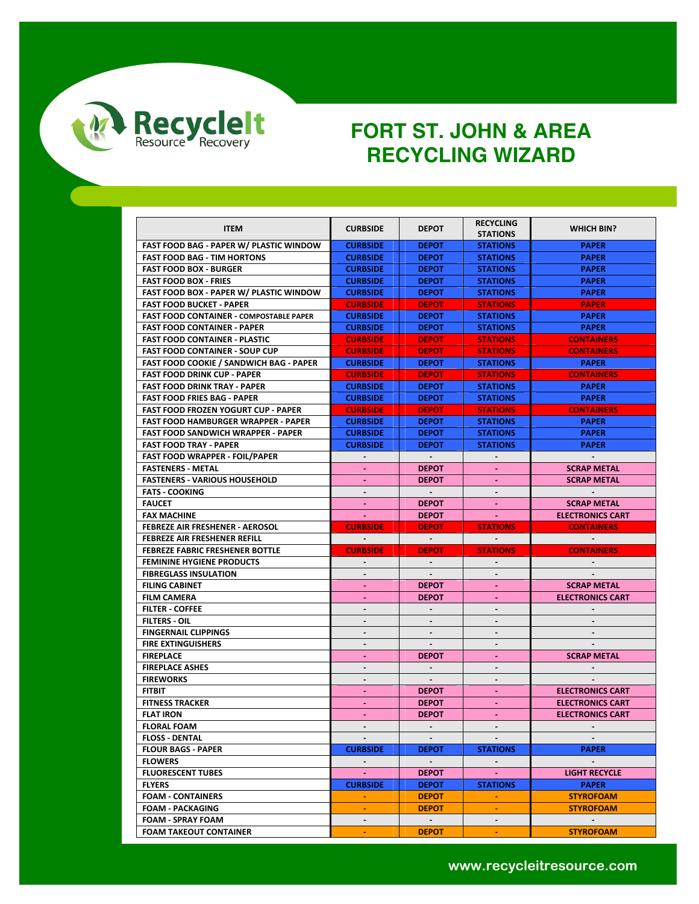

| <b>ITEM</b>                                    | <b>CURBSIDE</b>  | <b>DEPOT</b>    | <b>RECYCLING</b> | <b>WHICH BIN?</b>        |
|------------------------------------------------|------------------|-----------------|------------------|--------------------------|
|                                                |                  |                 | <b>STATIONS</b>  |                          |
| <b>FAST FOOD BAG - PAPER W/ PLASTIC WINDOW</b> | <b>CURBSIDE</b>  | <b>DEPOT</b>    | <b>STATIONS</b>  | <b>PAPER</b>             |
| <b>FAST FOOD BAG - TIM HORTONS</b>             | <b>CURBSIDE</b>  | <b>DEPOT</b>    | <b>STATIONS</b>  | <b>PAPER</b>             |
| <b>FAST FOOD BOX - BURGER</b>                  | <b>CURBSIDE</b>  | <b>DEPOT</b>    | <b>STATIONS</b>  | <b>PAPER</b>             |
| <b>FAST FOOD BOX - FRIES</b>                   | <b>CURBSIDE</b>  | <b>DEPOT</b>    | <b>STATIONS</b>  | <b>PAPER</b>             |
| <b>FAST FOOD BOX - PAPER W/ PLASTIC WINDOW</b> | <b>CURBSIDE</b>  | <b>DEPOT</b>    | <b>STATIONS</b>  | <b>PAPER</b>             |
| <b>FAST FOOD BUCKET - PAPER</b>                | <b>CURBSIDE</b>  | <b>DEPOT</b>    | <b>STATIONS</b>  | <b>PAPER</b>             |
| <b>FAST FOOD CONTAINER - COMPOSTABLE PAPER</b> | <b>CURBSIDE</b>  | <b>DEPOT</b>    | <b>STATIONS</b>  | <b>PAPER</b>             |
| <b>FAST FOOD CONTAINER - PAPER</b>             | <b>CURBSIDE</b>  | <b>DEPOT</b>    | <b>STATIONS</b>  | <b>PAPER</b>             |
| <b>FAST FOOD CONTAINER - PLASTIC</b>           | <b>CURBSIDE</b>  | <b>DEPOT</b>    | <b>STATIONS</b>  | <b>CONTAINERS</b>        |
| <b>FAST FOOD CONTAINER - SOUP CUP</b>          | <b>CURBSIDE</b>  | <b>DEPOT</b>    | <b>STATIONS</b>  | <b>CONTAINERS</b>        |
| <b>FAST FOOD COOKIE / SANDWICH BAG - PAPER</b> | <b>CURBSIDE</b>  | <b>DEPOT</b>    | <b>STATIONS</b>  | <b>PAPER</b>             |
| <b>FAST FOOD DRINK CUP - PAPER</b>             | <b>CURBSIDE</b>  | <b>DEPOT</b>    | <b>STATIONS</b>  | <b>CONTAINERS</b>        |
| <b>FAST FOOD DRINK TRAY - PAPER</b>            | <b>CURBSIDE</b>  | <b>DEPOT</b>    | <b>STATIONS</b>  | <b>PAPER</b>             |
| <b>FAST FOOD FRIES BAG - PAPER</b>             | <b>CURBSIDE</b>  | <b>DEPOT</b>    | <b>STATIONS</b>  | <b>PAPER</b>             |
| <b>FAST FOOD FROZEN YOGURT CUP - PAPER</b>     | <b>CURBSIDE</b>  | <b>DEPOT</b>    | <b>STATIONS</b>  | <b>CONTAINERS</b>        |
| <b>FAST FOOD HAMBURGER WRAPPER - PAPER</b>     | <b>CURBSIDE</b>  | <b>DEPOT</b>    | <b>STATIONS</b>  | <b>PAPER</b>             |
| <b>FAST FOOD SANDWICH WRAPPER - PAPER</b>      | <b>CURBSIDE</b>  | <b>DEPOT</b>    | <b>STATIONS</b>  | <b>PAPER</b>             |
| <b>FAST FOOD TRAY - PAPER</b>                  | <b>CURBSIDE</b>  | <b>DEPOT</b>    | <b>STATIONS</b>  | <b>PAPER</b>             |
| <b>FAST FOOD WRAPPER - FOIL/PAPER</b>          |                  | $\sim$          |                  |                          |
| <b>FASTENERS - METAL</b>                       | $\sim$           | <b>DEPOT</b>    |                  | <b>SCRAP METAL</b>       |
| <b>FASTENERS - VARIOUS HOUSEHOLD</b>           |                  | <b>DEPOT</b>    |                  | <b>SCRAP METAL</b>       |
| <b>FATS - COOKING</b>                          | $\blacksquare$   | $\sim$          | $\blacksquare$   |                          |
| <b>FAUCET</b>                                  |                  | <b>DEPOT</b>    |                  | <b>SCRAP METAL</b>       |
| <b>FAX MACHINE</b>                             | <b>College</b>   | <b>DEPOT</b>    | <b>Contract</b>  | <b>ELECTRONICS CART</b>  |
|                                                |                  |                 |                  |                          |
| <b>FEBREZE AIR FRESHENER - AEROSOL</b>         | <b>CURBSIDE</b>  | <b>DEPOT</b>    | <b>STATIONS</b>  | <b>CONTAINERS</b>        |
| <b>FEBREZE AIR FRESHENER REFILL</b>            | $\blacksquare$   | $\sim$          |                  | $\sim$                   |
| <b>FEBREZE FABRIC FRESHENER BOTTLE</b>         | <b>CURBSIDE</b>  | <b>DEPOT</b>    | <b>STATIONS</b>  | <b>CONTAINERS</b>        |
| <b>FEMININE HYGIENE PRODUCTS</b>               |                  |                 |                  |                          |
| <b>FIBREGLASS INSULATION</b>                   | $\blacksquare$   | $\blacksquare$  | $\blacksquare$   |                          |
| <b>FILING CABINET</b>                          | ٠                | <b>DEPOT</b>    | $\sim$           | <b>SCRAP METAL</b>       |
| <b>FILM CAMERA</b>                             |                  | <b>DEPOT</b>    |                  | <b>ELECTRONICS CART</b>  |
| <b>FILTER - COFFEE</b>                         | $\blacksquare$   | $\mathbf{r}$    | $\blacksquare$   |                          |
| <b>FILTERS OIL</b>                             | $\blacksquare$   |                 |                  |                          |
| <b>FINGERNAIL CLIPPINGS</b>                    | $\overline{a}$   | $\blacksquare$  |                  |                          |
| <b>FIRE EXTINGUISHERS</b>                      |                  |                 |                  |                          |
| <b>FIREPLACE</b>                               | ٠                | <b>DEPOT</b>    | $\sim$           | <b>SCRAP METAL</b>       |
| <b>FIREPLACE ASHES</b>                         |                  |                 |                  |                          |
| <b>FIREWORKS</b>                               |                  | $\sim$          |                  |                          |
| <b>FITBIT</b>                                  | $\blacksquare$   | <b>DEPOT</b>    |                  | <b>ELECTRONICS CART</b>  |
| <b>FITNESS TRACKER</b>                         |                  | <b>DEPOT</b>    |                  | <b>ELECTRONICS CART</b>  |
| <b>FLAT IRON</b>                               | $\blacksquare$   | <b>DEPOT</b>    | $\blacksquare$   | <b>ELECTRONICS CART</b>  |
| <b>FLORAL FOAM</b>                             |                  |                 |                  |                          |
| <b>FLOSS - DENTAL</b>                          | $\sim$           | $\sim$          |                  |                          |
| <b>FLOUR BAGS - PAPER</b>                      | <b>CURBSIDE</b>  | <b>DEPOT</b>    | <b>STATIONS</b>  | <b>PAPER</b>             |
| <b>FLOWERS</b>                                 | $\sim$ 100 $\pm$ | $\sim 100$      |                  | <b>Contract Contract</b> |
| <b>FLUORESCENT TUBES</b>                       | $\sim$           | <b>DEPOT</b>    | $\sim$           | <b>LIGHT RECYCLE</b>     |
| <b>FLYERS</b>                                  | <b>CURBSIDE</b>  | <b>DEPOT</b>    | <b>STATIONS</b>  | <b>PAPER</b>             |
| <b>FOAM - CONTAINERS</b>                       | $\sim$           | <b>DEPOT</b>    | <b>Section</b>   | <b>STYROFOAM</b>         |
| <b>FOAM - PACKAGING</b>                        |                  | <b>DEPOT</b>    |                  | <b>STYROFOAM</b>         |
| <b>FOAM - SPRAY FOAM</b>                       | $\blacksquare$   | <b>Contract</b> | $\sim$           | <b>Contract Contract</b> |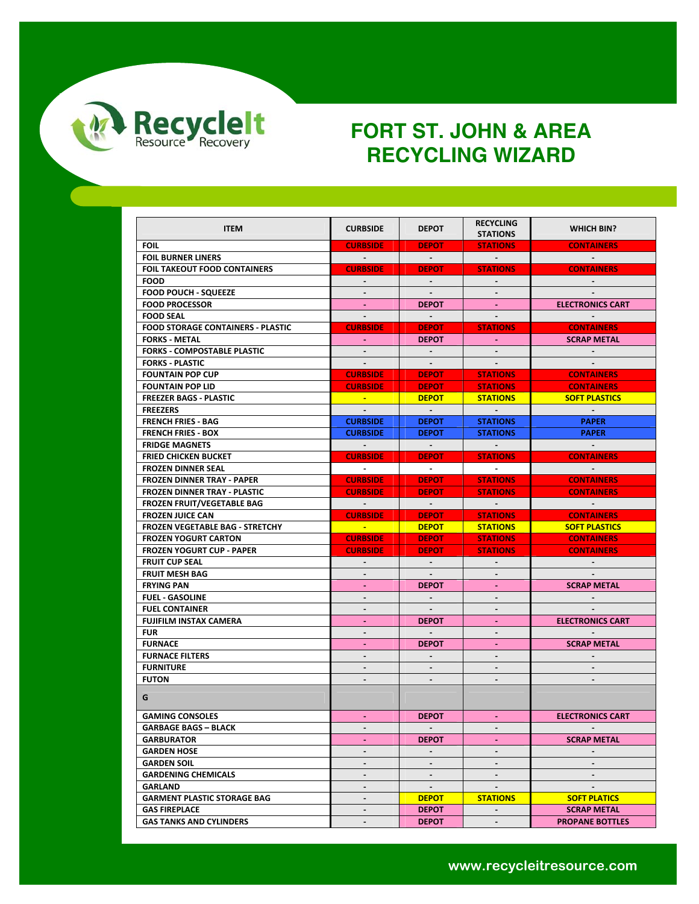

| <b>ITEM</b>                              | <b>CURBSIDE</b>          | <b>DEPOT</b>                                         | <b>RECYCLING</b><br><b>STATIONS</b> | WHICH BIN?               |
|------------------------------------------|--------------------------|------------------------------------------------------|-------------------------------------|--------------------------|
| <b>FOIL</b>                              | <b>CURBSIDE</b>          | <b>DEPOT</b>                                         | <b>STATIONS</b>                     | <b>CONTAINERS</b>        |
| <b>FOIL BURNER LINERS</b>                | $\sim 100$               | $\alpha$ , $\alpha$ , $\alpha$ , $\alpha$ , $\alpha$ | <b>Service Contract</b>             | <b>Contract Service</b>  |
| <b>FOIL TAKEOUT FOOD CONTAINERS</b>      | <b>CURBSIDE</b>          | <b>DEPOT</b>                                         | <b>STATIONS</b>                     | <b>CONTAINERS</b>        |
| <b>FOOD</b>                              |                          |                                                      |                                     |                          |
| <b>FOOD POUCH - SQUEEZE</b>              | $\sim$                   | $\sim$                                               | $\sim$                              |                          |
| <b>FOOD PROCESSOR</b>                    | $\sim$                   | <b>DEPOT</b>                                         |                                     | <b>ELECTRONICS CART</b>  |
| <b>FOOD SEAL</b>                         | $\sim$                   | $\sim 100$                                           |                                     |                          |
| <b>FOOD STORAGE CONTAINERS - PLASTIC</b> | <b>CURBSIDE</b>          | <b>DEPOT</b>                                         | <b>STATIONS</b>                     | <b>CONTAINERS</b>        |
| <b>FORKS - METAL</b>                     | $\mathbf{m} = 0.01$      | <b>DEPOT</b>                                         |                                     | <b>SCRAP METAL</b>       |
| <b>FORKS - COMPOSTABLE PLASTIC</b>       | $\sim$                   | $\sim$                                               |                                     |                          |
| <b>FORKS - PLASTIC</b>                   | $\sim$                   |                                                      |                                     |                          |
| <b>FOUNTAIN POP CUP</b>                  | <b>CURBSIDE</b>          | <b>DEPOT</b>                                         | <b>STATIONS</b>                     | <b>CONTAINERS</b>        |
| <b>FOUNTAIN POP LID</b>                  | <b>CURBSIDE</b>          | <b>DEPOT</b>                                         | <b>STATIONS</b>                     | <b>CONTAINERS</b>        |
| <b>FREEZER BAGS - PLASTIC</b>            | <b>College</b>           | <b>DEPOT</b>                                         | <b>STATIONS</b>                     | <b>SOFT PLASTICS</b>     |
| <b>FREEZERS</b>                          | $\sim$                   | $\sim 10^{-1}$                                       | $\sim 100$ m $^{-1}$                | $\sim 100$               |
| <b>FRENCH FRIES - BAG</b>                | <b>CURBSIDE</b>          | <b>DEPOT</b>                                         | <b>STATIONS</b>                     | <b>PAPER</b>             |
| <b>FRENCH FRIES BOX</b>                  | <b>CURBSIDE</b>          | <b>DEPOT</b>                                         | <b>STATIONS</b>                     | <b>PAPER</b>             |
| <b>FRIDGE MAGNETS</b>                    |                          |                                                      |                                     |                          |
| <b>FRIED CHICKEN BUCKET</b>              | <b>CURBSIDE</b>          | <b>DEPOT</b>                                         | <b>STATIONS</b>                     | <b>CONTAINERS</b>        |
| <b>FROZEN DINNER SEAL</b>                | <b>Contract Contract</b> | <b>Contract Contract</b>                             | <b>Contractor</b>                   | <b>Contract Contract</b> |
| <b>FROZEN DINNER TRAY - PAPER</b>        | <b>CURBSIDE</b>          | <b>DEPOT</b>                                         | <b>STATIONS</b>                     | <b>CONTAINERS</b>        |
| <b>FROZEN DINNER TRAY - PLASTIC</b>      | <b>CURBSIDE</b>          | <b>DEPOT</b>                                         | <b>STATIONS</b>                     | <b>CONTAINERS</b>        |
| <b>FROZEN FRUIT/VEGETABLE BAG</b>        | <b>Contract Contract</b> | $\sim 100$                                           | <b>Contractor</b>                   | $\sim 100$ km s $^{-1}$  |
| <b>FROZEN JUICE CAN</b>                  | <b>CURBSIDE</b>          | <b>DEPOT</b>                                         | <b>STATIONS</b>                     | <b>CONTAINERS</b>        |
| <b>FROZEN VEGETABLE BAG - STRETCHY</b>   | <u> Timbu a T</u>        | <b>DEPOT</b>                                         | <b>STATIONS</b>                     | <b>SOFT PLASTICS</b>     |
| <b>FROZEN YOGURT CARTON</b>              | <b>CURBSIDE</b>          | <b>DEPOT</b>                                         | <b>STATIONS</b>                     | <b>CONTAINERS</b>        |
| <b>FROZEN YOGURT CUP - PAPER</b>         | <b>CURBSIDE</b>          | <b>DEPOT</b>                                         | <b>STATIONS</b>                     | <b>CONTAINERS</b>        |
| <b>FRUIT CUP SEAL</b>                    |                          |                                                      |                                     |                          |
| <b>FRUIT MESH BAG</b>                    | $\blacksquare$           | $\sim$                                               | $\sim$                              |                          |
| <b>FRYING PAN</b>                        | $\sim$                   | <b>DEPOT</b>                                         | $\sim$                              | <b>SCRAP METAL</b>       |
| <b>FUEL - GASOLINE</b>                   | $\blacksquare$           | $\sim$                                               | $\blacksquare$                      | $\sim$                   |
| <b>FUEL CONTAINER</b>                    | $\blacksquare$           |                                                      |                                     |                          |
| <b>FUJIFILM INSTAX CAMERA</b>            | $\sim$                   | <b>DEPOT</b>                                         | $\sim$                              | <b>ELECTRONICS CART</b>  |
| <b>FUR</b>                               | $\frac{1}{2}$            | $\sim$                                               |                                     |                          |
| <b>FURNACE</b>                           |                          | <b>DEPOT</b>                                         |                                     | <b>SCRAP METAL</b>       |
| <b>FURNACE FILTERS</b>                   | $\blacksquare$           | $\sim$                                               | $\sim$                              |                          |
| <b>FURNITURE</b>                         | $\blacksquare$           | $\sim$                                               | $\blacksquare$                      |                          |
| <b>FUTON</b>                             | ۰.                       |                                                      | $\blacksquare$                      |                          |
| G                                        |                          | $\sim$                                               |                                     |                          |
|                                          |                          |                                                      |                                     |                          |
| <b>GAMING CONSOLES</b>                   | $\sim$                   | <b>DEPOT</b>                                         |                                     | <b>ELECTRONICS CART</b>  |
| <b>GARBAGE BAGS - BLACK</b>              | ۰                        | $\sim$                                               |                                     |                          |
| <b>GARBURATOR</b>                        | ٠                        | <b>DEPOT</b>                                         | $\sim$                              | <b>SCRAP METAL</b>       |
| <b>GARDEN HOSE</b>                       | $\blacksquare$           | $\blacksquare$                                       | $\blacksquare$                      |                          |
| <b>GARDEN SOIL</b>                       |                          |                                                      |                                     |                          |
| <b>GARDENING CHEMICALS</b>               | $\overline{\phantom{a}}$ |                                                      | $\blacksquare$                      |                          |
| <b>GARLAND</b>                           | ۰.                       | $\blacksquare$                                       | $\blacksquare$                      | $\blacksquare$           |
| <b>GARMENT PLASTIC STORAGE BAG</b>       | -                        | <b>DEPOT</b>                                         | <b>STATIONS</b>                     | <b>SOFT PLATICS</b>      |
| <b>GAS FIREPLACE</b>                     | -                        | <b>DEPOT</b>                                         | $\sim$                              | <b>SCRAP METAL</b>       |
| <b>GAS TANKS AND CYLINDERS</b>           |                          | <b>DEPOT</b>                                         |                                     | <b>PROPANE BOTTLES</b>   |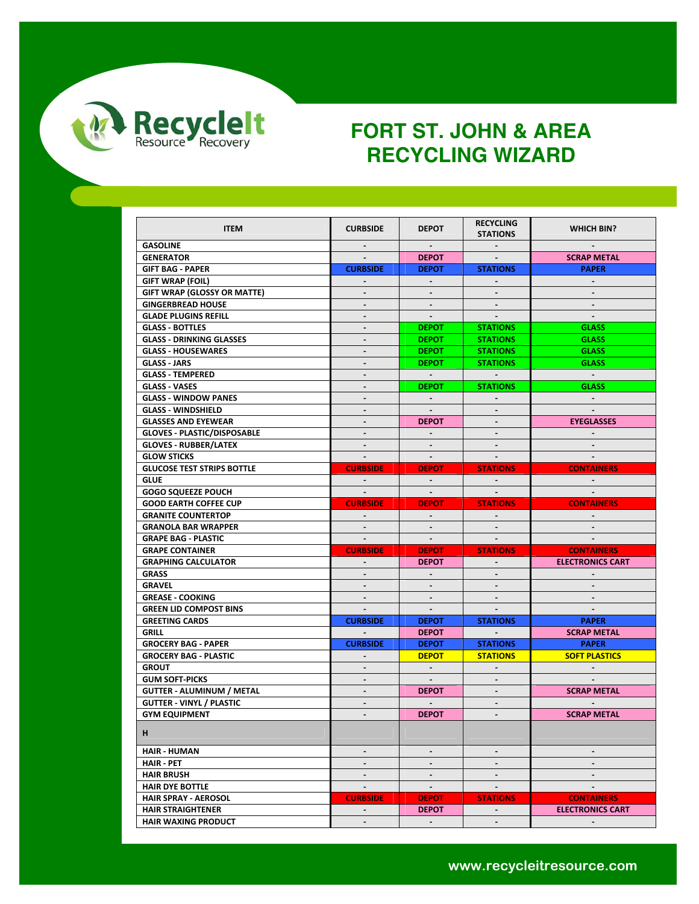

| <b>ITEM</b>                        | <b>CURBSIDE</b>          | <b>DEPOT</b>   | <b>RECYCLING</b>          | <b>WHICH BIN?</b>       |
|------------------------------------|--------------------------|----------------|---------------------------|-------------------------|
| <b>GASOLINE</b>                    | $\sim$                   | $\sim$         | <b>STATIONS</b><br>$\sim$ | $\sim$                  |
| <b>GENERATOR</b>                   |                          | <b>DEPOT</b>   |                           | <b>SCRAP METAL</b>      |
| <b>GIFT BAG - PAPER</b>            | <b>CURBSIDE</b>          | <b>DEPOT</b>   | <b>STATIONS</b>           | <b>PAPER</b>            |
| GIFT WRAP (FOIL)                   |                          |                |                           |                         |
| <b>GIFT WRAP (GLOSSY OR MATTE)</b> | $\blacksquare$           | $\sim$         | $\sim$                    | $\sim$                  |
| <b>GINGERBREAD HOUSE</b>           | $\frac{1}{2}$            |                |                           |                         |
| <b>GLADE PLUGINS REFILL</b>        |                          |                |                           |                         |
| <b>GLASS - BOTTLES</b>             | $\overline{\phantom{0}}$ | <b>DEPOT</b>   | <b>STATIONS</b>           | <b>GLASS</b>            |
| <b>GLASS - DRINKING GLASSES</b>    | ۰                        | <b>DEPOT</b>   | <b>STATIONS</b>           | <b>GLASS</b>            |
| <b>GLASS - HOUSEWARES</b>          | $\overline{a}$           | <b>DEPOT</b>   | <b>STATIONS</b>           | <b>GLASS</b>            |
| GLASS JARS                         | $\overline{\phantom{m}}$ | <b>DEPOT</b>   | <b>STATIONS</b>           | <b>GLASS</b>            |
| <b>GLASS - TEMPERED</b>            | $\blacksquare$           | $\sim 10^{-1}$ |                           | $\sim 100$              |
| <b>GLASS VASES</b>                 | $\overline{a}$           | <b>DEPOT</b>   | <b>STATIONS</b>           | <b>GLASS</b>            |
| <b>GLASS - WINDOW PANES</b>        | $\blacksquare$           | $\sim$         |                           | $\sim$                  |
| <b>GLASS - WINDSHIELD</b>          | $\blacksquare$           | $\blacksquare$ |                           |                         |
| <b>GLASSES AND EYEWEAR</b>         | $\frac{1}{2}$            | <b>DEPOT</b>   |                           | <b>EYEGLASSES</b>       |
| <b>GLOVES - PLASTIC/DISPOSABLE</b> | $\blacksquare$           | $\sim$         | $\sim$                    |                         |
| <b>GLOVES - RUBBER/LATEX</b>       |                          |                |                           |                         |
| <b>GLOW STICKS</b>                 | $\sim$                   | $\sim$         | $\sim$                    |                         |
| <b>GLUCOSE TEST STRIPS BOTTLE</b>  | <b>CURBSIDE</b>          | <b>DEPOT</b>   | <b>STATIONS</b>           | <b>CONTAINERS</b>       |
| <b>GLUE</b>                        | $\sim$ $-$               | $\sim$         |                           | $\sim$                  |
| <b>GOGO SQUEEZE POUCH</b>          | $\sim$                   | $\blacksquare$ | $\sim$                    |                         |
| <b>GOOD EARTH COFFEE CUP</b>       | <b>CURBSIDE</b>          | <b>DEPOT</b>   | <b>STATIONS</b>           | <b>CONTAINERS</b>       |
| <b>GRANITE COUNTERTOP</b>          | $\sim$                   | $\sim$         |                           |                         |
| <b>GRANOLA BAR WRAPPER</b>         |                          |                |                           |                         |
|                                    |                          |                |                           |                         |
|                                    |                          |                |                           |                         |
| <b>GRAPE BAG - PLASTIC</b>         | $\sim$                   | $\sim$         | $\sim$                    | $\sim$                  |
| <b>GRAPE CONTAINER</b>             | <b>CURBSIDE</b>          | <b>DEPOT</b>   | <b>STATIONS</b>           | <b>CONTAINERS</b>       |
| <b>GRAPHING CALCULATOR</b>         |                          | <b>DEPOT</b>   | $\sim$                    | <b>ELECTRONICS CART</b> |
| <b>GRASS</b>                       | $\blacksquare$           | $\sim$         |                           |                         |
| <b>GRAVEL</b>                      | $\blacksquare$           |                |                           |                         |
| <b>GREASE - COOKING</b>            | $\sim$                   | $\sim$         | $\sim$                    |                         |
| <b>GREEN LID COMPOST BINS</b>      | $\sim$                   | $\sim$         |                           |                         |
| <b>GREETING CARDS</b>              | <b>CURBSIDE</b>          | <b>DEPOT</b>   | <b>STATIONS</b>           | <b>PAPER</b>            |
| <b>GRILL</b>                       |                          | <b>DEPOT</b>   |                           | <b>SCRAP METAL</b>      |
| <b>GROCERY BAG - PAPER</b>         | <b>CURBSIDE</b>          | <b>DEPOT</b>   | <b>STATIONS</b>           | <b>PAPER</b>            |
| <b>GROCERY BAG - PLASTIC</b>       | $\blacksquare$           | <b>DEPOT</b>   | <b>STATIONS</b>           | <b>SOFT PLASTICS</b>    |
| <b>GROUT</b>                       | $\blacksquare$           |                |                           |                         |
| <b>GUM SOFT-PICKS</b>              | $\sim$                   | $\sim$ $-$     |                           |                         |
| <b>GUTTER - ALUMINUM / METAL</b>   | $\mathcal{L}^{\pm}$      | <b>DEPOT</b>   | $\mathbf{r}$              | <b>SCRAP METAL</b>      |
| <b>GUTTER - VINYL / PLASTIC</b>    | $\blacksquare$           |                | $\blacksquare$            |                         |
| <b>GYM EQUIPMENT</b>               | $\frac{1}{2}$            | <b>DEPOT</b>   |                           | <b>SCRAP METAL</b>      |
| н                                  |                          |                |                           |                         |
| <b>HAIR - HUMAN</b>                | $\blacksquare$           | $\sim$         | $\blacksquare$            | $\blacksquare$          |
| <b>HAIR - PET</b>                  | $\frac{1}{2}$            | $\sim$         |                           |                         |
| <b>HAIR BRUSH</b>                  | $\blacksquare$           | $\blacksquare$ | $\blacksquare$            | $\sim$                  |
| <b>HAIR DYE BOTTLE</b>             | $\sim$                   | $\sim$         | $\blacksquare$            | $\blacksquare$          |
| <b>HAIR SPRAY - AEROSOL</b>        | <b>CURBSIDE</b>          | <b>DEPOT</b>   | <b>STATIONS</b>           | <b>CONTAINERS</b>       |
| <b>HAIR STRAIGHTENER</b>           | $\sim$                   | <b>DEPOT</b>   | $\sim$                    | <b>ELECTRONICS CART</b> |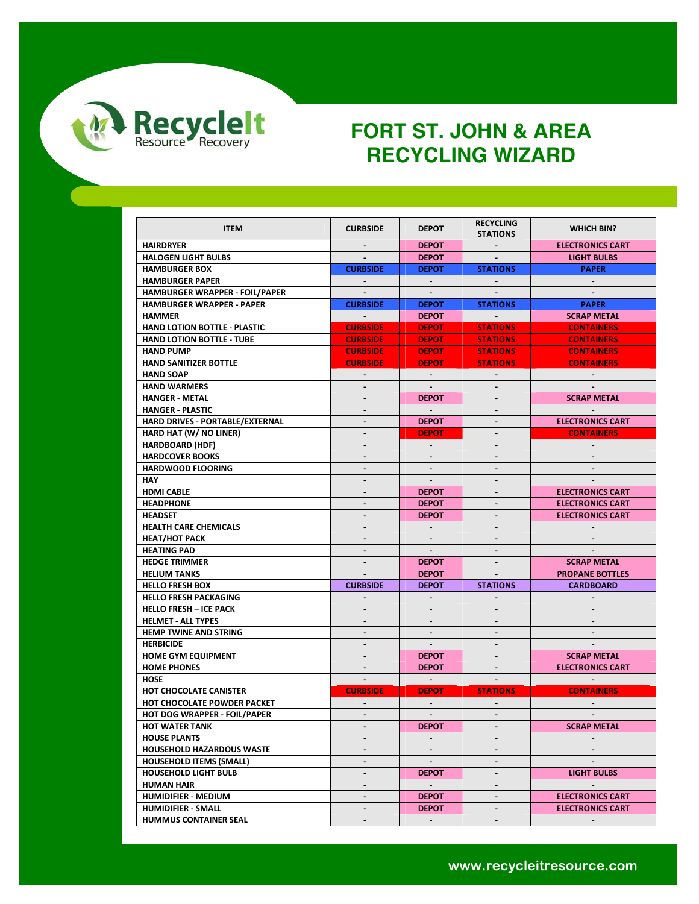

| <b>ITEM</b>                                          | <b>CURBSIDE</b>          | <b>DEPOT</b>   | <b>RECYCLING</b><br><b>STATIONS</b> | WHICH BIN?              |
|------------------------------------------------------|--------------------------|----------------|-------------------------------------|-------------------------|
| <b>HAIRDRYER</b>                                     | $\blacksquare$           | <b>DEPOT</b>   | $\sim$                              | <b>ELECTRONICS CART</b> |
| <b>HALOGEN LIGHT BULBS</b>                           |                          | <b>DEPOT</b>   |                                     | <b>LIGHT BULBS</b>      |
| <b>HAMBURGER BOX</b>                                 | <b>CURBSIDE</b>          | <b>DEPOT</b>   | <b>STATIONS</b>                     | <b>PAPER</b>            |
| <b>HAMBURGER PAPER</b>                               |                          |                |                                     |                         |
| <b>HAMBURGER WRAPPER - FOIL/PAPER</b>                | $\blacksquare$           | $\sim$         |                                     |                         |
| <b>HAMBURGER WRAPPER - PAPER</b>                     | <b>CURBSIDE</b>          | <b>DEPOT</b>   | <b>STATIONS</b>                     | <b>PAPER</b>            |
| <b>HAMMER</b>                                        |                          | <b>DEPOT</b>   | <b>Contract Contract</b>            | <b>SCRAP METAL</b>      |
| <b>HAND LOTION BOTTLE - PLASTIC</b>                  | <b>CURBSIDE</b>          | <b>DEPOT</b>   | <b>STATIONS</b>                     | <b>CONTAINERS</b>       |
|                                                      |                          |                |                                     |                         |
| <b>HAND LOTION BOTTLE - TUBE</b><br><b>HAND PUMP</b> | <b>CURBSIDE</b>          | <b>DEPOT</b>   | <b>STATIONS</b>                     | <b>CONTAINERS</b>       |
|                                                      | <b>CURBSIDE</b>          | <b>DEPOT</b>   | <b>STATIONS</b>                     | <b>CONTAINERS</b>       |
| <b>HAND SANITIZER BOTTLE</b>                         | <b>CURBSIDE</b>          | <b>DEPOT</b>   | <b>STATIONS</b>                     | <b>CONTAINERS</b>       |
| <b>HAND SOAP</b>                                     | $\blacksquare$           | $\sim$         | $\blacksquare$                      |                         |
| <b>HAND WARMERS</b>                                  |                          | $\sim$         |                                     |                         |
| <b>HANGER - METAL</b>                                | $\blacksquare$           | <b>DEPOT</b>   |                                     | <b>SCRAP METAL</b>      |
| <b>HANGER - PLASTIC</b>                              | $\blacksquare$           | $\sim$         | $\overline{\phantom{a}}$            | $\sim$                  |
| HARD DRIVES - PORTABLE/EXTERNAL                      | $\blacksquare$           | <b>DEPOT</b>   | $\blacksquare$                      | <b>ELECTRONICS CART</b> |
| HARD HAT (W/ NO LINER)                               | $\sim$                   | <b>DEPOT</b>   | $\blacksquare$                      | <b>CONTAINERS</b>       |
| <b>HARDBOARD (HDF)</b>                               | $\blacksquare$           |                |                                     |                         |
| <b>HARDCOVER BOOKS</b>                               | $\blacksquare$           | $\sim$         | $\blacksquare$                      |                         |
| <b>HARDWOOD FLOORING</b>                             |                          |                |                                     |                         |
| <b>HAY</b>                                           |                          |                |                                     |                         |
| <b>HDMI CABLE</b>                                    | $\blacksquare$           | <b>DEPOT</b>   | $\overline{\phantom{a}}$            | <b>ELECTRONICS CART</b> |
| <b>HEADPHONE</b>                                     | $\blacksquare$           | <b>DEPOT</b>   | $\blacksquare$                      | <b>ELECTRONICS CART</b> |
| <b>HEADSET</b>                                       | $\blacksquare$           | <b>DEPOT</b>   | $\blacksquare$                      | <b>ELECTRONICS CART</b> |
| <b>HEALTH CARE CHEMICALS</b>                         |                          |                |                                     |                         |
| <b>HEAT/HOT PACK</b>                                 | $\sim$                   | $\sim$         | $\blacksquare$                      | $\sim$                  |
| <b>HEATING PAD</b>                                   |                          | $\sim$         |                                     |                         |
| <b>HEDGE TRIMMER</b>                                 |                          | <b>DEPOT</b>   |                                     | <b>SCRAP METAL</b>      |
| <b>HELIUM TANKS</b>                                  | $\blacksquare$           | <b>DEPOT</b>   | $\mathbf{r}$                        | <b>PROPANE BOTTLES</b>  |
| <b>HELLO FRESH BOX</b>                               | <b>CURBSIDE</b>          | <b>DEPOT</b>   | <b>STATIONS</b>                     | <b>CARDBOARD</b>        |
| <b>HELLO FRESH PACKAGING</b>                         | $\sim$                   | $\blacksquare$ | $\blacksquare$                      |                         |
| <b>HELLO FRESH - ICE PACK</b>                        | $\overline{a}$           |                |                                     |                         |
| <b>HELMET - ALL TYPES</b>                            | $\blacksquare$           | $\sim$         | $\blacksquare$                      |                         |
| <b>HEMP TWINE AND STRING</b>                         | $\blacksquare$           | $\blacksquare$ |                                     |                         |
| <b>HERBICIDE</b>                                     |                          |                |                                     |                         |
| <b>HOME GYM EQUIPMENT</b>                            | $\sim$                   | <b>DEPOT</b>   | $\blacksquare$                      | <b>SCRAP METAL</b>      |
| <b>HOME PHONES</b>                                   | $\overline{\phantom{a}}$ | <b>DEPOT</b>   | $\overline{\phantom{a}}$            | <b>ELECTRONICS CART</b> |
| <b>HOSE</b>                                          | $\sim$                   | $\sim 10^{-1}$ | $\sim$                              | $\sim 100$              |
| HOT CHOCOLATE CANISTER                               | <b>CURBSIDE</b>          | <b>DEPOT</b>   | <b>STATIONS</b>                     | <b>CONTAINERS</b>       |
| HOT CHOCOLATE POWDER PACKET                          | $\blacksquare$           | $\sim$         | $\blacksquare$                      | $\sim$                  |
| <b>HOT DOG WRAPPER - FOIL/PAPER</b>                  | $\blacksquare$           | $\sim$         | $\overline{\phantom{a}}$            |                         |
| <b>HOT WATER TANK</b>                                |                          | <b>DEPOT</b>   |                                     | <b>SCRAP METAL</b>      |
| <b>HOUSE PLANTS</b>                                  | $\blacksquare$           | $\blacksquare$ | $\blacksquare$                      | $\blacksquare$          |
| <b>HOUSEHOLD HAZARDOUS WASTE</b>                     | $\blacksquare$           | $\blacksquare$ |                                     |                         |
| <b>HOUSEHOLD ITEMS (SMALL)</b>                       | $\blacksquare$           | $\sim$         | $\blacksquare$                      | $\sim$                  |
| <b>HOUSEHOLD LIGHT BULB</b>                          | ÷.                       | <b>DEPOT</b>   | $\blacksquare$                      | <b>LIGHT BULBS</b>      |
| <b>HUMAN HAIR</b>                                    | $\blacksquare$           | $\sim$         | $\blacksquare$                      | $\blacksquare$          |
| HUMIDIFIER - MEDIUM                                  |                          | <b>DEPOT</b>   | $\qquad \qquad \blacksquare$        | <b>ELECTRONICS CART</b> |
| <b>HUMIDIFIER - SMALL</b>                            | $\blacksquare$           | <b>DEPOT</b>   | $\blacksquare$                      | <b>ELECTRONICS CART</b> |
| <b>HUMMUS CONTAINER SEAL</b>                         | $\blacksquare$           | $\sim$         | $\blacksquare$                      |                         |
|                                                      |                          |                |                                     |                         |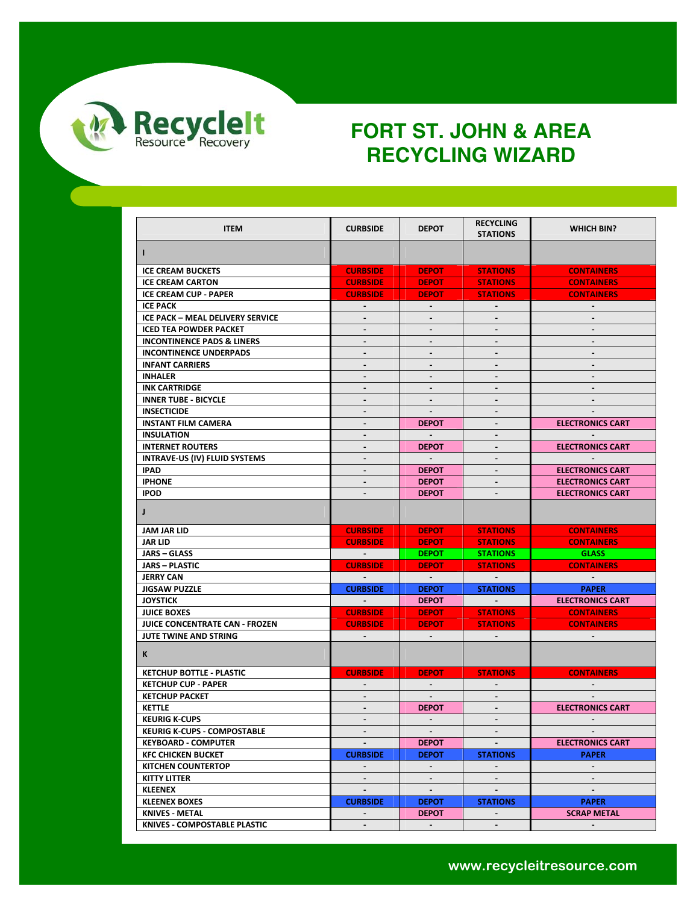

| <b>ITEM</b>                           | <b>CURBSIDE</b>                                                                                                   | <b>DEPOT</b>   | <b>RECYCLING</b><br><b>STATIONS</b> | <b>WHICH BIN?</b>       |
|---------------------------------------|-------------------------------------------------------------------------------------------------------------------|----------------|-------------------------------------|-------------------------|
|                                       |                                                                                                                   |                |                                     |                         |
| L                                     |                                                                                                                   |                |                                     |                         |
| <b>ICE CREAM BUCKETS</b>              | <b>CURBSIDE</b>                                                                                                   | <b>DEPOT</b>   | <b>STATIONS</b>                     | <b>CONTAINERS</b>       |
| <b>ICE CREAM CARTON</b>               | <b>CURBSIDE</b>                                                                                                   | <b>DEPOT</b>   | <b>STATIONS</b>                     | <b>CONTAINERS</b>       |
| <b>ICE CREAM CUP - PAPER</b>          | <b>CURBSIDE</b>                                                                                                   | <b>DEPOT</b>   | <b>STATIONS</b>                     | <b>CONTAINERS</b>       |
| <b>ICE PACK</b>                       | $\sim$                                                                                                            | $\sim$         | $\sim$                              | $\sim$                  |
| ICE PACK - MEAL DELIVERY SERVICE      | $\blacksquare$                                                                                                    | $\blacksquare$ | $\sim$                              | $\sim$                  |
| <b>ICED TEA POWDER PACKET</b>         | $\blacksquare$                                                                                                    | $\blacksquare$ | $\blacksquare$                      |                         |
| <b>INCONTINENCE PADS &amp; LINERS</b> | $\blacksquare$                                                                                                    | $\blacksquare$ | $\blacksquare$                      |                         |
| <b>INCONTINENCE UNDERPADS</b>         | $\blacksquare$                                                                                                    | $\blacksquare$ | $\sim$                              | $\sim$                  |
| <b>INFANT CARRIERS</b>                | $\blacksquare$                                                                                                    | $\blacksquare$ |                                     |                         |
| <b>INHALER</b>                        |                                                                                                                   |                |                                     |                         |
| <b>INK CARTRIDGE</b>                  | $\blacksquare$                                                                                                    | $\blacksquare$ | $\sim$                              | $\sim$                  |
| <b>INNER TUBE - BICYCLE</b>           | $\overline{\phantom{a}}$                                                                                          | $\blacksquare$ | $\blacksquare$                      | $\sim$                  |
| <b>INSECTICIDE</b>                    | $\blacksquare$                                                                                                    | $\sim$         | $\blacksquare$                      |                         |
| <b>INSTANT FILM CAMERA</b>            | $\blacksquare$                                                                                                    | <b>DEPOT</b>   | $\blacksquare$                      | <b>ELECTRONICS CART</b> |
| <b>INSULATION</b>                     | $\overline{\phantom{a}}$                                                                                          | $\sim$         | $\blacksquare$                      |                         |
| <b>INTERNET ROUTERS</b>               | $\qquad \qquad \blacksquare$                                                                                      | <b>DEPOT</b>   |                                     | <b>ELECTRONICS CART</b> |
| INTRAVE-US (IV) FLUID SYSTEMS         |                                                                                                                   |                |                                     |                         |
| <b>IPAD</b>                           | $\blacksquare$                                                                                                    | <b>DEPOT</b>   | $\sim$                              | <b>ELECTRONICS CART</b> |
| <b>IPHONE</b>                         | $\overline{\phantom{a}}$                                                                                          | <b>DEPOT</b>   | $\overline{\phantom{a}}$            | <b>ELECTRONICS CART</b> |
| <b>IPOD</b>                           |                                                                                                                   | <b>DEPOT</b>   |                                     | <b>ELECTRONICS CART</b> |
| $\mathsf{J}$                          |                                                                                                                   |                |                                     |                         |
|                                       |                                                                                                                   |                |                                     |                         |
| <b>JAM JAR LID</b>                    | <b>CURBSIDE</b>                                                                                                   | <b>DEPOT</b>   | <b>STATIONS</b>                     | <b>CONTAINERS</b>       |
| <b>JAR LID</b>                        | <b>CURBSIDE</b>                                                                                                   | <b>DEPOT</b>   | <b>STATIONS</b>                     | <b>CONTAINERS</b>       |
| <b>JARS – GLASS</b>                   | $\mathcal{L}^{\mathcal{L}}(\mathcal{L}^{\mathcal{L}})$ and $\mathcal{L}^{\mathcal{L}}(\mathcal{L}^{\mathcal{L}})$ | <b>DEPOT</b>   | <b>STATIONS</b>                     | <b>GLASS</b>            |
| <b>JARS - PLASTIC</b>                 | <b>CURBSIDE</b>                                                                                                   | <b>DEPOT</b>   | <b>STATIONS</b>                     | <b>CONTAINERS</b>       |
| <b>JERRY CAN</b>                      | $\sim 100$                                                                                                        | $\sim 100$     | <b>Contract Contract Street</b>     | $\sim 100$              |
| <b>JIGSAW PUZZLE</b>                  | <b>CURBSIDE</b>                                                                                                   | <b>DEPOT</b>   | <b>STATIONS</b>                     | <b>PAPER</b>            |
| <b>JOYSTICK</b>                       | <b>Contract Contract</b>                                                                                          | <b>DEPOT</b>   | <b>Service Contract</b>             | <b>ELECTRONICS CART</b> |
| <b>JUICE BOXES</b>                    | <b>CURBSIDE</b>                                                                                                   | <b>DEPOT</b>   | <b>STATIONS</b>                     | <b>CONTAINERS</b>       |
| JUICE CONCENTRATE CAN - FROZEN        | <b>CURBSIDE</b>                                                                                                   | <b>DEPOT</b>   | <b>STATIONS</b>                     | <b>CONTAINERS</b>       |
| JUTE TWINE AND STRING                 |                                                                                                                   | $\sim$         |                                     |                         |
| K                                     |                                                                                                                   |                |                                     |                         |
| <b>KETCHUP BOTTLE - PLASTIC</b>       | <b>CURBSIDE</b>                                                                                                   | <b>DEPOT</b>   | <b>STATIONS</b>                     | <b>CONTAINERS</b>       |
| <b>KETCHUP CUP - PAPER</b>            |                                                                                                                   | $\sim$         |                                     |                         |
| <b>KETCHUP PACKET</b>                 | $\blacksquare$                                                                                                    | $\sim$         | $\sim$                              |                         |
| <b>KETTLE</b>                         | $\blacksquare$                                                                                                    | <b>DEPOT</b>   | $\blacksquare$                      | <b>ELECTRONICS CART</b> |
| <b>KEURIG K-CUPS</b>                  | $\sim$                                                                                                            | $\sim$         | $\sim$                              | $\sim$                  |
| <b>KEURIG K-CUPS - COMPOSTABLE</b>    | $\sim$                                                                                                            | $\sim$         |                                     | $\sim$                  |
| <b>KEYBOARD - COMPUTER</b>            | $\blacksquare$                                                                                                    | <b>DEPOT</b>   |                                     | <b>ELECTRONICS CART</b> |
| <b>KFC CHICKEN BUCKET</b>             | <b>CURBSIDE</b>                                                                                                   | <b>DEPOT</b>   | <b>STATIONS</b>                     | <b>PAPER</b>            |
| <b>KITCHEN COUNTERTOP</b>             | $\sim$                                                                                                            | $\sim$         | $\sim$                              | $\sim$                  |
| <b>KITTY LITTER</b>                   | $\sim$                                                                                                            | $\sim$         | $\sim$                              | $\sim$                  |
| <b>KLEENEX</b>                        | $\blacksquare$                                                                                                    | $\blacksquare$ |                                     |                         |
| <b>KLEENEX BOXES</b>                  | <b>CURBSIDE</b>                                                                                                   | <b>DEPOT</b>   | <b>STATIONS</b>                     | <b>PAPER</b>            |
| <b>KNIVES - METAL</b>                 | $\sim$                                                                                                            | <b>DEPOT</b>   | $\sim$                              | <b>SCRAP METAL</b>      |
| <b>KNIVES - COMPOSTABLE PLASTIC</b>   | $\blacksquare$                                                                                                    | $\sim$         | $\blacksquare$                      | $\sim$                  |
|                                       |                                                                                                                   |                |                                     |                         |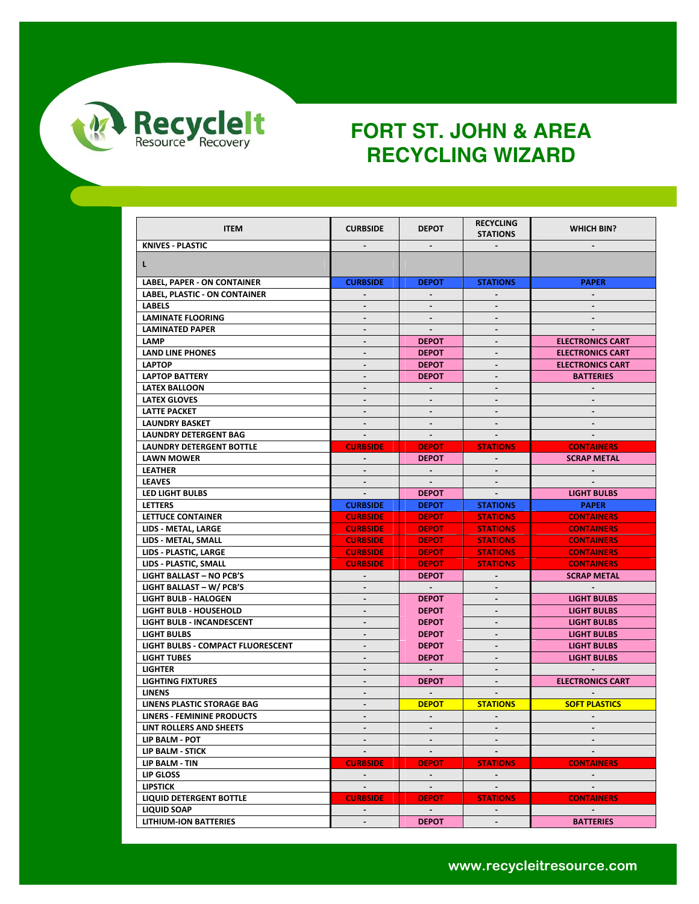

| <b>ITEM</b>                          | <b>CURBSIDE</b>              | <b>DEPOT</b>     | <b>RECYCLING</b> | <b>WHICH BIN?</b>       |
|--------------------------------------|------------------------------|------------------|------------------|-------------------------|
| <b>KNIVES - PLASTIC</b>              |                              |                  | <b>STATIONS</b>  |                         |
|                                      |                              |                  |                  |                         |
| L.                                   |                              |                  |                  |                         |
| <b>LABEL, PAPER - ON CONTAINER</b>   | <b>CURBSIDE</b>              | <b>DEPOT</b>     | <b>STATIONS</b>  | <b>PAPER</b>            |
| <b>LABEL, PLASTIC - ON CONTAINER</b> |                              |                  |                  |                         |
| <b>LABELS</b>                        | $\sim$                       | $\sim$           | $\sim$           | $\sim$                  |
| <b>LAMINATE FLOORING</b>             | $\blacksquare$               |                  |                  |                         |
| <b>LAMINATED PAPER</b>               |                              | $\sim$           |                  |                         |
| LAMP                                 | $\blacksquare$               | <b>DEPOT</b>     | $\blacksquare$   | <b>ELECTRONICS CART</b> |
| <b>LAND LINE PHONES</b>              | $\blacksquare$               | <b>DEPOT</b>     |                  | <b>ELECTRONICS CART</b> |
| <b>LAPTOP</b>                        | $\qquad \qquad \blacksquare$ | <b>DEPOT</b>     |                  | <b>ELECTRONICS CART</b> |
| <b>LAPTOP BATTERY</b>                | $\blacksquare$               | <b>DEPOT</b>     |                  | <b>BATTERIES</b>        |
| <b>LATEX BALLOON</b>                 | $\blacksquare$               | $\sim$           | $\blacksquare$   | $\sim$                  |
| <b>LATEX GLOVES</b>                  | $\blacksquare$               |                  |                  |                         |
| <b>LATTE PACKET</b>                  |                              |                  |                  |                         |
| <b>LAUNDRY BASKET</b>                | $\blacksquare$               | $\sim$           | $\blacksquare$   | $\sim$                  |
| <b>LAUNDRY DETERGENT BAG</b>         | $\sim$                       | $\sim$           |                  |                         |
| <b>LAUNDRY DETERGENT BOTTLE</b>      | <b>CURBSIDE</b>              | <b>DEPOT</b>     | <b>STATIONS</b>  | <b>CONTAINERS</b>       |
|                                      |                              |                  |                  | <b>SCRAP METAL</b>      |
| <b>LAWN MOWER</b><br><b>LEATHER</b>  |                              | <b>DEPOT</b>     |                  |                         |
|                                      | $\sim$<br>$\blacksquare$     | $\sim$<br>$\sim$ |                  |                         |
| <b>LEAVES</b>                        |                              |                  |                  |                         |
| <b>LED LIGHT BULBS</b>               | $\sim$                       | <b>DEPOT</b>     |                  | <b>LIGHT BULBS</b>      |
| <b>LETTERS</b>                       | <b>CURBSIDE</b>              | <b>DEPOT</b>     | <b>STATIONS</b>  | <b>PAPER</b>            |
| LETTUCE CONTAINER                    | <b>CURBSIDE</b>              | <b>DEPOT</b>     | <b>STATIONS</b>  | <b>CONTAINERS</b>       |
| LIDS - METAL, LARGE                  | <b>CURBSIDE</b>              | <b>DEPOT</b>     | <b>STATIONS</b>  | <b>CONTAINERS</b>       |
| LIDS - METAL, SMALL                  | <b>CURBSIDE</b>              | <b>DEPOT</b>     | <b>STATIONS</b>  | <b>CONTAINERS</b>       |
| LIDS - PLASTIC, LARGE                | <b>CURBSIDE</b>              | <b>DEPOT</b>     | <b>STATIONS</b>  | <b>CONTAINERS</b>       |
| LIDS - PLASTIC, SMALL                | <b>CURBSIDE</b>              | <b>DEPOT</b>     | <b>STATIONS</b>  | <b>CONTAINERS</b>       |
| <b>LIGHT BALLAST - NO PCB'S</b>      | $\sim$                       | <b>DEPOT</b>     |                  | <b>SCRAP METAL</b>      |
| <b>LIGHT BALLAST - W/ PCB'S</b>      | $\blacksquare$               | $\sim$           | $\blacksquare$   | $\sim$                  |
| <b>LIGHT BULB - HALOGEN</b>          | $\blacksquare$               | <b>DEPOT</b>     | $\blacksquare$   | <b>LIGHT BULBS</b>      |
| <b>LIGHT BULB - HOUSEHOLD</b>        | $\sim$                       | <b>DEPOT</b>     | $\blacksquare$   | <b>LIGHT BULBS</b>      |
| <b>LIGHT BULB - INCANDESCENT</b>     | $\blacksquare$               | <b>DEPOT</b>     |                  | <b>LIGHT BULBS</b>      |
| <b>LIGHT BULBS</b>                   | $\blacksquare$               | <b>DEPOT</b>     | $\sim$           | <b>LIGHT BULBS</b>      |
| LIGHT BULBS - COMPACT FLUORESCENT    | $\blacksquare$               | <b>DEPOT</b>     |                  | <b>LIGHT BULBS</b>      |
| <b>LIGHT TUBES</b>                   |                              | <b>DEPOT</b>     |                  | <b>LIGHT BULBS</b>      |
| <b>LIGHTER</b>                       | $\overline{\phantom{a}}$     | $\sim$           | $\sim$           | $\sim$                  |
| <b>LIGHTING FIXTURES</b>             | $\blacksquare$               | <b>DEPOT</b>     | $\blacksquare$   | <b>ELECTRONICS CART</b> |
| <b>LINENS</b>                        | $\blacksquare$               | $\sim$           | $\sim$           | $\sim$                  |
| LINENS PLASTIC STORAGE BAG           | $\blacksquare$               | <b>DEPOT</b>     | <b>STATIONS</b>  | <b>SOFT PLASTICS</b>    |
| LINERS - FEMININE PRODUCTS           | $\sim$                       | $\sim$           | $\sim$           | $\sim$                  |
| LINT ROLLERS AND SHEETS              |                              |                  |                  |                         |
| LIP BALM - POT                       | $\sim$                       | $\blacksquare$   |                  |                         |
| <b>LIP BALM - STICK</b>              | $\sim$                       | $\sim$           |                  |                         |
| LIP BALM TIN                         | <b>CURBSIDE</b>              | <b>DEPOT</b>     | <b>STATIONS</b>  | <b>CONTAINERS</b>       |
| LIP GLOSS                            | $\sim 100$                   | $\sim$           | $\sim 100$       | $\sim 100$              |
| <b>LIPSTICK</b>                      | $\sim$                       | $\sim$           | $\sim$           | $\sim$                  |
| <b>LIQUID DETERGENT BOTTLE</b>       | <b>CURBSIDE</b>              | <b>DEPOT</b>     | <b>STATIONS</b>  | <b>CONTAINERS</b>       |
| <b>LIQUID SOAP</b>                   | $\blacksquare$               | $\sim$           | $\blacksquare$   | $\sim$                  |
| <b>LITHIUM-ION BATTERIES</b>         | $\blacksquare$               | <b>DEPOT</b>     | $\blacksquare$   | <b>BATTERIES</b>        |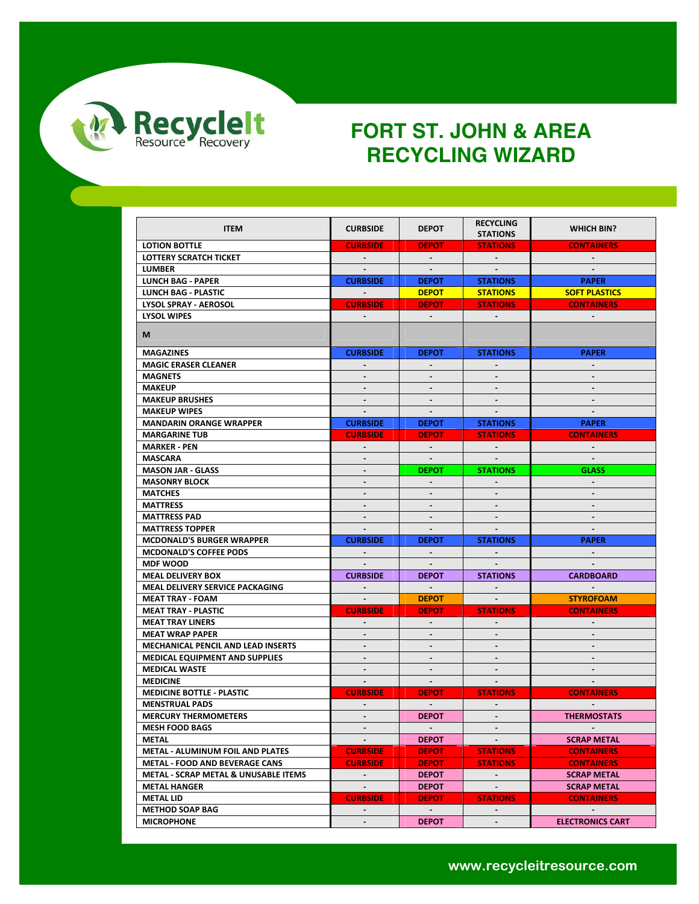

| <b>ITEM</b>                               | <b>CURBSIDE</b>          | <b>DEPOT</b>   | <b>RECYCLING</b><br><b>STATIONS</b>                           | <b>WHICH BIN?</b>       |
|-------------------------------------------|--------------------------|----------------|---------------------------------------------------------------|-------------------------|
| <b>LOTION BOTTLE</b>                      | <b>CURBSIDE</b>          | <b>DEPOT</b>   | <b>STATIONS</b>                                               | <b>CONTAINERS</b>       |
| <b>LOTTERY SCRATCH TICKET</b>             | $\sim 100$               | $\sim$         |                                                               | $\sim$                  |
|                                           |                          |                | $\mathcal{L}^{\mathcal{L}}$ and $\mathcal{L}^{\mathcal{L}}$ . |                         |
| <b>LUMBER</b>                             |                          |                |                                                               |                         |
| <b>LUNCH BAG - PAPER</b>                  | <b>CURBSIDE</b>          | <b>DEPOT</b>   | <b>STATIONS</b>                                               | <b>PAPER</b>            |
| <b>LUNCH BAG - PLASTIC</b>                | $\sim 100$ km s $^{-1}$  | <b>DEPOT</b>   | <b>STATIONS</b>                                               | <b>SOFT PLASTICS</b>    |
| <b>LYSOL SPRAY - AEROSOL</b>              | <b>CURBSIDE</b>          | <b>DEPOT</b>   | <b>STATIONS</b>                                               | <b>CONTAINERS</b>       |
| <b>LYSOL WIPES</b>                        | $\sim$                   | n.             |                                                               |                         |
| M                                         |                          |                |                                                               |                         |
| <b>MAGAZINES</b>                          | <b>CURBSIDE</b>          | <b>DEPOT</b>   | <b>STATIONS</b>                                               | <b>PAPER</b>            |
| <b>MAGIC ERASER CLEANER</b>               | $\blacksquare$           |                |                                                               |                         |
| <b>MAGNETS</b>                            |                          |                |                                                               |                         |
| <b>MAKEUP</b>                             | $\sim$                   | $\sim$         |                                                               | $\sim$                  |
| <b>MAKEUP BRUSHES</b>                     | $\blacksquare$           |                |                                                               |                         |
| <b>MAKEUP WIPES</b>                       |                          |                |                                                               |                         |
| <b>MANDARIN ORANGE WRAPPER</b>            | <b>CURBSIDE</b>          | <b>DEPOT</b>   | <b>STATIONS</b>                                               | <b>PAPER</b>            |
| <b>MARGARINE TUB</b>                      | <b>CURBSIDE</b>          | <b>DEPOT</b>   | <b>STATIONS</b>                                               | <b>CONTAINERS</b>       |
| <b>MARKER - PEN</b>                       | $\blacksquare$           | $\sim$         | $\sim$                                                        | $\sim$                  |
| MASCARA                                   | $\blacksquare$           | $\blacksquare$ |                                                               |                         |
| <b>MASON JAR - GLASS</b>                  | $\sim$                   | <b>DEPOT</b>   | <b>STATIONS</b>                                               | <b>GLASS</b>            |
| <b>MASONRY BLOCK</b>                      |                          |                |                                                               |                         |
| <b>MATCHES</b>                            | $\blacksquare$           |                |                                                               |                         |
| <b>MATTRESS</b>                           | $\overline{\phantom{a}}$ | $\sim$         | $\sim$                                                        | $\blacksquare$          |
| <b>MATTRESS PAD</b>                       | -                        |                |                                                               |                         |
| <b>MATTRESS TOPPER</b>                    | $\sim$                   | $\sim$         |                                                               |                         |
| <b>MCDONALD'S BURGER WRAPPER</b>          | <b>CURBSIDE</b>          | <b>DEPOT</b>   | <b>STATIONS</b>                                               | <b>PAPER</b>            |
|                                           |                          |                |                                                               |                         |
| <b>MCDONALD'S COFFEE PODS</b>             | $\sim$                   | $\sim$         | $\sim$                                                        | $\sim$                  |
| <b>MDF WOOD</b>                           | <b>CURBSIDE</b>          | <b>DEPOT</b>   | <b>STATIONS</b>                                               | <b>CARDBOARD</b>        |
| <b>MEAL DELIVERY BOX</b>                  |                          | $\sim 10^{-1}$ |                                                               |                         |
| <b>MEAL DELIVERY SERVICE PACKAGING</b>    | $\sim 10^{-1}$           |                | $\sim$                                                        | $\sim$                  |
| <b>MEAT TRAY - FOAM</b>                   | $\sim 100$ m $^{-1}$     | <b>DEPOT</b>   | $\sim 100$ km s $^{-1}$                                       | <b>STYROFOAM</b>        |
| <b>MEAT TRAY - PLASTIC</b>                | <b>CURBSIDE</b>          | <b>DEPOT</b>   | <b>STATIONS</b>                                               | <b>CONTAINERS</b>       |
| <b>MEAT TRAY LINERS</b>                   | $\sim$                   | $\sim$         |                                                               | $\sim$                  |
| <b>MEAT WRAP PAPER</b>                    | $\blacksquare$           | $\blacksquare$ | $\blacksquare$                                                | $\sim$                  |
| <b>MECHANICAL PENCIL AND LEAD INSERTS</b> | ÷.                       |                |                                                               |                         |
| <b>MEDICAL EQUIPMENT AND SUPPLIES</b>     |                          |                |                                                               |                         |
| <b>MEDICAL WASTE</b>                      | $\sim$                   | $\blacksquare$ | $\sim$                                                        | $\sim$                  |
| <b>MEDICINE</b>                           | $\sim$                   | $\blacksquare$ | $\sim$                                                        |                         |
| <b>MEDICINE BOTTLE - PLASTIC</b>          | <b>CURBSIDE</b>          | <b>DEPOT</b>   | <b>STATIONS</b>                                               | <b>CONTAINERS</b>       |
| <b>MENSTRUAL PADS</b>                     | $\blacksquare$           | $\sim$         |                                                               |                         |
| <b>MERCURY THERMOMETERS</b>               | $\sim$                   | <b>DEPOT</b>   | $\sim$                                                        | <b>THERMOSTATS</b>      |
| <b>MESH FOOD BAGS</b>                     |                          | $\sim$         |                                                               |                         |
| METAL                                     | $\sim$                   | <b>DEPOT</b>   |                                                               | <b>SCRAP METAL</b>      |
| METAL - ALUMINUM FOIL AND PLATES          | <b>CURBSIDE</b>          | <b>DEPOT</b>   | <b>STATIONS</b>                                               | <b>CONTAINERS</b>       |
| <b>METAL - FOOD AND BEVERAGE CANS</b>     | <b>CURBSIDE</b>          | <b>DEPOT</b>   | <b>STATIONS</b>                                               | <b>CONTAINERS</b>       |
| METAL - SCRAP METAL & UNUSABLE ITEMS      | <b>CALL</b>              | <b>DEPOT</b>   | $\sim$                                                        | <b>SCRAP METAL</b>      |
| <b>METAL HANGER</b>                       | $\omega$ .               | <b>DEPOT</b>   | $\sim$                                                        | <b>SCRAP METAL</b>      |
| <b>METAL LID</b>                          | <b>CURBSIDE</b>          | <b>DEPOT</b>   | <b>STATIONS</b>                                               | <b>CONTAINERS</b>       |
| <b>METHOD SOAP BAG</b>                    | ۰                        | $\sim$         |                                                               | $\sim$                  |
| <b>MICROPHONE</b>                         | $\blacksquare$           | <b>DEPOT</b>   | $\sim$                                                        | <b>ELECTRONICS CART</b> |
|                                           |                          |                |                                                               |                         |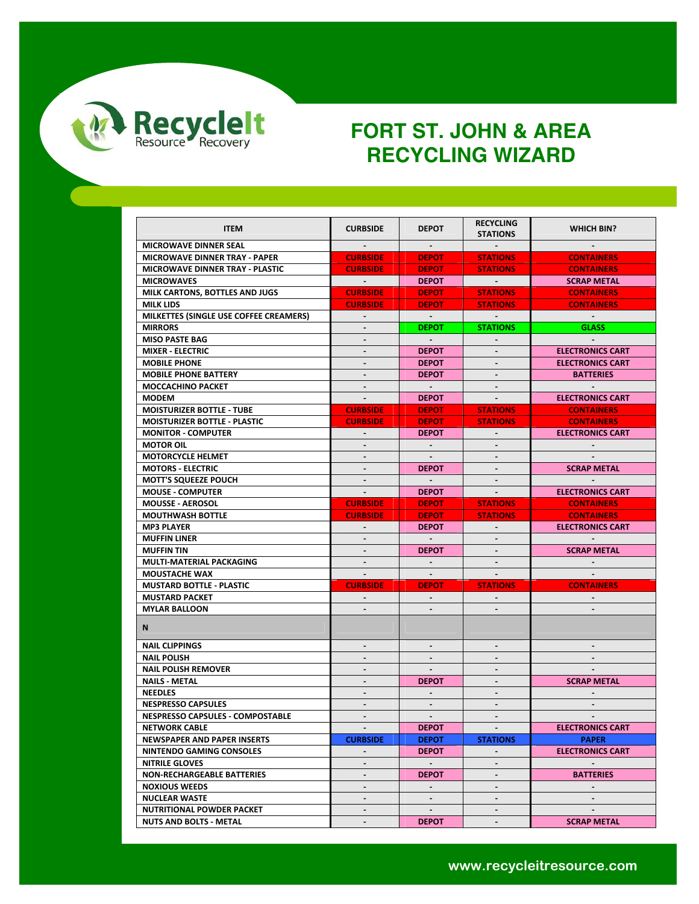

| <b>ITEM</b>                                                | <b>CURBSIDE</b>   | <b>DEPOT</b>                | <b>RECYCLING</b>        | <b>WHICH BIN?</b>       |
|------------------------------------------------------------|-------------------|-----------------------------|-------------------------|-------------------------|
|                                                            |                   |                             | <b>STATIONS</b>         |                         |
| <b>MICROWAVE DINNER SEAL</b>                               |                   | $\sim 100$                  |                         |                         |
| <b>MICROWAVE DINNER TRAY - PAPER</b>                       | <b>CURBSIDE</b>   | <b>DEPOT</b>                | <b>STATIONS</b>         | <b>CONTAINERS</b>       |
| <b>MICROWAVE DINNER TRAY - PLASTIC</b>                     | <b>CURBSIDE</b>   | <b>DEPOT</b>                | <b>STATIONS</b>         | <b>CONTAINERS</b>       |
| <b>MICROWAVES</b>                                          | <b>Contractor</b> | <b>DEPOT</b>                | <b>Service</b>          | <b>SCRAP METAL</b>      |
| MILK CARTONS. BOTTLES AND JUGS                             | <b>CURBSIDE</b>   | <b>DEPOT</b>                | <b>STATIONS</b>         | <b>CONTAINERS</b>       |
| <b>MILK LIDS</b>                                           | <b>CURBSIDE</b>   | <b>DEPOT</b>                | <b>STATIONS</b>         | <b>CONTAINERS</b>       |
| MILKETTES (SINGLE USE COFFEE CREAMERS)                     | $\sim$            | $\sim 100$                  | $\sim 100$ km s $^{-1}$ | $\sim 100$ km s $^{-1}$ |
| <b>MIRRORS</b>                                             | $\blacksquare$    | <b>DEPOT</b>                | <b>STATIONS</b>         | <b>GLASS</b>            |
| <b>MISO PASTE BAG</b>                                      | $\blacksquare$    | $\sim 100$                  |                         |                         |
| <b>MIXER - ELECTRIC</b>                                    | $\blacksquare$    | <b>DEPOT</b>                |                         | <b>ELECTRONICS CART</b> |
| <b>MOBILE PHONE</b>                                        |                   | <b>DEPOT</b>                |                         | <b>ELECTRONICS CART</b> |
| <b>MOBILE PHONE BATTERY</b>                                | $\sim$            | <b>DEPOT</b>                | $\sim$                  | <b>BATTERIES</b>        |
| <b>MOCCACHINO PACKET</b>                                   | $\blacksquare$    |                             |                         |                         |
| <b>MODEM</b>                                               | $\sim$            | <b>DEPOT</b>                |                         | <b>ELECTRONICS CART</b> |
| <b>MOISTURIZER BOTTLE - TUBE</b>                           | <b>CURBSIDE</b>   | <b>DEPOT</b>                | <b>STATIONS</b>         | <b>CONTAINERS</b>       |
| <b>MOISTURIZER BOTTLE - PLASTIC</b>                        | <b>CURBSIDE</b>   | <b>DEPOT</b>                | <b>STATIONS</b>         | <b>CONTAINERS</b>       |
| <b>MONITOR - COMPUTER</b>                                  | $\sim$            | <b>DEPOT</b>                |                         | <b>ELECTRONICS CART</b> |
| <b>MOTOR OIL</b>                                           |                   |                             |                         |                         |
| <b>MOTORCYCLE HELMET</b>                                   | $\sim$            | $\sim$                      | $\sim$                  |                         |
| <b>MOTORS - ELECTRIC</b>                                   |                   | <b>DEPOT</b>                |                         | <b>SCRAP METAL</b>      |
| <b>MOTT'S SQUEEZE POUCH</b>                                |                   | $\sim 10^{-1}$              |                         |                         |
| <b>MOUSE - COMPUTER</b>                                    | $\sim$            | <b>DEPOT</b>                | $\sim$                  | <b>ELECTRONICS CART</b> |
| <b>MOUSSE - AEROSOL</b>                                    | <b>CURBSIDE</b>   | <b>DEPOT</b>                | <b>STATIONS</b>         | <b>CONTAINERS</b>       |
| <b>MOUTHWASH BOTTLE</b>                                    | <b>CURBSIDE</b>   | <b>DEPOT</b>                | <b>STATIONS</b>         | <b>CONTAINERS</b>       |
| <b>MP3 PLAYER</b>                                          |                   | <b>DEPOT</b>                |                         | <b>ELECTRONICS CART</b> |
| <b>MUFFIN LINER</b>                                        | $\sim$            | $\sim 10^{-1}$              | $\sim$                  |                         |
| <b>MUFFIN TIN</b>                                          | $\blacksquare$    | <b>DEPOT</b>                |                         | <b>SCRAP METAL</b>      |
| MULTI-MATERIAL PACKAGING                                   | $\sim$            |                             |                         |                         |
| <b>MOUSTACHE WAX</b>                                       | $\sim$            | $\sim 10$                   | $\sim$                  |                         |
| <b>MUSTARD BOTTLE - PLASTIC</b>                            | <b>CURBSIDE</b>   | <b>DEPOT</b>                | <b>STATIONS</b>         | <b>CONTAINERS</b>       |
| <b>MUSTARD PACKET</b>                                      | $\sim$            | $\sim$                      |                         |                         |
| <b>MYLAR BALLOON</b>                                       |                   |                             |                         |                         |
|                                                            |                   |                             |                         |                         |
| N,                                                         |                   |                             |                         |                         |
| <b>NAIL CLIPPINGS</b>                                      | $\blacksquare$    | $\blacksquare$              |                         |                         |
| <b>NAIL POLISH</b>                                         |                   |                             |                         |                         |
| <b>NAIL POLISH REMOVER</b>                                 | $\blacksquare$    | $\blacksquare$              | $\sim$                  |                         |
| <b>NAILS METAL</b>                                         | $\blacksquare$    |                             | $\blacksquare$          | <b>SCRAP METAL</b>      |
| <b>NEEDLES</b>                                             |                   | <b>DEPOT</b><br>$\sim$      |                         |                         |
|                                                            | $\sim$            |                             | $\blacksquare$          |                         |
| <b>NESPRESSO CAPSULES</b>                                  |                   |                             |                         |                         |
| <b>NESPRESSO CAPSULES - COMPOSTABLE</b>                    | $\blacksquare$    | $\blacksquare$              | $\blacksquare$          | $\blacksquare$          |
| <b>NETWORK CABLE</b>                                       |                   | <b>DEPOT</b>                |                         | <b>ELECTRONICS CART</b> |
| <b>NEWSPAPER AND PAPER INSERTS</b>                         | <b>CURBSIDE</b>   | <b>DEPOT</b>                | <b>STATIONS</b>         | <b>PAPER</b>            |
| NINTENDO GAMING CONSOLES                                   | $\sim$            | <b>DEPOT</b>                | $\sim$                  | <b>ELECTRONICS CART</b> |
| <b>NITRILE GLOVES</b>                                      | $\sim$            | $\sim$                      | $\blacksquare$          |                         |
| <b>NON-RECHARGEABLE BATTERIES</b>                          | $\blacksquare$    | <b>DEPOT</b>                | $\blacksquare$          | <b>BATTERIES</b>        |
| <b>NOXIOUS WEEDS</b>                                       | $\blacksquare$    | $\mathcal{L}^{\mathcal{L}}$ | $\blacksquare$          | $\sim$                  |
|                                                            |                   |                             |                         |                         |
| <b>NUCLEAR WASTE</b>                                       | $\blacksquare$    | $\sim$                      | $\blacksquare$          | $\sim$                  |
| NUTRITIONAL POWDER PACKET<br><b>NUTS AND BOLTS - METAL</b> | $\blacksquare$    | $\sim$<br><b>DEPOT</b>      | $\blacksquare$          | <b>SCRAP METAL</b>      |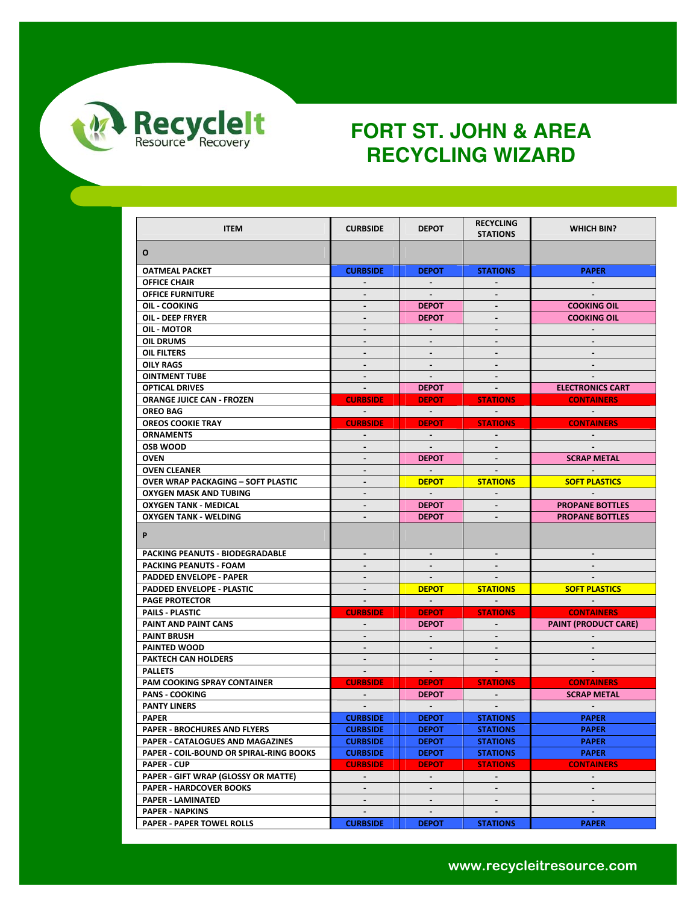

| <b>ITEM</b>                               | <b>CURBSIDE</b>              | <b>DEPOT</b>             | <b>RECYCLING</b><br><b>STATIONS</b> | <b>WHICH BIN?</b>                 |
|-------------------------------------------|------------------------------|--------------------------|-------------------------------------|-----------------------------------|
|                                           |                              |                          |                                     |                                   |
| O                                         |                              |                          |                                     |                                   |
| <b>OATMEAL PACKET</b>                     | <b>CURBSIDE</b>              | <b>DEPOT</b>             | <b>STATIONS</b>                     | <b>PAPER</b>                      |
| <b>OFFICE CHAIR</b>                       | $\blacksquare$               | $\blacksquare$           |                                     |                                   |
| <b>OFFICE FURNITURE</b>                   |                              |                          |                                     |                                   |
| OIL - COOKING                             | $\blacksquare$               | <b>DEPOT</b>             | $\sim$                              | <b>COOKING OIL</b>                |
| OIL - DEEP FRYER                          | $\overline{\phantom{a}}$     | <b>DEPOT</b>             |                                     | <b>COOKING OIL</b>                |
| OIL MOTOR                                 | $\blacksquare$               |                          |                                     |                                   |
| <b>OIL DRUMS</b>                          | $\blacksquare$               | ÷.                       |                                     | $\sim$                            |
| OIL FILTERS                               | $\qquad \qquad \blacksquare$ | $\blacksquare$           |                                     |                                   |
| <b>OILY RAGS</b>                          | $\qquad \qquad \blacksquare$ |                          |                                     |                                   |
| <b>OINTMENT TUBE</b>                      | $\sim$                       |                          |                                     |                                   |
| <b>OPTICAL DRIVES</b>                     | $\sim$                       | <b>DEPOT</b>             | $\sim$                              | <b>ELECTRONICS CART</b>           |
| <b>ORANGE JUICE CAN - FROZEN</b>          | <b>CURBSIDE</b>              | <b>DEPOT</b>             | <b>STATIONS</b>                     | <b>CONTAINERS</b>                 |
| <b>OREO BAG</b>                           | $\sim 100$                   | $\sim 100$               | $\sim 100$                          | <b>Contract Contract Contract</b> |
| <b>OREOS COOKIE TRAY</b>                  | <b>CURBSIDE</b>              | <b>DEPOT</b>             | <b>STATIONS</b>                     | <b>CONTAINERS</b>                 |
| <b>ORNAMENTS</b>                          | $\blacksquare$               | $\sim$                   |                                     |                                   |
| <b>OSB WOOD</b>                           | $\blacksquare$               | $\sim$                   |                                     |                                   |
| <b>OVEN</b>                               | $\overline{\phantom{a}}$     | <b>DEPOT</b>             | $\blacksquare$                      | <b>SCRAP METAL</b>                |
| <b>OVEN CLEANER</b>                       | $\blacksquare$               | $\sim$                   |                                     |                                   |
| <b>OVER WRAP PACKAGING - SOFT PLASTIC</b> | $\blacksquare$               | <b>DEPOT</b>             | <b>STATIONS</b>                     | <b>SOFT PLASTICS</b>              |
| <b>OXYGEN MASK AND TUBING</b>             | $\blacksquare$               | $\sim$                   |                                     |                                   |
| <b>OXYGEN TANK - MEDICAL</b>              | $\blacksquare$               | <b>DEPOT</b>             | $\sim$                              | <b>PROPANE BOTTLES</b>            |
| <b>OXYGEN TANK - WELDING</b>              | $\blacksquare$               | <b>DEPOT</b>             |                                     | <b>PROPANE BOTTLES</b>            |
| P                                         |                              |                          |                                     |                                   |
| PACKING PEANUTS - BIODEGRADABLE           | $\blacksquare$               | $\sim$                   | $\blacksquare$                      | $\sim$                            |
| PACKING PEANUTS - FOAM                    | $\blacksquare$               | $\sim$                   |                                     | $\blacksquare$                    |
| PADDED ENVELOPE - PAPER                   | $\qquad \qquad \blacksquare$ |                          |                                     |                                   |
| PADDED ENVELOPE - PLASTIC                 |                              | <b>DEPOT</b>             | <b>STATIONS</b>                     | <b>SOFT PLASTICS</b>              |
| <b>PAGE PROTECTOR</b>                     | $\blacksquare$               | $\sim$                   |                                     | $\sim$                            |
| PAILS PLASTIC                             | <b>CURBSIDE</b>              | <b>DEPOT</b>             | <b>STATIONS</b>                     | <b>CONTAINERS</b>                 |
| PAINT AND PAINT CANS                      | $\blacksquare$               | <b>DEPOT</b>             | $\sim$                              | <b>PAINT (PRODUCT CARE)</b>       |
| <b>PAINT BRUSH</b>                        | $\blacksquare$               | $\sim$                   |                                     | $\sim$                            |
| PAINTED WOOD                              | $\blacksquare$               | $\sim$                   | $\blacksquare$                      |                                   |
| <b>PAKTECH CAN HOLDERS</b>                | $\qquad \qquad \blacksquare$ | $\overline{\phantom{a}}$ |                                     | $\sim$                            |
| <b>PALLETS</b>                            | $\sim$                       | $\sim$                   | $\sim$                              | $\sim$                            |
| <b>PAM COOKING SPRAY CONTAINER</b>        | <b>CURBSIDE</b>              | <b>DEPOT</b>             | <b>STATIONS</b>                     | <b>CONTAINERS</b>                 |
| <b>PANS - COOKING</b>                     |                              | <b>DEPOT</b>             |                                     | <b>SCRAP METAL</b>                |
| <b>PANTY LINERS</b>                       |                              | $\sim$                   |                                     |                                   |
| <b>PAPER</b>                              | <b>CURBSIDE</b>              | <b>DEPOT</b>             | <b>STATIONS</b>                     | <b>PAPER</b>                      |
| <b>PAPER - BROCHURES AND FLYERS</b>       | <b>CURBSIDE</b>              | <b>DEPOT</b>             | <b>STATIONS</b>                     | <b>PAPER</b>                      |
| PAPER - CATALOGUES AND MAGAZINES          | <b>CURBSIDE</b>              | <b>DEPOT</b>             | <b>STATIONS</b>                     | <b>PAPER</b>                      |
| PAPER - COIL-BOUND OR SPIRAL-RING BOOKS   | <b>CURBSIDE</b>              | <b>DEPOT</b>             | <b>STATIONS</b>                     | <b>PAPER</b>                      |
| <b>PAPER - CUP</b>                        | <b>CURBSIDE</b>              | <b>DEPOT</b>             | <b>STATIONS</b>                     | <b>CONTAINERS</b>                 |
| PAPER - GIFT WRAP (GLOSSY OR MATTE)       | $\blacksquare$               | $\blacksquare$           |                                     |                                   |
| <b>PAPER - HARDCOVER BOOKS</b>            | $\overline{\phantom{a}}$     | $\overline{\phantom{a}}$ |                                     |                                   |
| <b>PAPER - LAMINATED</b>                  | $\blacksquare$               | $\blacksquare$           | $\blacksquare$                      | $\blacksquare$                    |
| <b>PAPER - NAPKINS</b>                    | $\blacksquare$               | $\blacksquare$           |                                     |                                   |
| <b>PAPER - PAPER TOWEL ROLLS</b>          | <b>CURBSIDE</b>              | <b>DEPOT</b>             | <b>STATIONS</b>                     | <b>PAPER</b>                      |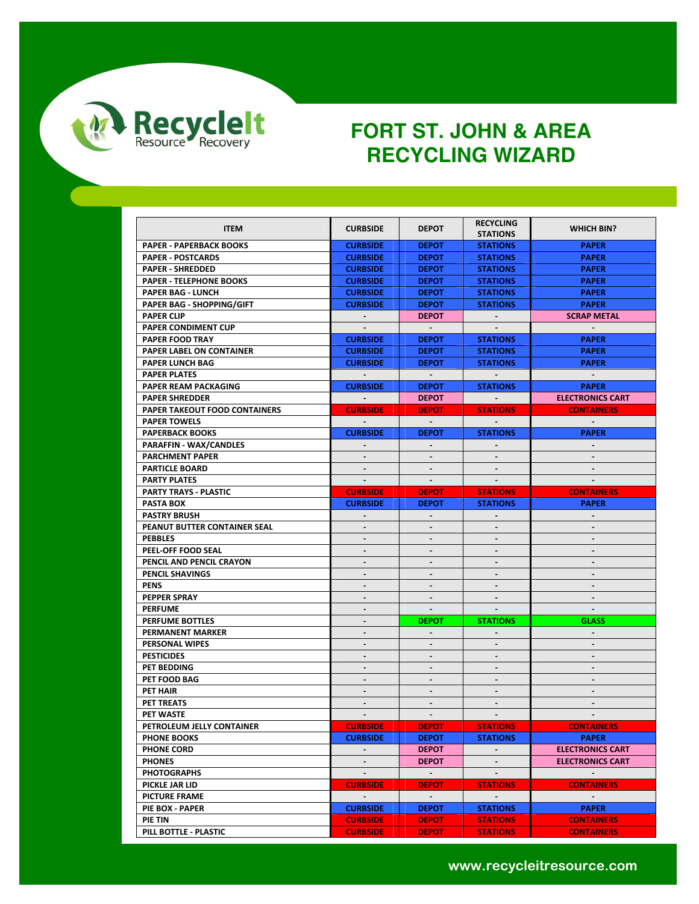

| <b>ITEM</b>                      | <b>CURBSIDE</b>          | <b>DEPOT</b>             | <b>RECYCLING</b><br><b>STATIONS</b> | <b>WHICH BIN?</b>       |
|----------------------------------|--------------------------|--------------------------|-------------------------------------|-------------------------|
| <b>PAPER - PAPERBACK BOOKS</b>   | <b>CURBSIDE</b>          | <b>DEPOT</b>             | <b>STATIONS</b>                     | <b>PAPER</b>            |
| <b>PAPER - POSTCARDS</b>         | <b>CURBSIDE</b>          | <b>DEPOT</b>             | <b>STATIONS</b>                     | <b>PAPER</b>            |
| <b>PAPER - SHREDDED</b>          | <b>CURBSIDE</b>          | <b>DEPOT</b>             | <b>STATIONS</b>                     | <b>PAPER</b>            |
| <b>PAPER - TELEPHONE BOOKS</b>   | <b>CURBSIDE</b>          | <b>DEPOT</b>             | <b>STATIONS</b>                     | <b>PAPER</b>            |
| <b>PAPER BAG - LUNCH</b>         | <b>CURBSIDE</b>          | <b>DEPOT</b>             | <b>STATIONS</b>                     | <b>PAPER</b>            |
| <b>PAPER BAG - SHOPPING/GIFT</b> | <b>CURBSIDE</b>          | <b>DEPOT</b>             | <b>STATIONS</b>                     | <b>PAPER</b>            |
| <b>PAPER CLIP</b>                |                          | <b>DEPOT</b>             |                                     | <b>SCRAP METAL</b>      |
| PAPER CONDIMENT CUP              | $\blacksquare$           | $\sim$                   | $\sim$                              | $\blacksquare$          |
| <b>PAPER FOOD TRAY</b>           | <b>CURBSIDE</b>          | <b>DEPOT</b>             | <b>STATIONS</b>                     | <b>PAPER</b>            |
| <b>PAPER LABEL ON CONTAINER</b>  | <b>CURBSIDE</b>          | <b>DEPOT</b>             | <b>STATIONS</b>                     | <b>PAPER</b>            |
| <b>PAPER LUNCH BAG</b>           | <b>CURBSIDE</b>          | <b>DEPOT</b>             |                                     | <b>PAPER</b>            |
| <b>PAPER PLATES</b>              |                          | $\sim$ $-$               | <b>STATIONS</b>                     |                         |
|                                  |                          |                          |                                     |                         |
| <b>PAPER REAM PACKAGING</b>      | <b>CURBSIDE</b>          | <b>DEPOT</b>             | <b>STATIONS</b>                     | <b>PAPER</b>            |
| <b>PAPER SHREDDER</b>            |                          | <b>DEPOT</b>             |                                     | <b>ELECTRONICS CART</b> |
| PAPER TAKEOUT FOOD CONTAINERS    | <b>CURBSIDE</b>          | <b>DEPOT</b>             | <b>STATIONS</b>                     | <b>CONTAINERS</b>       |
| <b>PAPER TOWELS</b>              |                          | $\sim$                   |                                     |                         |
| <b>PAPERBACK BOOKS</b>           | <b>CURBSIDE</b>          | <b>DEPOT</b>             | <b>STATIONS</b>                     | <b>PAPER</b>            |
| <b>PARAFFIN - WAX/CANDLES</b>    | $\sim$                   |                          |                                     | $\sim$                  |
| <b>PARCHMENT PAPER</b>           | $\sim$                   | $\blacksquare$           | $\blacksquare$                      |                         |
| <b>PARTICLE BOARD</b>            | $\blacksquare$           | $\overline{\phantom{a}}$ |                                     |                         |
| <b>PARTY PLATES</b>              | $\sim$                   |                          |                                     |                         |
| PARTY TRAYS - PLASTIC            | <b>CURBSIDE</b>          | <b>DEPOT</b>             | <b>STATIONS</b>                     | <b>CONTAINERS</b>       |
| PASTA BOX                        | <b>CURBSIDE</b>          | <b>DEPOT</b>             | <b>STATIONS</b>                     | <b>PAPER</b>            |
| <b>PASTRY BRUSH</b>              | $\sim$                   | $\blacksquare$           |                                     |                         |
| PEANUT BUTTER CONTAINER SEAL     | $\blacksquare$           | $\blacksquare$           | $\blacksquare$                      | $\mathbf{r}$            |
| <b>PEBBLES</b>                   | $\overline{\phantom{a}}$ |                          | $\blacksquare$                      | $\blacksquare$          |
| PEEL-OFF FOOD SEAL               |                          |                          |                                     |                         |
| PENCIL AND PENCIL CRAYON         | $\blacksquare$           |                          |                                     | $\blacksquare$          |
| PENCIL SHAVINGS                  | $\sim$                   | $\blacksquare$           | $\blacksquare$                      | $\blacksquare$          |
| <b>PENS</b>                      | $\blacksquare$           |                          |                                     |                         |
| PEPPER SPRAY                     | $\overline{\phantom{a}}$ | $\blacksquare$           | $\blacksquare$                      |                         |
| <b>PERFUME</b>                   | ÷.                       | $\blacksquare$           | $\sim$                              | $\sim$                  |
| PERFUME BOTTLES                  |                          | <b>DEPOT</b>             | <b>STATIONS</b>                     | <b>GLASS</b>            |
| <b>PERMANENT MARKER</b>          | $\overline{a}$           | $\blacksquare$           | $\overline{\phantom{a}}$            | $\sim$                  |
| <b>PERSONAL WIPES</b>            | $\blacksquare$           |                          |                                     |                         |
| <b>PESTICIDES</b>                | $\sim$                   | $\blacksquare$           | $\blacksquare$                      | $\blacksquare$          |
| PET BEDDING                      |                          |                          |                                     |                         |
| PET FOOD BAG                     | $\overline{\phantom{a}}$ | $\blacksquare$           | $\blacksquare$                      | $\blacksquare$          |
| PET HAIR                         | $\blacksquare$           | $\overline{\phantom{a}}$ | $\blacksquare$                      | $\blacksquare$          |
| PET TREATS                       |                          |                          |                                     |                         |
| PET WASTE                        | $\sim$                   | $\blacksquare$           | $\overline{\phantom{a}}$            |                         |
| PETROLEUM JELLY CONTAINER        | <b>CURBSIDE</b>          | <b>DEPOT</b>             | <b>STATIONS</b>                     | <b>CONTAINERS</b>       |
| <b>PHONE BOOKS</b>               | <b>CURBSIDE</b>          | <b>DEPOT</b>             | <b>STATIONS</b>                     | <b>PAPER</b>            |
| <b>PHONE CORD</b>                |                          | <b>DEPOT</b>             |                                     | <b>ELECTRONICS CART</b> |
| <b>PHONES</b>                    |                          | <b>DEPOT</b>             |                                     | <b>ELECTRONICS CART</b> |
| <b>PHOTOGRAPHS</b>               | $\omega$                 | $\sim$                   | $\sim$                              | $\sim$                  |
| PICKLE JAR LID                   | <b>CURBSIDE</b>          | <b>DEPOT</b>             | <b>STATIONS</b>                     | <b>CONTAINERS</b>       |
| PICTURE FRAME                    | $\sim$                   | $\sim 100$               | $\sim$                              | $\sim$                  |
| PIE BOX - PAPER                  | <b>CURBSIDE</b>          | <b>DEPOT</b>             | <b>STATIONS</b>                     | <b>PAPER</b>            |
| PIE TIN                          | <b>CURBSIDE</b>          | <b>DEPOT</b>             | <b>STATIONS</b>                     | <b>CONTAINERS</b>       |
| PILL BOTTLE - PLASTIC            | <b>CURBSIDE</b>          | <b>DEPOT</b>             | <b>STATIONS</b>                     | <b>CONTAINERS</b>       |
|                                  |                          |                          |                                     |                         |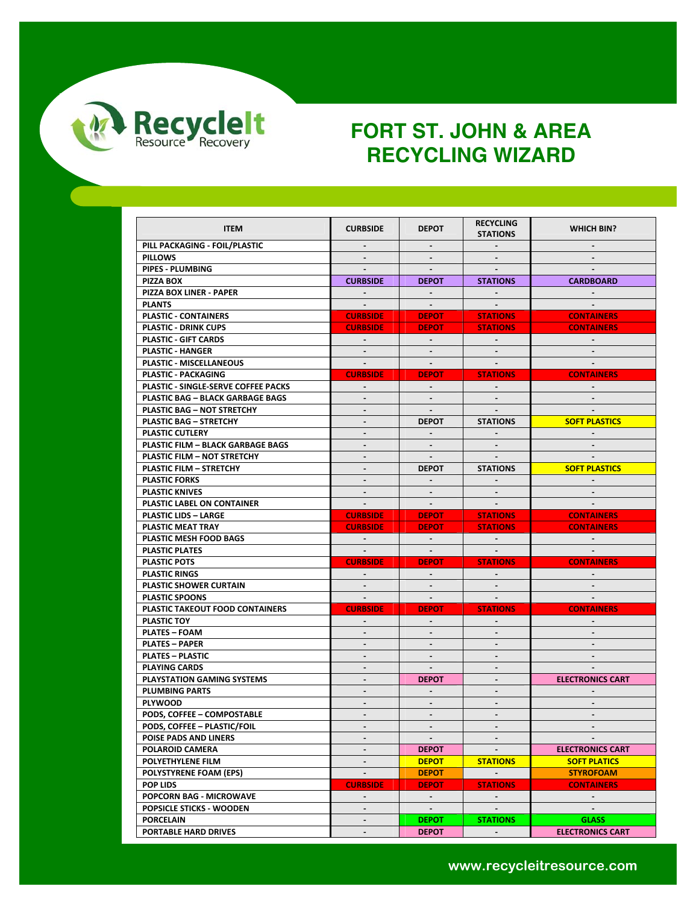

| <b>ITEM</b>                              | <b>CURBSIDE</b>              | <b>DEPOT</b>             | <b>RECYCLING</b><br><b>STATIONS</b> | <b>WHICH BIN?</b>       |
|------------------------------------------|------------------------------|--------------------------|-------------------------------------|-------------------------|
| PILL PACKAGING - FOIL/PLASTIC            | $\sim$                       |                          |                                     |                         |
| <b>PILLOWS</b>                           | $\sim$                       | $\sim$                   | $\sim$                              |                         |
| PIPES - PLUMBING                         | $\sim$                       | $\sim$                   |                                     |                         |
| PIZZA BOX                                | <b>CURBSIDE</b>              | <b>DEPOT</b>             | <b>STATIONS</b>                     | <b>CARDBOARD</b>        |
| PIZZA BOX LINER - PAPER                  | $\sim$                       | $\sim$                   | $\sim$                              | $\sim$                  |
|                                          |                              |                          |                                     |                         |
| <b>PLANTS</b>                            | $\sim 100$                   | $\sim$ $-$               | $\sim 100$                          | $\sim$                  |
| <b>PLASTIC - CONTAINERS</b>              | <b>CURBSIDE</b>              | <b>DEPOT</b>             | <b>STATIONS</b>                     | <b>CONTAINERS</b>       |
| <b>PLASTIC - DRINK CUPS</b>              | <b>CURBSIDE</b>              | <b>DEPOT</b>             | <b>STATIONS</b>                     | <b>CONTAINERS</b>       |
| PLASTIC - GIFT CARDS                     | $\sim 10^{-1}$               | $\sim$ $-$               | $\sim 100$                          | $\sim$ $-$              |
| <b>PLASTIC - HANGER</b>                  | $\sim$                       | $\blacksquare$           | $\sim$                              |                         |
| PLASTIC - MISCELLANEOUS                  |                              |                          |                                     |                         |
| PLASTIC - PACKAGING                      | <b>CURBSIDE</b>              | <b>DEPOT</b>             | <b>STATIONS</b>                     | <b>CONTAINERS</b>       |
| PLASTIC - SINGLE-SERVE COFFEE PACKS      |                              |                          |                                     |                         |
| <b>PLASTIC BAG - BLACK GARBAGE BAGS</b>  | $\blacksquare$               |                          |                                     |                         |
| <b>PLASTIC BAG - NOT STRETCHY</b>        | ÷.                           | $\sim$                   | $\sim$                              | $\sim$                  |
| <b>PLASTIC BAG - STRETCHY</b>            | $\blacksquare$               | <b>DEPOT</b>             | <b>STATIONS</b>                     | <b>SOFT PLASTICS</b>    |
| PLASTIC CUTLERY                          | $\overline{a}$               | $\sim$                   |                                     |                         |
| <b>PLASTIC FILM - BLACK GARBAGE BAGS</b> | $\blacksquare$               |                          |                                     |                         |
| PLASTIC FILM - NOT STRETCHY              | $\blacksquare$               | $\sim$                   | $\sim$                              | $\sim$                  |
| <b>PLASTIC FILM - STRETCHY</b>           | $\qquad \qquad \blacksquare$ | <b>DEPOT</b>             | <b>STATIONS</b>                     | <b>SOFT PLASTICS</b>    |
| <b>PLASTIC FORKS</b>                     |                              | $\sim$                   |                                     |                         |
| <b>PLASTIC KNIVES</b>                    | $\mathbb{Z}^{\mathbb{Z}}$    | $\sim$                   | $\sim$                              | $\sim$                  |
| PLASTIC LABEL ON CONTAINER               | $\sim$                       | $\sim$                   |                                     |                         |
| <b>PLASTIC LIDS - LARGE</b>              | <b>CURBSIDE</b>              | <b>DEPOT</b>             | <b>STATIONS</b>                     | <b>CONTAINERS</b>       |
| PLASTIC MEAT TRAY                        | <b>CURBSIDE</b>              | <b>DEPOT</b>             | <b>STATIONS</b>                     | <b>CONTAINERS</b>       |
| <b>PLASTIC MESH FOOD BAGS</b>            | $\sim 100$                   | $\sim 10^{-1}$           | $\sim 100$ km s $^{-1}$             | $\sim$                  |
| <b>PLASTIC PLATES</b>                    | $\sim 10^{-1}$               | $\sim 10^{-1}$           |                                     |                         |
| <b>PLASTIC POTS</b>                      | <b>CURBSIDE</b>              | <b>DEPOT</b>             | <b>STATIONS</b>                     | <b>CONTAINERS</b>       |
| <b>PLASTIC RINGS</b>                     | $\sim$ $-$                   | $\sim 100$               | $\mathbf{L}^{\text{max}}$           | $\sim$                  |
| <b>PLASTIC SHOWER CURTAIN</b>            |                              |                          |                                     |                         |
| <b>PLASTIC SPOONS</b>                    | $\sim 100$                   | $\sim$                   | $\sim 100$                          | $\sim$                  |
| <b>PLASTIC TAKEOUT FOOD CONTAINERS</b>   | <b>CURBSIDE</b>              | <b>DEPOT</b>             | <b>STATIONS</b>                     | <b>CONTAINERS</b>       |
| <b>PLASTIC TOY</b>                       | $\sim$                       | $\blacksquare$           | $\sim$                              | $\sim$                  |
| <b>PLATES - FOAM</b>                     |                              |                          |                                     |                         |
| <b>PLATES - PAPER</b>                    | $\overline{\phantom{a}}$     | $\sim$                   |                                     |                         |
| <b>PLATES - PLASTIC</b>                  | $\blacksquare$               | $\blacksquare$           | $\blacksquare$                      | $\sim$                  |
| <b>PLAYING CARDS</b>                     | $\blacksquare$               | $\sim$                   | $\blacksquare$                      |                         |
| <b>PLAYSTATION GAMING SYSTEMS</b>        | $\blacksquare$               | <b>DEPOT</b>             | $\sim$                              | <b>ELECTRONICS CART</b> |
| <b>PLUMBING PARTS</b>                    | $\qquad \qquad \blacksquare$ |                          |                                     |                         |
| <b>PLYWOOD</b>                           |                              |                          |                                     |                         |
|                                          | $\blacksquare$               | $\sim$<br>$\blacksquare$ | $\sim$                              | $\sim$                  |
| PODS, COFFEE - COMPOSTABLE               | $\overline{a}$               |                          |                                     | $\sim$                  |
| PODS, COFFEE - PLASTIC/FOIL              |                              |                          |                                     |                         |
| POISE PADS AND LINERS                    |                              | $\sim$                   |                                     | $\sim$                  |
| POLAROID CAMERA                          | $\overline{\phantom{a}}$     | <b>DEPOT</b>             |                                     | <b>ELECTRONICS CART</b> |
| POLYETHYLENE FILM                        | $\blacksquare$               | <b>DEPOT</b>             | <b>STATIONS</b>                     | <b>SOFT PLATICS</b>     |
| POLYSTYRENE FOAM (EPS)                   | $\mathbb{L}^{\mathbb{Z}}$    | <b>DEPOT</b>             | $\mathcal{L}^{\mathcal{L}}$         | <b>STYROFOAM</b>        |
| POP LIDS                                 | <b>CURBSIDE</b>              | <b>DEPOT</b>             | <b>STATIONS</b>                     | <b>CONTAINERS</b>       |
| POPCORN BAG - MICROWAVE                  | $\blacksquare$               | $\sim$                   | $\sim$                              | $\sim$                  |
| POPSICLE STICKS - WOODEN                 |                              | $\sim$                   |                                     |                         |
| <b>PORCELAIN</b>                         | $\blacksquare$               | <b>DEPOT</b>             | <b>STATIONS</b>                     | <b>GLASS</b>            |
| PORTABLE HARD DRIVES                     | $\blacksquare$               | <b>DEPOT</b>             | $\sim$                              | <b>ELECTRONICS CART</b> |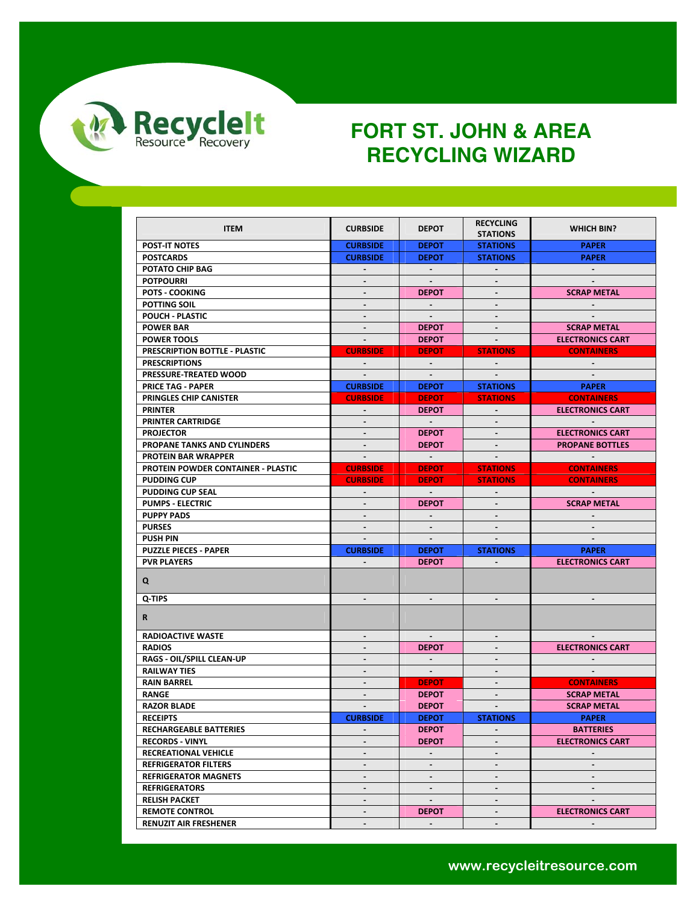

| <b>ITEM</b>                               | <b>CURBSIDE</b>          | <b>DEPOT</b>            | <b>RECYCLING</b><br><b>STATIONS</b> | <b>WHICH BIN?</b>        |
|-------------------------------------------|--------------------------|-------------------------|-------------------------------------|--------------------------|
| <b>POST-IT NOTES</b>                      | <b>CURBSIDE</b>          | <b>DEPOT</b>            | <b>STATIONS</b>                     | <b>PAPER</b>             |
| <b>POSTCARDS</b>                          | <b>CURBSIDE</b>          | <b>DEPOT</b>            | <b>STATIONS</b>                     | <b>PAPER</b>             |
| POTATO CHIP BAG                           | $\blacksquare$           | $\sim$                  |                                     | $\sim$                   |
| <b>POTPOURRI</b>                          |                          |                         |                                     |                          |
| <b>POTS - COOKING</b>                     | $\blacksquare$           | <b>DEPOT</b>            | $\sim$                              | <b>SCRAP METAL</b>       |
| <b>POTTING SOIL</b>                       | $\overline{\phantom{a}}$ | $\sim$                  |                                     |                          |
| POUCH - PLASTIC                           |                          |                         |                                     |                          |
| <b>POWER BAR</b>                          | $\blacksquare$           | <b>DEPOT</b>            | $\sim$                              | <b>SCRAP METAL</b>       |
| <b>POWER TOOLS</b>                        | $\blacksquare$           | <b>DEPOT</b>            | $\sim$                              | <b>ELECTRONICS CART</b>  |
| PRESCRIPTION BOTTLE - PLASTIC             | <b>CURBSIDE</b>          | <b>DEPOT</b>            | <b>STATIONS</b>                     | <b>CONTAINERS</b>        |
| <b>PRESCRIPTIONS</b>                      | $\sim$                   | $\sim$ $-$              | $\sim$                              |                          |
| PRESSURE-TREATED WOOD                     | $\blacksquare$           | $\sim$                  |                                     |                          |
| <b>PRICE TAG - PAPER</b>                  | <b>CURBSIDE</b>          | <b>DEPOT</b>            | <b>STATIONS</b>                     | <b>PAPER</b>             |
| PRINGLES CHIP CANISTER                    | <b>CURBSIDE</b>          | <b>DEPOT</b>            | <b>STATIONS</b>                     | <b>CONTAINERS</b>        |
| PRINTER                                   | $\sim$                   | <b>DEPOT</b>            | $\sim$                              | <b>ELECTRONICS CART</b>  |
| <b>PRINTER CARTRIDGE</b>                  | $\blacksquare$           | $\sim$ $-$              |                                     |                          |
| <b>PROJECTOR</b>                          | $\sim$                   | <b>DEPOT</b>            |                                     | <b>ELECTRONICS CART</b>  |
| PROPANE TANKS AND CYLINDERS               | ä.                       | <b>DEPOT</b>            | $\mathbf{r}$                        | <b>PROPANE BOTTLES</b>   |
| <b>PROTEIN BAR WRAPPER</b>                | $\sim$                   | $\sim 100$ km s $^{-1}$ | $\sim$                              | <b>Contract Contract</b> |
| <b>PROTEIN POWDER CONTAINER - PLASTIC</b> | <b>CURBSIDE</b>          | <b>DEPOT</b>            | <b>STATIONS</b>                     | <b>CONTAINERS</b>        |
| <b>PUDDING CUP</b>                        | <b>CURBSIDE</b>          | <b>DEPOT</b>            | <b>STATIONS</b>                     | <b>CONTAINERS</b>        |
| <b>PUDDING CUP SEAL</b>                   | $\sim$                   | $\sim 10^{-1}$          | $\sim$                              | <b>Contract</b>          |
| <b>PUMPS ELECTRIC</b>                     |                          | <b>DEPOT</b>            |                                     | <b>SCRAP METAL</b>       |
| <b>PUPPY PADS</b>                         | ۰.                       | $\sim$                  |                                     |                          |
| <b>PURSES</b>                             | $\blacksquare$           | $\sim$                  | $\blacksquare$                      |                          |
| <b>PUSH PIN</b>                           |                          | $\blacksquare$          |                                     |                          |
| <b>PUZZLE PIECES - PAPER</b>              | <b>CURBSIDE</b>          | <b>DEPOT</b>            | <b>STATIONS</b>                     | <b>PAPER</b>             |
| <b>PVR PLAYERS</b>                        |                          | <b>DEPOT</b>            |                                     | <b>ELECTRONICS CART</b>  |
| Q                                         |                          |                         |                                     |                          |
| Q-TIPS                                    | $\overline{\phantom{a}}$ | $\blacksquare$          |                                     |                          |
| R                                         |                          |                         |                                     |                          |
| <b>RADIOACTIVE WASTE</b>                  | $\blacksquare$           | $\sim$                  | $\sim$                              |                          |
| <b>RADIOS</b>                             | $\blacksquare$           | <b>DEPOT</b>            | $\overline{\phantom{a}}$            | <b>ELECTRONICS CART</b>  |
| RAGS - OIL/SPILL CLEAN-UP                 | $\blacksquare$           | $\sim$                  |                                     |                          |
| <b>RAILWAY TIES</b>                       | L.                       | $\sim$                  | $\blacksquare$                      | $\sim$                   |
| <b>RAIN BARREL</b>                        | $\blacksquare$           | <b>DEPOT</b>            | $\blacksquare$                      | <b>CONTAINERS</b>        |
| <b>RANGE</b>                              | $\overline{\phantom{m}}$ | <b>DEPOT</b>            |                                     | <b>SCRAP METAL</b>       |
| <b>RAZOR BLADE</b>                        | $\blacksquare$           | <b>DEPOT</b>            |                                     | <b>SCRAP METAL</b>       |
| <b>RECEIPTS</b>                           | <b>CURBSIDE</b>          | <b>DEPOT</b>            | <b>STATIONS</b>                     | <b>PAPER</b>             |
| <b>RECHARGEABLE BATTERIES</b>             | -                        | <b>DEPOT</b>            |                                     | <b>BATTERIES</b>         |
| <b>RECORDS - VINYL</b>                    | $\blacksquare$           | <b>DEPOT</b>            | $\blacksquare$                      | <b>ELECTRONICS CART</b>  |
| RECREATIONAL VEHICLE                      | L.                       | $\mathcal{L}^{\pm}$     | $\mathcal{L}^{\mathcal{A}}$         | $\sim$                   |
| <b>REFRIGERATOR FILTERS</b>               | $\blacksquare$           | $\sim$                  | $\blacksquare$                      | $\blacksquare$           |
| <b>REFRIGERATOR MAGNETS</b>               | $\overline{\phantom{m}}$ | $\blacksquare$          |                                     |                          |
| <b>REFRIGERATORS</b>                      | $\overline{\phantom{a}}$ | $\sim$                  | $\blacksquare$                      |                          |
| <b>RELISH PACKET</b>                      | $\blacksquare$           | $\sim$                  | $\sim$                              | $\sim$                   |
| <b>REMOTE CONTROL</b>                     | $\blacksquare$           | <b>DEPOT</b>            | $\blacksquare$                      | <b>ELECTRONICS CART</b>  |
| <b>RENUZIT AIR FRESHENER</b>              | $\blacksquare$           | $\sim$                  | $\blacksquare$                      | $\sim$                   |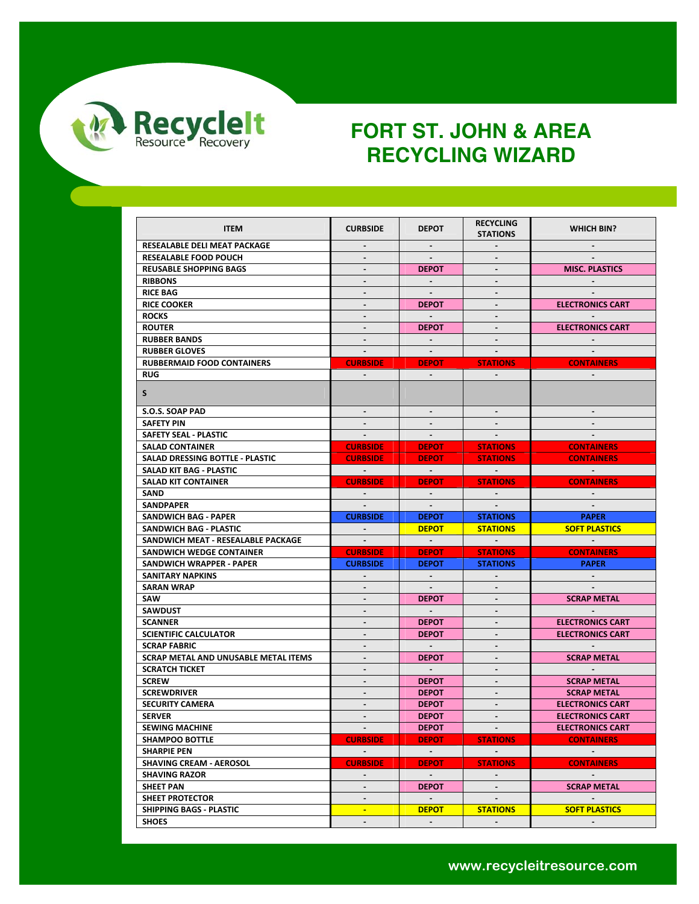

| RESEALABLE DELI MEAT PACKAGE<br>$\sim$<br>$\blacksquare$<br>$\sim$<br><b>RESEALABLE FOOD POUCH</b><br><b>MISC. PLASTICS</b><br><b>REUSABLE SHOPPING BAGS</b><br><b>DEPOT</b><br>$\overline{a}$<br><b>RIBBONS</b><br>$\blacksquare$<br>$\blacksquare$<br><b>RICE BAG</b><br>$\blacksquare$<br>$\sim$<br>$\sim$<br><b>RICE COOKER</b><br><b>ELECTRONICS CART</b><br><b>DEPOT</b><br>$\blacksquare$<br><b>ROCKS</b><br>$\sim 10^{-1}$<br><b>ELECTRONICS CART</b><br><b>ROUTER</b><br>$\blacksquare$<br><b>DEPOT</b><br>$\blacksquare$<br><b>RUBBER BANDS</b><br>$\blacksquare$<br><b>RUBBER GLOVES</b><br>$\sim$<br>$\sim$ $-$<br>$\sim$<br><b>RUBBERMAID FOOD CONTAINERS</b><br><b>CURBSIDE</b><br><b>DEPOT</b><br><b>CONTAINERS</b><br><b>STATIONS</b><br><b>RUG</b><br>$\blacksquare$<br>$\sim$<br>$\sim$<br>$\sim$<br>S.<br>S.O.S. SOAP PAD<br><b>SAFETY PIN</b><br>$\sim$<br>$\sim$<br>$\sim$<br>SAFETY SEAL - PLASTIC<br>$\sim$ $-$<br>$\sim$<br>$\sim$ $-$<br><b>SALAD CONTAINER</b><br><b>CURBSIDE</b><br><b>DEPOT</b><br><b>STATIONS</b><br><b>CONTAINERS</b><br>SALAD DRESSING BOTTLE - PLASTIC<br><b>CURBSIDE</b><br><b>DEPOT</b><br><b>STATIONS</b><br><b>CONTAINERS</b><br>SALAD KIT BAG - PLASTIC<br>$\sim 100$ km s $^{-1}$<br><b>Contract Contract</b><br><b>Contract Contract</b><br>$\sim 100$ km s $^{-1}$<br><b>CONTAINERS</b><br><b>SALAD KIT CONTAINER</b><br><b>CURBSIDE</b><br><b>DEPOT</b><br><b>STATIONS</b><br>SAND<br>$\sim 100$<br><b>SANDPAPER</b><br>$\sim$<br>$\sim$<br>$\sim$<br>SANDWICH BAG - PAPER<br><b>CURBSIDE</b><br><b>PAPER</b><br><b>DEPOT</b><br><b>STATIONS</b><br>SANDWICH BAG - PLASTIC<br><b>SOFT PLASTICS</b><br><b>DEPOT</b><br><b>STATIONS</b><br>$\sim$<br>$\sim 100$ km s $^{-1}$<br><b>College</b><br><b>Contract Contract</b><br><b>Contract</b><br>SANDWICH MEAT - RESEALABLE PACKAGE<br>SANDWICH WEDGE CONTAINER<br><b>CURBSIDE</b><br><b>CONTAINERS</b><br><b>DEPOT</b><br><b>STATIONS</b><br><b>CURBSIDE</b><br><b>PAPER</b><br>SANDWICH WRAPPER - PAPER<br><b>DEPOT</b><br><b>STATIONS</b><br><b>SANITARY NAPKINS</b><br><b>SARAN WRAP</b><br>$\blacksquare$<br>$\sim$<br>$\sim$<br>SAW<br><b>SCRAP METAL</b><br><b>DEPOT</b><br>$\overline{\phantom{a}}$<br><b>SAWDUST</b><br><b>Contract</b><br>$\blacksquare$<br>$\blacksquare$<br>$\blacksquare$<br><b>ELECTRONICS CART</b><br><b>SCANNER</b><br><b>DEPOT</b><br><b>SCIENTIFIC CALCULATOR</b><br><b>DEPOT</b><br><b>ELECTRONICS CART</b><br>$\blacksquare$<br>$\blacksquare$<br><b>SCRAP FABRIC</b><br>$\sim$ $-$<br>$\blacksquare$<br>SCRAP METAL AND UNUSABLE METAL ITEMS<br><b>DEPOT</b><br><b>SCRAP METAL</b><br>$\blacksquare$<br>$\blacksquare$<br>$\sim$<br><b>SCRATCH TICKET</b><br>$\sim$<br>$\blacksquare$<br>$\blacksquare$<br><b>SCREW</b><br><b>SCRAP METAL</b><br><b>DEPOT</b><br>$\overline{a}$<br><b>SCRAP METAL</b><br><b>SCREWDRIVER</b><br><b>DEPOT</b><br>$\blacksquare$<br><b>SECURITY CAMERA</b><br>$\blacksquare$<br><b>ELECTRONICS CART</b><br>÷.<br><b>DEPOT</b><br><b>SERVER</b><br><b>DEPOT</b><br><b>ELECTRONICS CART</b><br>$\overline{\phantom{a}}$<br><b>SEWING MACHINE</b><br><b>DEPOT</b><br><b>ELECTRONICS CART</b><br>$\sim$ $ -$<br><b>Service</b><br><b>SHAMPOO BOTTLE</b><br><b>CURBSIDE</b><br><b>DEPOT</b><br><b>STATIONS</b><br><b>CONTAINERS</b><br><b>SHARPIE PEN</b><br>$\sim 100$<br>$\sim 10^{-1}$<br><b>SHAVING CREAM - AEROSOL</b><br><b>CURBSIDE</b><br><b>STATIONS</b><br><b>CONTAINERS</b><br><b>DEPOT</b><br>$\sim 100$<br><b>Contract Contract</b><br><b>SHAVING RAZOR</b><br>$\blacksquare$<br>$\sim$<br><b>SHEET PAN</b><br>$\blacksquare$<br><b>DEPOT</b><br><b>SCRAP METAL</b><br>$\blacksquare$<br><b>SHEET PROTECTOR</b><br>$\blacksquare$<br>$\sim$<br>$\sim$<br>SHIPPING BAGS - PLASTIC<br><b>DEPOT</b><br><b>STATIONS</b><br><b>SOFT PLASTICS</b><br>$\blacksquare$<br><b>SHOES</b><br>$\blacksquare$<br>$\overline{\phantom{a}}$ | <b>ITEM</b> | <b>CURBSIDE</b> | <b>DEPOT</b> | <b>RECYCLING</b><br><b>STATIONS</b> | <b>WHICH BIN?</b> |
|--------------------------------------------------------------------------------------------------------------------------------------------------------------------------------------------------------------------------------------------------------------------------------------------------------------------------------------------------------------------------------------------------------------------------------------------------------------------------------------------------------------------------------------------------------------------------------------------------------------------------------------------------------------------------------------------------------------------------------------------------------------------------------------------------------------------------------------------------------------------------------------------------------------------------------------------------------------------------------------------------------------------------------------------------------------------------------------------------------------------------------------------------------------------------------------------------------------------------------------------------------------------------------------------------------------------------------------------------------------------------------------------------------------------------------------------------------------------------------------------------------------------------------------------------------------------------------------------------------------------------------------------------------------------------------------------------------------------------------------------------------------------------------------------------------------------------------------------------------------------------------------------------------------------------------------------------------------------------------------------------------------------------------------------------------------------------------------------------------------------------------------------------------------------------------------------------------------------------------------------------------------------------------------------------------------------------------------------------------------------------------------------------------------------------------------------------------------------------------------------------------------------------------------------------------------------------------------------------------------------------------------------------------------------------------------------------------------------------------------------------------------------------------------------------------------------------------------------------------------------------------------------------------------------------------------------------------------------------------------------------------------------------------------------------------------------------------------------------------------------------------------------------------------------------------------------------------------------------------------------------------------------------------------------------------------------------------------------------------------------------------------------------------------------------------------------------------------------------------------------------------------------------------------------------------------------------------------------------------------------------------------------------------------------------------------------------------------------------------------------------------------------------------------------------------------------------------------------------------------------------------------------------------------|-------------|-----------------|--------------|-------------------------------------|-------------------|
|                                                                                                                                                                                                                                                                                                                                                                                                                                                                                                                                                                                                                                                                                                                                                                                                                                                                                                                                                                                                                                                                                                                                                                                                                                                                                                                                                                                                                                                                                                                                                                                                                                                                                                                                                                                                                                                                                                                                                                                                                                                                                                                                                                                                                                                                                                                                                                                                                                                                                                                                                                                                                                                                                                                                                                                                                                                                                                                                                                                                                                                                                                                                                                                                                                                                                                                                                                                                                                                                                                                                                                                                                                                                                                                                                                                                                                                                                                              |             |                 |              |                                     |                   |
|                                                                                                                                                                                                                                                                                                                                                                                                                                                                                                                                                                                                                                                                                                                                                                                                                                                                                                                                                                                                                                                                                                                                                                                                                                                                                                                                                                                                                                                                                                                                                                                                                                                                                                                                                                                                                                                                                                                                                                                                                                                                                                                                                                                                                                                                                                                                                                                                                                                                                                                                                                                                                                                                                                                                                                                                                                                                                                                                                                                                                                                                                                                                                                                                                                                                                                                                                                                                                                                                                                                                                                                                                                                                                                                                                                                                                                                                                                              |             |                 |              |                                     |                   |
|                                                                                                                                                                                                                                                                                                                                                                                                                                                                                                                                                                                                                                                                                                                                                                                                                                                                                                                                                                                                                                                                                                                                                                                                                                                                                                                                                                                                                                                                                                                                                                                                                                                                                                                                                                                                                                                                                                                                                                                                                                                                                                                                                                                                                                                                                                                                                                                                                                                                                                                                                                                                                                                                                                                                                                                                                                                                                                                                                                                                                                                                                                                                                                                                                                                                                                                                                                                                                                                                                                                                                                                                                                                                                                                                                                                                                                                                                                              |             |                 |              |                                     |                   |
|                                                                                                                                                                                                                                                                                                                                                                                                                                                                                                                                                                                                                                                                                                                                                                                                                                                                                                                                                                                                                                                                                                                                                                                                                                                                                                                                                                                                                                                                                                                                                                                                                                                                                                                                                                                                                                                                                                                                                                                                                                                                                                                                                                                                                                                                                                                                                                                                                                                                                                                                                                                                                                                                                                                                                                                                                                                                                                                                                                                                                                                                                                                                                                                                                                                                                                                                                                                                                                                                                                                                                                                                                                                                                                                                                                                                                                                                                                              |             |                 |              |                                     |                   |
|                                                                                                                                                                                                                                                                                                                                                                                                                                                                                                                                                                                                                                                                                                                                                                                                                                                                                                                                                                                                                                                                                                                                                                                                                                                                                                                                                                                                                                                                                                                                                                                                                                                                                                                                                                                                                                                                                                                                                                                                                                                                                                                                                                                                                                                                                                                                                                                                                                                                                                                                                                                                                                                                                                                                                                                                                                                                                                                                                                                                                                                                                                                                                                                                                                                                                                                                                                                                                                                                                                                                                                                                                                                                                                                                                                                                                                                                                                              |             |                 |              |                                     |                   |
|                                                                                                                                                                                                                                                                                                                                                                                                                                                                                                                                                                                                                                                                                                                                                                                                                                                                                                                                                                                                                                                                                                                                                                                                                                                                                                                                                                                                                                                                                                                                                                                                                                                                                                                                                                                                                                                                                                                                                                                                                                                                                                                                                                                                                                                                                                                                                                                                                                                                                                                                                                                                                                                                                                                                                                                                                                                                                                                                                                                                                                                                                                                                                                                                                                                                                                                                                                                                                                                                                                                                                                                                                                                                                                                                                                                                                                                                                                              |             |                 |              |                                     |                   |
|                                                                                                                                                                                                                                                                                                                                                                                                                                                                                                                                                                                                                                                                                                                                                                                                                                                                                                                                                                                                                                                                                                                                                                                                                                                                                                                                                                                                                                                                                                                                                                                                                                                                                                                                                                                                                                                                                                                                                                                                                                                                                                                                                                                                                                                                                                                                                                                                                                                                                                                                                                                                                                                                                                                                                                                                                                                                                                                                                                                                                                                                                                                                                                                                                                                                                                                                                                                                                                                                                                                                                                                                                                                                                                                                                                                                                                                                                                              |             |                 |              |                                     |                   |
|                                                                                                                                                                                                                                                                                                                                                                                                                                                                                                                                                                                                                                                                                                                                                                                                                                                                                                                                                                                                                                                                                                                                                                                                                                                                                                                                                                                                                                                                                                                                                                                                                                                                                                                                                                                                                                                                                                                                                                                                                                                                                                                                                                                                                                                                                                                                                                                                                                                                                                                                                                                                                                                                                                                                                                                                                                                                                                                                                                                                                                                                                                                                                                                                                                                                                                                                                                                                                                                                                                                                                                                                                                                                                                                                                                                                                                                                                                              |             |                 |              |                                     |                   |
|                                                                                                                                                                                                                                                                                                                                                                                                                                                                                                                                                                                                                                                                                                                                                                                                                                                                                                                                                                                                                                                                                                                                                                                                                                                                                                                                                                                                                                                                                                                                                                                                                                                                                                                                                                                                                                                                                                                                                                                                                                                                                                                                                                                                                                                                                                                                                                                                                                                                                                                                                                                                                                                                                                                                                                                                                                                                                                                                                                                                                                                                                                                                                                                                                                                                                                                                                                                                                                                                                                                                                                                                                                                                                                                                                                                                                                                                                                              |             |                 |              |                                     |                   |
|                                                                                                                                                                                                                                                                                                                                                                                                                                                                                                                                                                                                                                                                                                                                                                                                                                                                                                                                                                                                                                                                                                                                                                                                                                                                                                                                                                                                                                                                                                                                                                                                                                                                                                                                                                                                                                                                                                                                                                                                                                                                                                                                                                                                                                                                                                                                                                                                                                                                                                                                                                                                                                                                                                                                                                                                                                                                                                                                                                                                                                                                                                                                                                                                                                                                                                                                                                                                                                                                                                                                                                                                                                                                                                                                                                                                                                                                                                              |             |                 |              |                                     |                   |
|                                                                                                                                                                                                                                                                                                                                                                                                                                                                                                                                                                                                                                                                                                                                                                                                                                                                                                                                                                                                                                                                                                                                                                                                                                                                                                                                                                                                                                                                                                                                                                                                                                                                                                                                                                                                                                                                                                                                                                                                                                                                                                                                                                                                                                                                                                                                                                                                                                                                                                                                                                                                                                                                                                                                                                                                                                                                                                                                                                                                                                                                                                                                                                                                                                                                                                                                                                                                                                                                                                                                                                                                                                                                                                                                                                                                                                                                                                              |             |                 |              |                                     |                   |
|                                                                                                                                                                                                                                                                                                                                                                                                                                                                                                                                                                                                                                                                                                                                                                                                                                                                                                                                                                                                                                                                                                                                                                                                                                                                                                                                                                                                                                                                                                                                                                                                                                                                                                                                                                                                                                                                                                                                                                                                                                                                                                                                                                                                                                                                                                                                                                                                                                                                                                                                                                                                                                                                                                                                                                                                                                                                                                                                                                                                                                                                                                                                                                                                                                                                                                                                                                                                                                                                                                                                                                                                                                                                                                                                                                                                                                                                                                              |             |                 |              |                                     |                   |
|                                                                                                                                                                                                                                                                                                                                                                                                                                                                                                                                                                                                                                                                                                                                                                                                                                                                                                                                                                                                                                                                                                                                                                                                                                                                                                                                                                                                                                                                                                                                                                                                                                                                                                                                                                                                                                                                                                                                                                                                                                                                                                                                                                                                                                                                                                                                                                                                                                                                                                                                                                                                                                                                                                                                                                                                                                                                                                                                                                                                                                                                                                                                                                                                                                                                                                                                                                                                                                                                                                                                                                                                                                                                                                                                                                                                                                                                                                              |             |                 |              |                                     |                   |
|                                                                                                                                                                                                                                                                                                                                                                                                                                                                                                                                                                                                                                                                                                                                                                                                                                                                                                                                                                                                                                                                                                                                                                                                                                                                                                                                                                                                                                                                                                                                                                                                                                                                                                                                                                                                                                                                                                                                                                                                                                                                                                                                                                                                                                                                                                                                                                                                                                                                                                                                                                                                                                                                                                                                                                                                                                                                                                                                                                                                                                                                                                                                                                                                                                                                                                                                                                                                                                                                                                                                                                                                                                                                                                                                                                                                                                                                                                              |             |                 |              |                                     |                   |
|                                                                                                                                                                                                                                                                                                                                                                                                                                                                                                                                                                                                                                                                                                                                                                                                                                                                                                                                                                                                                                                                                                                                                                                                                                                                                                                                                                                                                                                                                                                                                                                                                                                                                                                                                                                                                                                                                                                                                                                                                                                                                                                                                                                                                                                                                                                                                                                                                                                                                                                                                                                                                                                                                                                                                                                                                                                                                                                                                                                                                                                                                                                                                                                                                                                                                                                                                                                                                                                                                                                                                                                                                                                                                                                                                                                                                                                                                                              |             |                 |              |                                     |                   |
|                                                                                                                                                                                                                                                                                                                                                                                                                                                                                                                                                                                                                                                                                                                                                                                                                                                                                                                                                                                                                                                                                                                                                                                                                                                                                                                                                                                                                                                                                                                                                                                                                                                                                                                                                                                                                                                                                                                                                                                                                                                                                                                                                                                                                                                                                                                                                                                                                                                                                                                                                                                                                                                                                                                                                                                                                                                                                                                                                                                                                                                                                                                                                                                                                                                                                                                                                                                                                                                                                                                                                                                                                                                                                                                                                                                                                                                                                                              |             |                 |              |                                     |                   |
|                                                                                                                                                                                                                                                                                                                                                                                                                                                                                                                                                                                                                                                                                                                                                                                                                                                                                                                                                                                                                                                                                                                                                                                                                                                                                                                                                                                                                                                                                                                                                                                                                                                                                                                                                                                                                                                                                                                                                                                                                                                                                                                                                                                                                                                                                                                                                                                                                                                                                                                                                                                                                                                                                                                                                                                                                                                                                                                                                                                                                                                                                                                                                                                                                                                                                                                                                                                                                                                                                                                                                                                                                                                                                                                                                                                                                                                                                                              |             |                 |              |                                     |                   |
|                                                                                                                                                                                                                                                                                                                                                                                                                                                                                                                                                                                                                                                                                                                                                                                                                                                                                                                                                                                                                                                                                                                                                                                                                                                                                                                                                                                                                                                                                                                                                                                                                                                                                                                                                                                                                                                                                                                                                                                                                                                                                                                                                                                                                                                                                                                                                                                                                                                                                                                                                                                                                                                                                                                                                                                                                                                                                                                                                                                                                                                                                                                                                                                                                                                                                                                                                                                                                                                                                                                                                                                                                                                                                                                                                                                                                                                                                                              |             |                 |              |                                     |                   |
|                                                                                                                                                                                                                                                                                                                                                                                                                                                                                                                                                                                                                                                                                                                                                                                                                                                                                                                                                                                                                                                                                                                                                                                                                                                                                                                                                                                                                                                                                                                                                                                                                                                                                                                                                                                                                                                                                                                                                                                                                                                                                                                                                                                                                                                                                                                                                                                                                                                                                                                                                                                                                                                                                                                                                                                                                                                                                                                                                                                                                                                                                                                                                                                                                                                                                                                                                                                                                                                                                                                                                                                                                                                                                                                                                                                                                                                                                                              |             |                 |              |                                     |                   |
|                                                                                                                                                                                                                                                                                                                                                                                                                                                                                                                                                                                                                                                                                                                                                                                                                                                                                                                                                                                                                                                                                                                                                                                                                                                                                                                                                                                                                                                                                                                                                                                                                                                                                                                                                                                                                                                                                                                                                                                                                                                                                                                                                                                                                                                                                                                                                                                                                                                                                                                                                                                                                                                                                                                                                                                                                                                                                                                                                                                                                                                                                                                                                                                                                                                                                                                                                                                                                                                                                                                                                                                                                                                                                                                                                                                                                                                                                                              |             |                 |              |                                     |                   |
|                                                                                                                                                                                                                                                                                                                                                                                                                                                                                                                                                                                                                                                                                                                                                                                                                                                                                                                                                                                                                                                                                                                                                                                                                                                                                                                                                                                                                                                                                                                                                                                                                                                                                                                                                                                                                                                                                                                                                                                                                                                                                                                                                                                                                                                                                                                                                                                                                                                                                                                                                                                                                                                                                                                                                                                                                                                                                                                                                                                                                                                                                                                                                                                                                                                                                                                                                                                                                                                                                                                                                                                                                                                                                                                                                                                                                                                                                                              |             |                 |              |                                     |                   |
|                                                                                                                                                                                                                                                                                                                                                                                                                                                                                                                                                                                                                                                                                                                                                                                                                                                                                                                                                                                                                                                                                                                                                                                                                                                                                                                                                                                                                                                                                                                                                                                                                                                                                                                                                                                                                                                                                                                                                                                                                                                                                                                                                                                                                                                                                                                                                                                                                                                                                                                                                                                                                                                                                                                                                                                                                                                                                                                                                                                                                                                                                                                                                                                                                                                                                                                                                                                                                                                                                                                                                                                                                                                                                                                                                                                                                                                                                                              |             |                 |              |                                     |                   |
|                                                                                                                                                                                                                                                                                                                                                                                                                                                                                                                                                                                                                                                                                                                                                                                                                                                                                                                                                                                                                                                                                                                                                                                                                                                                                                                                                                                                                                                                                                                                                                                                                                                                                                                                                                                                                                                                                                                                                                                                                                                                                                                                                                                                                                                                                                                                                                                                                                                                                                                                                                                                                                                                                                                                                                                                                                                                                                                                                                                                                                                                                                                                                                                                                                                                                                                                                                                                                                                                                                                                                                                                                                                                                                                                                                                                                                                                                                              |             |                 |              |                                     |                   |
|                                                                                                                                                                                                                                                                                                                                                                                                                                                                                                                                                                                                                                                                                                                                                                                                                                                                                                                                                                                                                                                                                                                                                                                                                                                                                                                                                                                                                                                                                                                                                                                                                                                                                                                                                                                                                                                                                                                                                                                                                                                                                                                                                                                                                                                                                                                                                                                                                                                                                                                                                                                                                                                                                                                                                                                                                                                                                                                                                                                                                                                                                                                                                                                                                                                                                                                                                                                                                                                                                                                                                                                                                                                                                                                                                                                                                                                                                                              |             |                 |              |                                     |                   |
|                                                                                                                                                                                                                                                                                                                                                                                                                                                                                                                                                                                                                                                                                                                                                                                                                                                                                                                                                                                                                                                                                                                                                                                                                                                                                                                                                                                                                                                                                                                                                                                                                                                                                                                                                                                                                                                                                                                                                                                                                                                                                                                                                                                                                                                                                                                                                                                                                                                                                                                                                                                                                                                                                                                                                                                                                                                                                                                                                                                                                                                                                                                                                                                                                                                                                                                                                                                                                                                                                                                                                                                                                                                                                                                                                                                                                                                                                                              |             |                 |              |                                     |                   |
|                                                                                                                                                                                                                                                                                                                                                                                                                                                                                                                                                                                                                                                                                                                                                                                                                                                                                                                                                                                                                                                                                                                                                                                                                                                                                                                                                                                                                                                                                                                                                                                                                                                                                                                                                                                                                                                                                                                                                                                                                                                                                                                                                                                                                                                                                                                                                                                                                                                                                                                                                                                                                                                                                                                                                                                                                                                                                                                                                                                                                                                                                                                                                                                                                                                                                                                                                                                                                                                                                                                                                                                                                                                                                                                                                                                                                                                                                                              |             |                 |              |                                     |                   |
|                                                                                                                                                                                                                                                                                                                                                                                                                                                                                                                                                                                                                                                                                                                                                                                                                                                                                                                                                                                                                                                                                                                                                                                                                                                                                                                                                                                                                                                                                                                                                                                                                                                                                                                                                                                                                                                                                                                                                                                                                                                                                                                                                                                                                                                                                                                                                                                                                                                                                                                                                                                                                                                                                                                                                                                                                                                                                                                                                                                                                                                                                                                                                                                                                                                                                                                                                                                                                                                                                                                                                                                                                                                                                                                                                                                                                                                                                                              |             |                 |              |                                     |                   |
|                                                                                                                                                                                                                                                                                                                                                                                                                                                                                                                                                                                                                                                                                                                                                                                                                                                                                                                                                                                                                                                                                                                                                                                                                                                                                                                                                                                                                                                                                                                                                                                                                                                                                                                                                                                                                                                                                                                                                                                                                                                                                                                                                                                                                                                                                                                                                                                                                                                                                                                                                                                                                                                                                                                                                                                                                                                                                                                                                                                                                                                                                                                                                                                                                                                                                                                                                                                                                                                                                                                                                                                                                                                                                                                                                                                                                                                                                                              |             |                 |              |                                     |                   |
|                                                                                                                                                                                                                                                                                                                                                                                                                                                                                                                                                                                                                                                                                                                                                                                                                                                                                                                                                                                                                                                                                                                                                                                                                                                                                                                                                                                                                                                                                                                                                                                                                                                                                                                                                                                                                                                                                                                                                                                                                                                                                                                                                                                                                                                                                                                                                                                                                                                                                                                                                                                                                                                                                                                                                                                                                                                                                                                                                                                                                                                                                                                                                                                                                                                                                                                                                                                                                                                                                                                                                                                                                                                                                                                                                                                                                                                                                                              |             |                 |              |                                     |                   |
|                                                                                                                                                                                                                                                                                                                                                                                                                                                                                                                                                                                                                                                                                                                                                                                                                                                                                                                                                                                                                                                                                                                                                                                                                                                                                                                                                                                                                                                                                                                                                                                                                                                                                                                                                                                                                                                                                                                                                                                                                                                                                                                                                                                                                                                                                                                                                                                                                                                                                                                                                                                                                                                                                                                                                                                                                                                                                                                                                                                                                                                                                                                                                                                                                                                                                                                                                                                                                                                                                                                                                                                                                                                                                                                                                                                                                                                                                                              |             |                 |              |                                     |                   |
|                                                                                                                                                                                                                                                                                                                                                                                                                                                                                                                                                                                                                                                                                                                                                                                                                                                                                                                                                                                                                                                                                                                                                                                                                                                                                                                                                                                                                                                                                                                                                                                                                                                                                                                                                                                                                                                                                                                                                                                                                                                                                                                                                                                                                                                                                                                                                                                                                                                                                                                                                                                                                                                                                                                                                                                                                                                                                                                                                                                                                                                                                                                                                                                                                                                                                                                                                                                                                                                                                                                                                                                                                                                                                                                                                                                                                                                                                                              |             |                 |              |                                     |                   |
|                                                                                                                                                                                                                                                                                                                                                                                                                                                                                                                                                                                                                                                                                                                                                                                                                                                                                                                                                                                                                                                                                                                                                                                                                                                                                                                                                                                                                                                                                                                                                                                                                                                                                                                                                                                                                                                                                                                                                                                                                                                                                                                                                                                                                                                                                                                                                                                                                                                                                                                                                                                                                                                                                                                                                                                                                                                                                                                                                                                                                                                                                                                                                                                                                                                                                                                                                                                                                                                                                                                                                                                                                                                                                                                                                                                                                                                                                                              |             |                 |              |                                     |                   |
|                                                                                                                                                                                                                                                                                                                                                                                                                                                                                                                                                                                                                                                                                                                                                                                                                                                                                                                                                                                                                                                                                                                                                                                                                                                                                                                                                                                                                                                                                                                                                                                                                                                                                                                                                                                                                                                                                                                                                                                                                                                                                                                                                                                                                                                                                                                                                                                                                                                                                                                                                                                                                                                                                                                                                                                                                                                                                                                                                                                                                                                                                                                                                                                                                                                                                                                                                                                                                                                                                                                                                                                                                                                                                                                                                                                                                                                                                                              |             |                 |              |                                     |                   |
|                                                                                                                                                                                                                                                                                                                                                                                                                                                                                                                                                                                                                                                                                                                                                                                                                                                                                                                                                                                                                                                                                                                                                                                                                                                                                                                                                                                                                                                                                                                                                                                                                                                                                                                                                                                                                                                                                                                                                                                                                                                                                                                                                                                                                                                                                                                                                                                                                                                                                                                                                                                                                                                                                                                                                                                                                                                                                                                                                                                                                                                                                                                                                                                                                                                                                                                                                                                                                                                                                                                                                                                                                                                                                                                                                                                                                                                                                                              |             |                 |              |                                     |                   |
|                                                                                                                                                                                                                                                                                                                                                                                                                                                                                                                                                                                                                                                                                                                                                                                                                                                                                                                                                                                                                                                                                                                                                                                                                                                                                                                                                                                                                                                                                                                                                                                                                                                                                                                                                                                                                                                                                                                                                                                                                                                                                                                                                                                                                                                                                                                                                                                                                                                                                                                                                                                                                                                                                                                                                                                                                                                                                                                                                                                                                                                                                                                                                                                                                                                                                                                                                                                                                                                                                                                                                                                                                                                                                                                                                                                                                                                                                                              |             |                 |              |                                     |                   |
|                                                                                                                                                                                                                                                                                                                                                                                                                                                                                                                                                                                                                                                                                                                                                                                                                                                                                                                                                                                                                                                                                                                                                                                                                                                                                                                                                                                                                                                                                                                                                                                                                                                                                                                                                                                                                                                                                                                                                                                                                                                                                                                                                                                                                                                                                                                                                                                                                                                                                                                                                                                                                                                                                                                                                                                                                                                                                                                                                                                                                                                                                                                                                                                                                                                                                                                                                                                                                                                                                                                                                                                                                                                                                                                                                                                                                                                                                                              |             |                 |              |                                     |                   |
|                                                                                                                                                                                                                                                                                                                                                                                                                                                                                                                                                                                                                                                                                                                                                                                                                                                                                                                                                                                                                                                                                                                                                                                                                                                                                                                                                                                                                                                                                                                                                                                                                                                                                                                                                                                                                                                                                                                                                                                                                                                                                                                                                                                                                                                                                                                                                                                                                                                                                                                                                                                                                                                                                                                                                                                                                                                                                                                                                                                                                                                                                                                                                                                                                                                                                                                                                                                                                                                                                                                                                                                                                                                                                                                                                                                                                                                                                                              |             |                 |              |                                     |                   |
|                                                                                                                                                                                                                                                                                                                                                                                                                                                                                                                                                                                                                                                                                                                                                                                                                                                                                                                                                                                                                                                                                                                                                                                                                                                                                                                                                                                                                                                                                                                                                                                                                                                                                                                                                                                                                                                                                                                                                                                                                                                                                                                                                                                                                                                                                                                                                                                                                                                                                                                                                                                                                                                                                                                                                                                                                                                                                                                                                                                                                                                                                                                                                                                                                                                                                                                                                                                                                                                                                                                                                                                                                                                                                                                                                                                                                                                                                                              |             |                 |              |                                     |                   |
|                                                                                                                                                                                                                                                                                                                                                                                                                                                                                                                                                                                                                                                                                                                                                                                                                                                                                                                                                                                                                                                                                                                                                                                                                                                                                                                                                                                                                                                                                                                                                                                                                                                                                                                                                                                                                                                                                                                                                                                                                                                                                                                                                                                                                                                                                                                                                                                                                                                                                                                                                                                                                                                                                                                                                                                                                                                                                                                                                                                                                                                                                                                                                                                                                                                                                                                                                                                                                                                                                                                                                                                                                                                                                                                                                                                                                                                                                                              |             |                 |              |                                     |                   |
|                                                                                                                                                                                                                                                                                                                                                                                                                                                                                                                                                                                                                                                                                                                                                                                                                                                                                                                                                                                                                                                                                                                                                                                                                                                                                                                                                                                                                                                                                                                                                                                                                                                                                                                                                                                                                                                                                                                                                                                                                                                                                                                                                                                                                                                                                                                                                                                                                                                                                                                                                                                                                                                                                                                                                                                                                                                                                                                                                                                                                                                                                                                                                                                                                                                                                                                                                                                                                                                                                                                                                                                                                                                                                                                                                                                                                                                                                                              |             |                 |              |                                     |                   |
|                                                                                                                                                                                                                                                                                                                                                                                                                                                                                                                                                                                                                                                                                                                                                                                                                                                                                                                                                                                                                                                                                                                                                                                                                                                                                                                                                                                                                                                                                                                                                                                                                                                                                                                                                                                                                                                                                                                                                                                                                                                                                                                                                                                                                                                                                                                                                                                                                                                                                                                                                                                                                                                                                                                                                                                                                                                                                                                                                                                                                                                                                                                                                                                                                                                                                                                                                                                                                                                                                                                                                                                                                                                                                                                                                                                                                                                                                                              |             |                 |              |                                     |                   |
|                                                                                                                                                                                                                                                                                                                                                                                                                                                                                                                                                                                                                                                                                                                                                                                                                                                                                                                                                                                                                                                                                                                                                                                                                                                                                                                                                                                                                                                                                                                                                                                                                                                                                                                                                                                                                                                                                                                                                                                                                                                                                                                                                                                                                                                                                                                                                                                                                                                                                                                                                                                                                                                                                                                                                                                                                                                                                                                                                                                                                                                                                                                                                                                                                                                                                                                                                                                                                                                                                                                                                                                                                                                                                                                                                                                                                                                                                                              |             |                 |              |                                     |                   |
|                                                                                                                                                                                                                                                                                                                                                                                                                                                                                                                                                                                                                                                                                                                                                                                                                                                                                                                                                                                                                                                                                                                                                                                                                                                                                                                                                                                                                                                                                                                                                                                                                                                                                                                                                                                                                                                                                                                                                                                                                                                                                                                                                                                                                                                                                                                                                                                                                                                                                                                                                                                                                                                                                                                                                                                                                                                                                                                                                                                                                                                                                                                                                                                                                                                                                                                                                                                                                                                                                                                                                                                                                                                                                                                                                                                                                                                                                                              |             |                 |              |                                     |                   |
|                                                                                                                                                                                                                                                                                                                                                                                                                                                                                                                                                                                                                                                                                                                                                                                                                                                                                                                                                                                                                                                                                                                                                                                                                                                                                                                                                                                                                                                                                                                                                                                                                                                                                                                                                                                                                                                                                                                                                                                                                                                                                                                                                                                                                                                                                                                                                                                                                                                                                                                                                                                                                                                                                                                                                                                                                                                                                                                                                                                                                                                                                                                                                                                                                                                                                                                                                                                                                                                                                                                                                                                                                                                                                                                                                                                                                                                                                                              |             |                 |              |                                     |                   |
|                                                                                                                                                                                                                                                                                                                                                                                                                                                                                                                                                                                                                                                                                                                                                                                                                                                                                                                                                                                                                                                                                                                                                                                                                                                                                                                                                                                                                                                                                                                                                                                                                                                                                                                                                                                                                                                                                                                                                                                                                                                                                                                                                                                                                                                                                                                                                                                                                                                                                                                                                                                                                                                                                                                                                                                                                                                                                                                                                                                                                                                                                                                                                                                                                                                                                                                                                                                                                                                                                                                                                                                                                                                                                                                                                                                                                                                                                                              |             |                 |              |                                     |                   |
|                                                                                                                                                                                                                                                                                                                                                                                                                                                                                                                                                                                                                                                                                                                                                                                                                                                                                                                                                                                                                                                                                                                                                                                                                                                                                                                                                                                                                                                                                                                                                                                                                                                                                                                                                                                                                                                                                                                                                                                                                                                                                                                                                                                                                                                                                                                                                                                                                                                                                                                                                                                                                                                                                                                                                                                                                                                                                                                                                                                                                                                                                                                                                                                                                                                                                                                                                                                                                                                                                                                                                                                                                                                                                                                                                                                                                                                                                                              |             |                 |              |                                     |                   |
|                                                                                                                                                                                                                                                                                                                                                                                                                                                                                                                                                                                                                                                                                                                                                                                                                                                                                                                                                                                                                                                                                                                                                                                                                                                                                                                                                                                                                                                                                                                                                                                                                                                                                                                                                                                                                                                                                                                                                                                                                                                                                                                                                                                                                                                                                                                                                                                                                                                                                                                                                                                                                                                                                                                                                                                                                                                                                                                                                                                                                                                                                                                                                                                                                                                                                                                                                                                                                                                                                                                                                                                                                                                                                                                                                                                                                                                                                                              |             |                 |              |                                     |                   |
|                                                                                                                                                                                                                                                                                                                                                                                                                                                                                                                                                                                                                                                                                                                                                                                                                                                                                                                                                                                                                                                                                                                                                                                                                                                                                                                                                                                                                                                                                                                                                                                                                                                                                                                                                                                                                                                                                                                                                                                                                                                                                                                                                                                                                                                                                                                                                                                                                                                                                                                                                                                                                                                                                                                                                                                                                                                                                                                                                                                                                                                                                                                                                                                                                                                                                                                                                                                                                                                                                                                                                                                                                                                                                                                                                                                                                                                                                                              |             |                 |              |                                     |                   |
|                                                                                                                                                                                                                                                                                                                                                                                                                                                                                                                                                                                                                                                                                                                                                                                                                                                                                                                                                                                                                                                                                                                                                                                                                                                                                                                                                                                                                                                                                                                                                                                                                                                                                                                                                                                                                                                                                                                                                                                                                                                                                                                                                                                                                                                                                                                                                                                                                                                                                                                                                                                                                                                                                                                                                                                                                                                                                                                                                                                                                                                                                                                                                                                                                                                                                                                                                                                                                                                                                                                                                                                                                                                                                                                                                                                                                                                                                                              |             |                 |              |                                     |                   |
|                                                                                                                                                                                                                                                                                                                                                                                                                                                                                                                                                                                                                                                                                                                                                                                                                                                                                                                                                                                                                                                                                                                                                                                                                                                                                                                                                                                                                                                                                                                                                                                                                                                                                                                                                                                                                                                                                                                                                                                                                                                                                                                                                                                                                                                                                                                                                                                                                                                                                                                                                                                                                                                                                                                                                                                                                                                                                                                                                                                                                                                                                                                                                                                                                                                                                                                                                                                                                                                                                                                                                                                                                                                                                                                                                                                                                                                                                                              |             |                 |              |                                     |                   |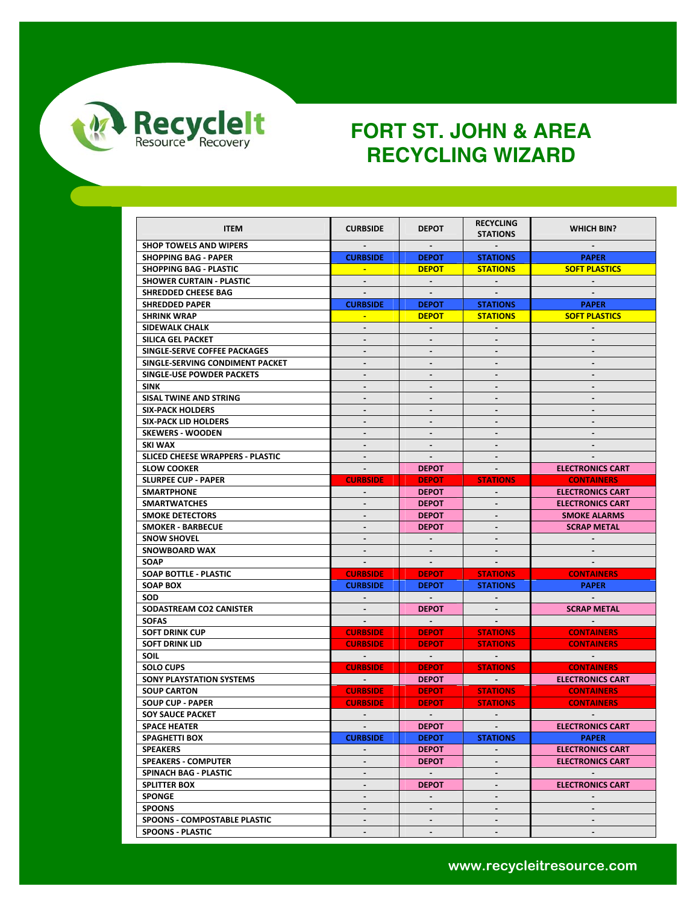

| <b>ITEM</b>                             | <b>CURBSIDE</b>              | <b>DEPOT</b>                | <b>RECYCLING</b><br><b>STATIONS</b>                         | <b>WHICH BIN?</b>        |
|-----------------------------------------|------------------------------|-----------------------------|-------------------------------------------------------------|--------------------------|
| <b>SHOP TOWELS AND WIPERS</b>           |                              |                             |                                                             |                          |
| <b>SHOPPING BAG - PAPER</b>             | <b>CURBSIDE</b>              | <b>DEPOT</b>                | <b>STATIONS</b>                                             | <b>PAPER</b>             |
| <b>SHOPPING BAG - PLASTIC</b>           | <b>A</b>                     | <b>DEPOT</b>                | <b>STATIONS</b>                                             | <b>SOFT PLASTICS</b>     |
| <b>SHOWER CURTAIN - PLASTIC</b>         |                              |                             |                                                             |                          |
| SHREDDED CHEESE BAG                     | $\sim$                       | $\sim$                      | $\sim$                                                      | $\sim$                   |
| <b>SHREDDED PAPER</b>                   | <b>CURBSIDE</b>              | <b>DEPOT</b>                | <b>STATIONS</b>                                             | <b>PAPER</b>             |
| <b>SHRINK WRAP</b>                      |                              | <b>DEPOT</b>                | <b>STATIONS</b>                                             | <b>SOFT PLASTICS</b>     |
| SIDEWALK CHALK                          | $\blacksquare$               | $\mathcal{L}^{\mathcal{L}}$ | $\mathbf{r}$                                                |                          |
| SILICA GEL PACKET                       | $\blacksquare$               | $\blacksquare$              | $\blacksquare$                                              | $\blacksquare$           |
| SINGLE-SERVE COFFEE PACKAGES            | $\qquad \qquad \blacksquare$ | $\overline{\phantom{a}}$    |                                                             |                          |
| SINGLE-SERVING CONDIMENT PACKET         |                              |                             |                                                             |                          |
| SINGLE-USE POWDER PACKETS               | $\blacksquare$               | $\blacksquare$              | $\blacksquare$                                              | $\blacksquare$           |
| SINK                                    | $\overline{\phantom{a}}$     |                             | $\blacksquare$                                              |                          |
| SISAL TWINE AND STRING                  | $\blacksquare$               |                             |                                                             |                          |
| <b>SIX-PACK HOLDERS</b>                 | L.                           | $\blacksquare$              | L.                                                          | $\mathbf{r}$             |
| <b>SIX-PACK LID HOLDERS</b>             | $\blacksquare$               | $\blacksquare$              | $\blacksquare$                                              | $\blacksquare$           |
| <b>SKEWERS - WOODEN</b>                 |                              |                             |                                                             |                          |
| SKI WAX                                 | $\blacksquare$               |                             |                                                             |                          |
| <b>SLICED CHEESE WRAPPERS - PLASTIC</b> | $\blacksquare$               | $\sim$                      | $\sim$                                                      | $\sim$                   |
| <b>SLOW COOKER</b>                      |                              | <b>DEPOT</b>                |                                                             | <b>ELECTRONICS CART</b>  |
| <b>SLURPEE CUP - PAPER</b>              | <b>CURBSIDE</b>              | <b>DEPOT</b>                | <b>STATIONS</b>                                             | <b>CONTAINERS</b>        |
| <b>SMARTPHONE</b>                       | $\sim$                       | <b>DEPOT</b>                | $\sim$                                                      | <b>ELECTRONICS CART</b>  |
| <b>SMARTWATCHES</b>                     | $\blacksquare$               | <b>DEPOT</b>                |                                                             | <b>ELECTRONICS CART</b>  |
| <b>SMOKE DETECTORS</b>                  | $\overline{a}$               | <b>DEPOT</b>                |                                                             | <b>SMOKE ALARMS</b>      |
| <b>SMOKER - BARBECUE</b>                |                              | <b>DEPOT</b>                |                                                             | <b>SCRAP METAL</b>       |
| <b>SNOW SHOVEL</b>                      | $\blacksquare$               | $\sim$                      | $\sim$                                                      |                          |
| <b>SNOWBOARD WAX</b>                    |                              |                             |                                                             |                          |
| SOAP                                    |                              | $\sim$                      |                                                             |                          |
| SOAP BOTTLE - PLASTIC                   | <b>CURBSIDE</b>              | <b>DEPOT</b>                | <b>STATIONS</b>                                             | <b>CONTAINERS</b>        |
| <b>SOAP BOX</b>                         | <b>CURBSIDE</b>              | <b>DEPOT</b>                | <b>STATIONS</b>                                             | <b>PAPER</b>             |
| SOD                                     | $\sim$                       | $\sim$ 100 $\pm$            |                                                             |                          |
| SODASTREAM CO2 CANISTER                 |                              | <b>DEPOT</b>                |                                                             | <b>SCRAP METAL</b>       |
| <b>SOFAS</b>                            | $\sim$                       | $\sim 100$                  |                                                             |                          |
| <b>SOFT DRINK CUP</b>                   | <b>CURBSIDE</b>              | <b>DEPOT</b>                | <b>STATIONS</b>                                             | <b>CONTAINERS</b>        |
| <b>SOFT DRINK LID</b>                   | <b>CURBSIDE</b>              | <b>DEPOT</b>                | <b>STATIONS</b>                                             | <b>CONTAINERS</b>        |
| <b>SOIL</b>                             | <b>State State</b>           | $\sim 100$ km s $^{-1}$     | $\mathcal{L}(\mathcal{L})$ and $\mathcal{L}(\mathcal{L})$ . | <b>Contract Contract</b> |
| <b>SOLO CUPS</b>                        | <b>CURBSIDE</b>              | <b>DEPOT</b>                | <b>STATIONS</b>                                             | <b>CONTAINERS</b>        |
| <b>SONY PLAYSTATION SYSTEMS</b>         | <b>Contract Contract</b>     | <b>DEPOT</b>                | <b>Contract Contract</b>                                    | <b>ELECTRONICS CART</b>  |
| <b>SOUP CARTON</b>                      | <b>CURBSIDE</b>              | <b>DEPOT</b>                | <b>STATIONS</b>                                             | <b>CONTAINERS</b>        |
| <b>SOUP CUP - PAPER</b>                 | <b>CURBSIDE</b>              | <b>DEPOT</b>                | <b>STATIONS</b>                                             | <b>CONTAINERS</b>        |
| <b>SOY SAUCE PACKET</b>                 | $\sim$                       | $\sim$                      | $\sim$                                                      |                          |
| <b>SPACE HEATER</b>                     |                              | <b>DEPOT</b>                |                                                             | <b>ELECTRONICS CART</b>  |
| <b>SPAGHETTI BOX</b>                    | <b>CURBSIDE</b>              | <b>DEPOT</b>                | <b>STATIONS</b>                                             | <b>PAPER</b>             |
| <b>SPEAKERS</b>                         | $\blacksquare$               | <b>DEPOT</b>                |                                                             | <b>ELECTRONICS CART</b>  |
| <b>SPEAKERS - COMPUTER</b>              | $\blacksquare$               | <b>DEPOT</b>                | $\overline{\phantom{a}}$                                    | <b>ELECTRONICS CART</b>  |
| SPINACH BAG - PLASTIC                   | $\blacksquare$               | $\sim$                      |                                                             | $\sim$                   |
| <b>SPLITTER BOX</b>                     | $\blacksquare$               | <b>DEPOT</b>                | $\blacksquare$                                              | <b>ELECTRONICS CART</b>  |
| <b>SPONGE</b>                           | $\blacksquare$               | $\mathbf{r}$                |                                                             | $\sim$                   |
| <b>SPOONS</b>                           |                              |                             |                                                             |                          |
| SPOONS - COMPOSTABLE PLASTIC            | $\blacksquare$               | $\blacksquare$              | $\blacksquare$                                              | $\sim$                   |
| <b>SPOONS - PLASTIC</b>                 | $\overline{\phantom{a}}$     | $\blacksquare$              | $\blacksquare$                                              | $\blacksquare$           |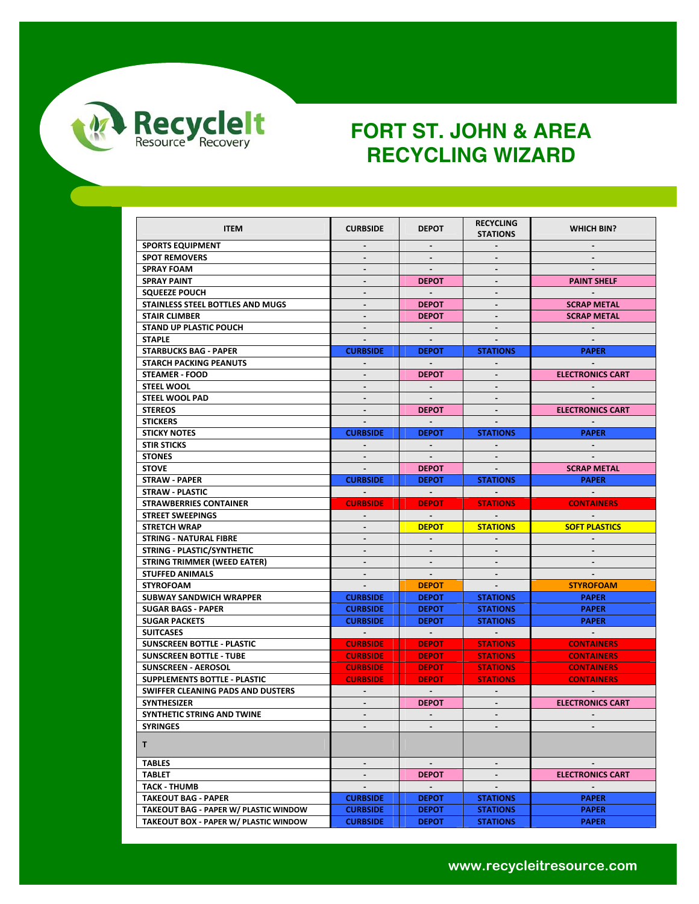

| <b>ITEM</b>                           | <b>CURBSIDE</b>          | <b>DEPOT</b>            | <b>RECYCLING</b><br><b>STATIONS</b> | <b>WHICH BIN?</b>        |
|---------------------------------------|--------------------------|-------------------------|-------------------------------------|--------------------------|
| <b>SPORTS EQUIPMENT</b>               | $\overline{\phantom{a}}$ | $\blacksquare$          | $\sim$                              | $\sim$                   |
| <b>SPOT REMOVERS</b>                  | $\blacksquare$           |                         |                                     |                          |
| <b>SPRAY FOAM</b>                     | $\blacksquare$           | $\sim$                  | $\blacksquare$                      |                          |
| <b>SPRAY PAINT</b>                    | $\blacksquare$           | <b>DEPOT</b>            |                                     | <b>PAINT SHELF</b>       |
| <b>SQUEEZE POUCH</b>                  | $\overline{\phantom{a}}$ | $\sim$                  | $\sim$                              |                          |
| STAINLESS STEEL BOTTLES AND MUGS      | ÷.                       | <b>DEPOT</b>            |                                     | <b>SCRAP METAL</b>       |
| <b>STAIR CLIMBER</b>                  |                          | <b>DEPOT</b>            |                                     | <b>SCRAP METAL</b>       |
| <b>STAND UP PLASTIC POUCH</b>         | $\overline{\phantom{a}}$ | $\sim$                  | $\sim$                              | $\sim$                   |
| <b>STAPLE</b>                         | $\sim$                   | $\sim$                  | $\overline{\phantom{a}}$            |                          |
| <b>STARBUCKS BAG - PAPER</b>          | <b>CURBSIDE</b>          | <b>DEPOT</b>            | <b>STATIONS</b>                     | <b>PAPER</b>             |
| <b>STARCH PACKING PEANUTS</b>         |                          |                         |                                     |                          |
| <b>STEAMER - FOOD</b>                 | $\blacksquare$           | <b>DEPOT</b>            | $\sim$                              | <b>ELECTRONICS CART</b>  |
| <b>STEEL WOOL</b>                     | $\frac{1}{2}$            | $\sim$                  |                                     |                          |
| <b>STEEL WOOL PAD</b>                 |                          |                         |                                     |                          |
| <b>STEREOS</b>                        | $\blacksquare$           | <b>DEPOT</b>            | $\sim$                              | <b>ELECTRONICS CART</b>  |
| <b>STICKERS</b>                       | $\overline{\phantom{a}}$ |                         |                                     |                          |
| <b>STICKY NOTES</b>                   | <b>CURBSIDE</b>          | <b>DEPOT</b>            | <b>STATIONS</b>                     | <b>PAPER</b>             |
| <b>STIR STICKS</b>                    | $\sim$                   | $\sim$                  |                                     | $\sim$ .                 |
| <b>STONES</b>                         | $\blacksquare$           | $\sim$                  |                                     |                          |
| <b>STOVE</b>                          |                          | <b>DEPOT</b>            |                                     | <b>SCRAP METAL</b>       |
| <b>STRAW - PAPER</b>                  | <b>CURBSIDE</b>          | <b>DEPOT</b>            | <b>STATIONS</b>                     | <b>PAPER</b>             |
| <b>STRAW - PLASTIC</b>                | $\sim$ $-$               | $\sim 100$              | $\sim$                              | $\sim 100$               |
| <b>STRAWBERRIES CONTAINER</b>         | <b>CURBSIDE</b>          | <b>DEPOT</b>            | <b>STATIONS</b>                     | <b>CONTAINERS</b>        |
| <b>STREET SWEEPINGS</b>               | $\sim$                   | $\sim 100$              | <b>Contract</b>                     | <b>Contract Contract</b> |
| <b>STRETCH WRAP</b>                   | ä.                       | <b>DEPOT</b>            | <b>STATIONS</b>                     | <b>SOFT PLASTICS</b>     |
| <b>STRING - NATURAL FIBRE</b>         | ۰                        |                         |                                     |                          |
| STRING - PLASTIC/SYNTHETIC            | $\blacksquare$           |                         |                                     |                          |
| <b>STRING TRIMMER (WEED EATER)</b>    | $\blacksquare$           |                         |                                     |                          |
| <b>STUFFED ANIMALS</b>                | $\sim$                   | $\sim$                  | $\sim$                              |                          |
| <b>STYROFOAM</b>                      | $\sim$                   | <b>DEPOT</b>            |                                     | <b>STYROFOAM</b>         |
| SUBWAY SANDWICH WRAPPER               | <b>CURBSIDE</b>          | <b>DEPOT</b>            | <b>STATIONS</b>                     | <b>PAPER</b>             |
| <b>SUGAR BAGS - PAPER</b>             | <b>CURBSIDE</b>          | <b>DEPOT</b>            | <b>STATIONS</b>                     | <b>PAPER</b>             |
| <b>SUGAR PACKETS</b>                  | <b>CURBSIDE</b>          | <b>DEPOT</b>            | <b>STATIONS</b>                     | <b>PAPER</b>             |
| <b>SUITCASES</b>                      | $\sim 100$ km s $^{-1}$  | $\sim 100$ km s $^{-1}$ | <b>Contract Contract</b>            | <b>Contract Contract</b> |
| SUNSCREEN BOTTLE - PLASTIC            | <b>CURBSIDE</b>          | <b>DEPOT</b>            | <b>STATIONS</b>                     | <b>CONTAINERS</b>        |
| <b>SUNSCREEN BOTTLE - TUBE</b>        | <b>CURBSIDE</b>          | <b>DEPOT</b>            | <b>STATIONS</b>                     | <b>CONTAINERS</b>        |
| <b>SUNSCREEN - AEROSOL</b>            | <b>CURBSIDE</b>          | <b>DEPOT</b>            | <b>STATIONS</b>                     | <b>CONTAINERS</b>        |
| <b>SUPPLEMENTS BOTTLE - PLASTIC</b>   | <b>CURBSIDE</b>          | <b>DEPOT</b>            | <b>STATIONS</b>                     | <b>CONTAINERS</b>        |
| SWIFFER CLEANING PADS AND DUSTERS     | $\sim$                   | $\sim$                  | $\sim$                              | $\sim$                   |
| <b>SYNTHESIZER</b>                    | $\blacksquare$           | <b>DEPOT</b>            |                                     | <b>ELECTRONICS CART</b>  |
| SYNTHETIC STRING AND TWINE            | $\blacksquare$           | $\sim$                  | $\blacksquare$                      |                          |
| <b>SYRINGES</b>                       |                          |                         |                                     |                          |
| T.                                    |                          |                         |                                     |                          |
| <b>TABLES</b>                         | $\blacksquare$           | $\sim$                  | $\blacksquare$                      |                          |
| TABLET                                |                          | <b>DEPOT</b>            |                                     | <b>ELECTRONICS CART</b>  |
| <b>TACK - THUMB</b>                   | $\blacksquare$           | $\sim$                  | $\sim$                              | $\blacksquare$           |
| <b>TAKEOUT BAG - PAPER</b>            | <b>CURBSIDE</b>          | <b>DEPOT</b>            | <b>STATIONS</b>                     | <b>PAPER</b>             |
| TAKEOUT BAG - PAPER W/ PLASTIC WINDOW | <b>CURBSIDE</b>          | <b>DEPOT</b>            | <b>STATIONS</b>                     | <b>PAPER</b>             |
| TAKEOUT BOX - PAPER W/ PLASTIC WINDOW | <b>CURBSIDE</b>          | <b>DEPOT</b>            | <b>STATIONS</b>                     | <b>PAPER</b>             |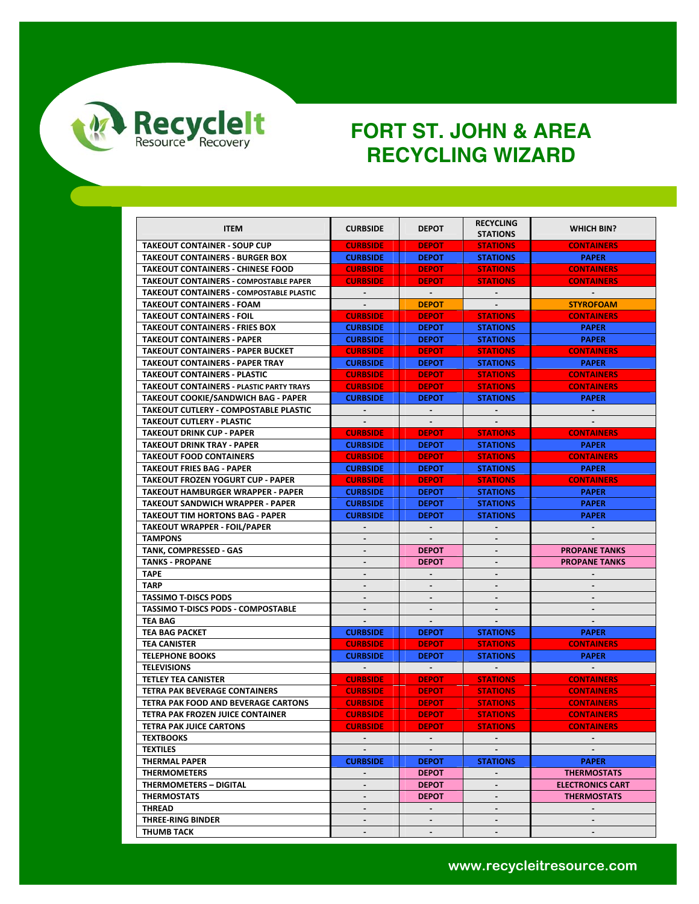

|                                               |                                  |                                | <b>RECYCLING</b>                           |                                              |
|-----------------------------------------------|----------------------------------|--------------------------------|--------------------------------------------|----------------------------------------------|
| <b>ITEM</b>                                   | <b>CURBSIDE</b>                  | <b>DEPOT</b>                   | <b>STATIONS</b>                            | <b>WHICH BIN?</b>                            |
| <b>TAKEOUT CONTAINER - SOUP CUP</b>           | <b>CURBSIDE</b>                  | <b>DEPOT</b>                   | <b>STATIONS</b>                            | <b>CONTAINERS</b>                            |
| <b>TAKEOUT CONTAINERS - BURGER BOX</b>        | <b>CURBSIDE</b>                  | <b>DEPOT</b>                   | <b>STATIONS</b>                            | <b>PAPER</b>                                 |
| <b>TAKEOUT CONTAINERS - CHINESE FOOD</b>      | <b>CURBSIDE</b>                  | <b>DEPOT</b>                   | <b>STATIONS</b>                            | <b>CONTAINERS</b>                            |
| <b>TAKEOUT CONTAINERS - COMPOSTABLE PAPER</b> | <b>CURBSIDE</b>                  | <b>DEPOT</b>                   | <b>STATIONS</b>                            | <b>CONTAINERS</b>                            |
| TAKEOUT CONTAINERS - COMPOSTABLE PLASTIC      | $\sim$                           | $\sim$ $-$                     | $\sim$                                     | $\sim$                                       |
| <b>TAKEOUT CONTAINERS - FOAM</b>              | $\blacksquare$                   | <b>DEPOT</b>                   | $\sim$                                     | <b>STYROFOAM</b>                             |
| <b>TAKEOUT CONTAINERS - FOIL</b>              | <b>CURBSIDE</b>                  | <b>DEPOT</b>                   | <b>STATIONS</b>                            | <b>CONTAINERS</b>                            |
| <b>TAKEOUT CONTAINERS - FRIES BOX</b>         | <b>CURBSIDE</b>                  | <b>DEPOT</b>                   | <b>STATIONS</b>                            | <b>PAPER</b>                                 |
| <b>TAKEOUT CONTAINERS - PAPER</b>             | <b>CURBSIDE</b>                  | <b>DEPOT</b>                   | <b>STATIONS</b>                            | <b>PAPER</b>                                 |
| <b>TAKEOUT CONTAINERS - PAPER BUCKET</b>      | <b>CURBSIDE</b>                  | <b>DEPOT</b>                   | <b>STATIONS</b>                            | <b>CONTAINERS</b>                            |
| <b>TAKEOUT CONTAINERS - PAPER TRAY</b>        | <b>CURBSIDE</b>                  | <b>DEPOT</b>                   | <b>STATIONS</b>                            | <b>PAPER</b>                                 |
| TAKEOUT CONTAINERS - PLASTIC                  | <b>CURBSIDE</b>                  | <b>DEPOT</b>                   | <b>STATIONS</b>                            | <b>CONTAINERS</b>                            |
| TAKEOUT CONTAINERS - PLASTIC PARTY TRAYS      | <b>CURBSIDE</b>                  | <b>DEPOT</b>                   | <b>STATIONS</b>                            | <b>CONTAINERS</b>                            |
| TAKEOUT COOKIE/SANDWICH BAG - PAPER           | <b>CURBSIDE</b>                  | <b>DEPOT</b>                   | <b>STATIONS</b>                            | <b>PAPER</b>                                 |
| TAKEOUT CUTLERY - COMPOSTABLE PLASTIC         | $\sim$                           | $\blacksquare$                 | $\sim$                                     | $\sim$                                       |
| <b>TAKEOUT CUTLERY - PLASTIC</b>              | $\blacksquare$                   | $\blacksquare$                 | $\sim$                                     |                                              |
| TAKEOUT DRINK CUP - PAPER                     | <b>CURBSIDE</b>                  | <b>DEPOT</b>                   | <b>STATIONS</b>                            | <b>CONTAINERS</b>                            |
| TAKEOUT DRINK TRAY - PAPER                    | <b>CURBSIDE</b>                  | <b>DEPOT</b>                   | <b>STATIONS</b>                            | <b>PAPER</b>                                 |
| <b>TAKEOUT FOOD CONTAINERS</b>                | <b>CURBSIDE</b>                  | <b>DEPOT</b>                   | <b>STATIONS</b>                            | <b>CONTAINERS</b>                            |
| <b>TAKEOUT FRIES BAG - PAPER</b>              | <b>CURBSIDE</b>                  | <b>DEPOT</b>                   | <b>STATIONS</b>                            | <b>PAPER</b>                                 |
| <b>TAKEOUT FROZEN YOGURT CUP - PAPER</b>      | <b>CURBSIDE</b>                  | <b>DEPOT</b>                   | <b>STATIONS</b>                            |                                              |
|                                               |                                  |                                |                                            | <b>CONTAINERS</b>                            |
| TAKEOUT HAMBURGER WRAPPER - PAPER             | <b>CURBSIDE</b>                  | <b>DEPOT</b>                   | <b>STATIONS</b>                            | <b>PAPER</b><br><b>PAPER</b>                 |
| TAKEOUT SANDWICH WRAPPER - PAPER              | <b>CURBSIDE</b>                  | <b>DEPOT</b>                   | <b>STATIONS</b>                            |                                              |
| <b>TAKEOUT TIM HORTONS BAG - PAPER</b>        | <b>CURBSIDE</b>                  | <b>DEPOT</b>                   | <b>STATIONS</b>                            | <b>PAPER</b>                                 |
| TAKEOUT WRAPPER - FOIL/PAPER                  |                                  |                                |                                            |                                              |
| <b>TAMPONS</b>                                | $\blacksquare$                   | $\blacksquare$                 | $\blacksquare$                             |                                              |
| TANK, COMPRESSED - GAS                        | $\blacksquare$<br>$\blacksquare$ | <b>DEPOT</b>                   | $\overline{\phantom{a}}$<br>$\blacksquare$ | <b>PROPANE TANKS</b><br><b>PROPANE TANKS</b> |
| <b>TANKS - PROPANE</b><br><b>TAPE</b>         | $\frac{1}{2}$                    | <b>DEPOT</b><br>$\blacksquare$ | $\blacksquare$                             | $\blacksquare$                               |
|                                               |                                  |                                |                                            |                                              |
| <b>TARP</b>                                   |                                  |                                | $\qquad \qquad \blacksquare$               |                                              |
| <b>TASSIMO T-DISCS PODS</b>                   | $\blacksquare$                   | $\blacksquare$                 |                                            |                                              |
| <b>TASSIMO T-DISCS PODS - COMPOSTABLE</b>     |                                  |                                |                                            |                                              |
| TEA BAG                                       | $\overline{\phantom{a}}$         | $\blacksquare$                 |                                            |                                              |
| <b>TEA BAG PACKET</b>                         | <b>CURBSIDE</b>                  | <b>DEPOT</b>                   | <b>STATIONS</b>                            | <b>PAPER</b>                                 |
| TEA CANISTER                                  | <b>CURBSIDE</b>                  | <b>DEPOT</b>                   | <b>STATIONS</b>                            | <b>CONTAINERS</b>                            |
| <b>TELEPHONE BOOKS</b>                        | <b>CURBSIDE</b>                  | <b>DEPOT</b>                   | <b>STATIONS</b>                            | <b>PAPER</b>                                 |
| <b>TELEVISIONS</b>                            |                                  | $\blacksquare$                 |                                            |                                              |
| TETLEY TEA CANISTER                           | <b>CURBSIDE</b>                  | <b>DEPOT</b>                   | <b>STATIONS</b>                            | <b>CONTAINERS</b>                            |
| TETRA PAK BEVERAGE CONTAINERS                 | <b>CURBSIDE</b>                  | <b>DEPOT</b>                   | <b>STATIONS</b>                            | <b>CONTAINERS</b>                            |
| TETRA PAK FOOD AND BEVERAGE CARTONS           | <b>CURBSIDE</b>                  | <b>DEPOT</b>                   | <b>STATIONS</b>                            | <b>CONTAINERS</b>                            |
| TETRA PAK FROZEN JUICE CONTAINER              | <b>CURBSIDE</b>                  | <b>DEPOT</b>                   | <b>STATIONS</b>                            | <b>CONTAINERS</b>                            |
| <b>TETRA PAK JUICE CARTONS</b>                | <b>CURBSIDE</b>                  | <b>DEPOT</b>                   | <b>STATIONS</b>                            | <b>CONTAINERS</b>                            |
| <b>TEXTBOOKS</b>                              | $\sim$                           | $\sim$                         | $\blacksquare$                             | $\sim$                                       |
| <b>TEXTILES</b>                               | $\sim$                           | $\sim$                         |                                            |                                              |
| <b>THERMAL PAPER</b>                          | <b>CURBSIDE</b>                  | <b>DEPOT</b>                   | <b>STATIONS</b>                            | <b>PAPER</b>                                 |
| <b>THERMOMETERS</b>                           | $\blacksquare$                   | <b>DEPOT</b>                   | $\blacksquare$                             | <b>THERMOSTATS</b>                           |
| <b>THERMOMETERS - DIGITAL</b>                 | $\blacksquare$                   | <b>DEPOT</b>                   | $\blacksquare$                             | <b>ELECTRONICS CART</b>                      |
| <b>THERMOSTATS</b>                            | $\blacksquare$                   | <b>DEPOT</b>                   | $\overline{\phantom{0}}$                   | <b>THERMOSTATS</b>                           |
| <b>THREAD</b>                                 |                                  | $\overline{\phantom{a}}$       |                                            |                                              |
| THREE-RING BINDER                             | $\sim$                           | $\blacksquare$                 | $\blacksquare$                             | $\sim$                                       |
| <b>THUMB TACK</b>                             | $\sim$                           | $\blacksquare$                 | $\blacksquare$                             | $\sim$                                       |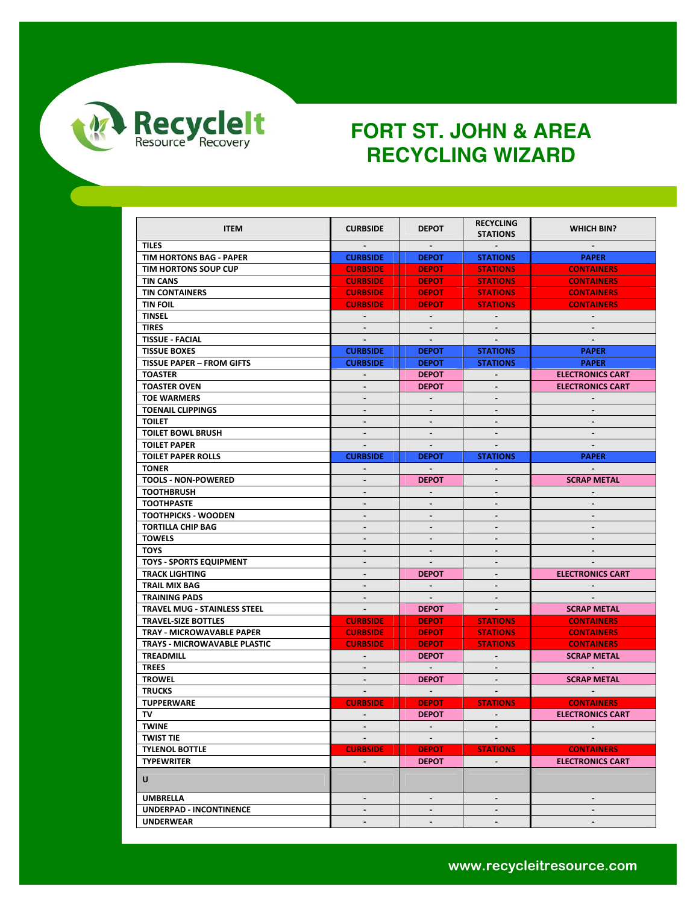

| <b>ITEM</b>                         | <b>CURBSIDE</b>          | <b>DEPOT</b>   | <b>RECYCLING</b><br><b>STATIONS</b> | <b>WHICH BIN?</b>       |
|-------------------------------------|--------------------------|----------------|-------------------------------------|-------------------------|
| <b>TILES</b>                        | $\blacksquare$           | $\sim$         | $\sim$                              | $\sim$                  |
| TIM HORTONS BAG - PAPER             | <b>CURBSIDE</b>          | <b>DEPOT</b>   | <b>STATIONS</b>                     | <b>PAPER</b>            |
| TIM HORTONS SOUP CUP                | <b>CURBSIDE</b>          | <b>DEPOT</b>   | <b>STATIONS</b>                     | <b>CONTAINERS</b>       |
| <b>TIN CANS</b>                     | <b>CURBSIDE</b>          | <b>DEPOT</b>   | <b>STATIONS</b>                     | <b>CONTAINERS</b>       |
| <b>TIN CONTAINERS</b>               | <b>CURBSIDE</b>          | <b>DEPOT</b>   | <b>STATIONS</b>                     | <b>CONTAINERS</b>       |
| <b>TIN FOIL</b>                     | <b>CURBSIDE</b>          | <b>DEPOT</b>   | <b>STATIONS</b>                     | <b>CONTAINERS</b>       |
| <b>TINSEL</b>                       | $\sim$                   | $\sim$         |                                     |                         |
| <b>TIRES</b>                        | $\blacksquare$           | $\sim$         | $\sim$                              | $\sim$                  |
| <b>TISSUE - FACIAL</b>              | $\blacksquare$           | $\blacksquare$ |                                     |                         |
| <b>TISSUE BOXES</b>                 | <b>CURBSIDE</b>          | <b>DEPOT</b>   | <b>STATIONS</b>                     | <b>PAPER</b>            |
| <b>TISSUE PAPER - FROM GIFTS</b>    | <b>CURBSIDE</b>          | <b>DEPOT</b>   | <b>STATIONS</b>                     | <b>PAPER</b>            |
| <b>TOASTER</b>                      | $\blacksquare$           | <b>DEPOT</b>   | $\blacksquare$                      | <b>ELECTRONICS CART</b> |
| <b>TOASTER OVEN</b>                 | $\blacksquare$           | <b>DEPOT</b>   |                                     | <b>ELECTRONICS CART</b> |
| <b>TOE WARMERS</b>                  | $\frac{1}{2}$            | $\blacksquare$ |                                     |                         |
| <b>TOENAIL CLIPPINGS</b>            | $\frac{1}{2}$            | $\blacksquare$ | $\blacksquare$                      | $\blacksquare$          |
| <b>TOILET</b>                       | $\overline{\phantom{a}}$ | $\blacksquare$ | $\blacksquare$                      | $\blacksquare$          |
| <b>TOILET BOWL BRUSH</b>            | $\blacksquare$           | $\sim$         | $\sim$                              | $\sim$                  |
| <b>TOILET PAPER</b>                 |                          |                |                                     |                         |
| <b>TOILET PAPER ROLLS</b>           | <b>CURBSIDE</b>          | <b>DEPOT</b>   | <b>STATIONS</b>                     | <b>PAPER</b>            |
| <b>TONER</b>                        | ÷.                       | $\sim$         |                                     | $\sim$                  |
| <b>TOOLS - NON-POWERED</b>          |                          | <b>DEPOT</b>   |                                     | <b>SCRAP METAL</b>      |
| <b>TOOTHBRUSH</b>                   | $\blacksquare$           | $\blacksquare$ | $\blacksquare$                      | $\blacksquare$          |
| <b>TOOTHPASTE</b>                   | $\overline{\phantom{a}}$ | $\blacksquare$ | $\blacksquare$                      |                         |
| <b>TOOTHPICKS - WOODEN</b>          | -                        | $\blacksquare$ | $\blacksquare$                      | $\blacksquare$          |
| <b>TORTILLA CHIP BAG</b>            | $\overline{\phantom{a}}$ |                |                                     |                         |
| <b>TOWELS</b>                       | $\blacksquare$           | $\sim$         | $\blacksquare$                      | $\blacksquare$          |
| <b>TOYS</b>                         | $\overline{\phantom{a}}$ | $\blacksquare$ |                                     |                         |
| <b>TOYS - SPORTS EQUIPMENT</b>      |                          |                |                                     |                         |
| <b>TRACK LIGHTING</b>               | $\blacksquare$           | <b>DEPOT</b>   | $\sim$                              | <b>ELECTRONICS CART</b> |
| TRAIL MIX BAG                       | $\overline{\phantom{a}}$ |                | $\overline{\phantom{a}}$            |                         |
| <b>TRAINING PADS</b>                | $\blacksquare$           | $\sim$         | $\blacksquare$                      |                         |
| <b>TRAVEL MUG - STAINLESS STEEL</b> | $\blacksquare$           | <b>DEPOT</b>   |                                     | <b>SCRAP METAL</b>      |
| <b>TRAVEL-SIZE BOTTLES</b>          | <b>CURBSIDE</b>          | <b>DEPOT</b>   | <b>STATIONS</b>                     | <b>CONTAINERS</b>       |
| <b>TRAY - MICROWAVABLE PAPER</b>    | <b>CURBSIDE</b>          | <b>DEPOT</b>   | <b>STATIONS</b>                     | <b>CONTAINERS</b>       |
| <b>TRAYS - MICROWAVABLE PLASTIC</b> | <b>CURBSIDE</b>          | <b>DEPOT</b>   | <b>STATIONS</b>                     | <b>CONTAINERS</b>       |
| <b>TREADMILL</b>                    | $\blacksquare$           | <b>DEPOT</b>   | $\blacksquare$                      | <b>SCRAP METAL</b>      |
| <b>TREES</b>                        | $\blacksquare$           | $\sim$         |                                     |                         |
| <b>TROWEL</b>                       | $\sim$                   | <b>DEPOT</b>   | $\blacksquare$                      | <b>SCRAP METAL</b>      |
| <b>TRUCKS</b>                       | $\sim$                   | $\sim 10^{-1}$ | $\sim$                              | $\sim 100$              |
| <b>TUPPERWARE</b>                   | <b>CURBSIDE</b>          | <b>DEPOT</b>   | <b>STATIONS</b>                     | <b>CONTAINERS</b>       |
| TV                                  | $\overline{\phantom{a}}$ | <b>DEPOT</b>   | $\blacksquare$                      | <b>ELECTRONICS CART</b> |
| <b>TWINE</b>                        |                          |                |                                     |                         |
| <b>TWIST TIE</b>                    | $\sim$ $-$               | $\sim$         | $\sim$                              | $\sim$                  |
| <b>TYLENOL BOTTLE</b>               | <b>CURBSIDE</b>          | <b>DEPOT</b>   | <b>STATIONS</b>                     | <b>CONTAINERS</b>       |
| <b>TYPEWRITER</b>                   | Tana ay                  | <b>DEPOT</b>   | <u>та с</u>                         | <b>ELECTRONICS CART</b> |
| U                                   |                          |                |                                     |                         |
| <b>UMBRELLA</b>                     | $\blacksquare$           | $\blacksquare$ | $\blacksquare$                      |                         |
| UNDERPAD - INCONTINENCE             | $\blacksquare$           | $\blacksquare$ |                                     |                         |
| <b>UNDERWEAR</b>                    | $\blacksquare$           | $\blacksquare$ |                                     | $\blacksquare$          |
|                                     |                          |                |                                     |                         |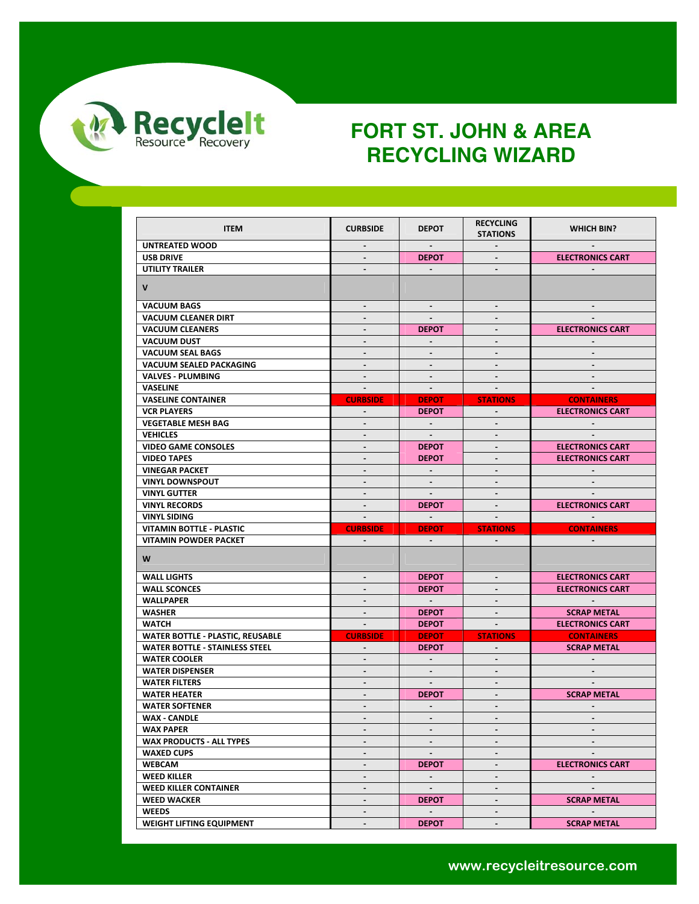

| <b>ITEM</b>                                              | <b>CURBSIDE</b>                       | <b>DEPOT</b>                    | <b>RECYCLING</b><br><b>STATIONS</b> | <b>WHICH BIN?</b>                    |
|----------------------------------------------------------|---------------------------------------|---------------------------------|-------------------------------------|--------------------------------------|
| UNTREATED WOOD                                           | $\sim$                                | $\sim$                          | $\sim$                              | $\sim$                               |
| <b>USB DRIVE</b>                                         |                                       | <b>DEPOT</b>                    |                                     | <b>ELECTRONICS CART</b>              |
| <b>UTILITY TRAILER</b>                                   |                                       | $\sim$                          |                                     |                                      |
| $\mathsf{V}$                                             |                                       |                                 |                                     |                                      |
| <b>VACUUM BAGS</b>                                       | $\sim$                                | $\sim$                          | $\blacksquare$                      | $\sim$                               |
| <b>VACUUM CLEANER DIRT</b>                               |                                       | $\blacksquare$                  |                                     |                                      |
| <b>VACUUM CLEANERS</b>                                   |                                       | <b>DEPOT</b>                    |                                     | <b>ELECTRONICS CART</b>              |
| <b>VACUUM DUST</b>                                       | $\blacksquare$                        | $\sim$                          | $\blacksquare$                      |                                      |
| <b>VACUUM SEAL BAGS</b>                                  | $\sim$                                | $\sim$                          | $\blacksquare$                      |                                      |
| VACUUM SEALED PACKAGING                                  | $\sim$                                | $\sim$                          | $\sim$                              | $\sim$                               |
| <b>VALVES - PLUMBING</b>                                 | $\mathbf{r}$                          | $\blacksquare$                  | $\blacksquare$                      |                                      |
| <b>VASELINE</b>                                          | $\sim$                                | $\sim$                          | $\sim$                              | $\sim$                               |
| <b>VASELINE CONTAINER</b>                                | <b>CURBSIDE</b>                       | <b>DEPOT</b>                    | <b>STATIONS</b>                     | <b>CONTAINERS</b>                    |
| <b>VCR PLAYERS</b>                                       |                                       | <b>DEPOT</b>                    |                                     | <b>ELECTRONICS CART</b>              |
| <b>VEGETABLE MESH BAG</b>                                | $\sim$                                | $\sim$ $-$                      | $\sim$                              | $\sim$                               |
| <b>VEHICLES</b>                                          | $\sim$                                | $\sim$                          | $\blacksquare$                      |                                      |
| <b>VIDEO GAME CONSOLES</b>                               | $\sim$                                | <b>DEPOT</b>                    | $\sim$                              | <b>ELECTRONICS CART</b>              |
| <b>VIDEO TAPES</b>                                       | $\blacksquare$                        | <b>DEPOT</b>                    | $\blacksquare$                      | <b>ELECTRONICS CART</b>              |
| <b>VINEGAR PACKET</b>                                    | $\sim$                                | $\sim$                          | $\blacksquare$                      |                                      |
| <b>VINYL DOWNSPOUT</b>                                   | $\blacksquare$                        | $\blacksquare$                  | $\blacksquare$                      |                                      |
| <b>VINYL GUTTER</b>                                      |                                       |                                 |                                     |                                      |
| <b>VINYL RECORDS</b>                                     | $\sim$                                | <b>DEPOT</b>                    | $\sim$                              | <b>ELECTRONICS CART</b>              |
|                                                          |                                       |                                 |                                     |                                      |
|                                                          | $\sim$                                | $\sim$ $\sim$                   | $\sim$                              |                                      |
| <b>VINYL SIDING</b>                                      |                                       |                                 |                                     |                                      |
| VITAMIN BOTTLE - PLASTIC<br><b>VITAMIN POWDER PACKET</b> | <b>CURBSIDE</b><br>$\Delta \sim 10^4$ | <b>DEPOT</b><br>$\sim 10^{-11}$ | <b>STATIONS</b><br>$\sim 100$       | <b>CONTAINERS</b><br>$\sim$ 10 $\pm$ |
| W                                                        |                                       |                                 |                                     |                                      |
| <b>WALL LIGHTS</b>                                       | $\sim$                                | <b>DEPOT</b>                    | $\sim$                              | <b>ELECTRONICS CART</b>              |
| <b>WALL SCONCES</b>                                      | $\sim$                                | <b>DEPOT</b>                    | $\blacksquare$                      | <b>ELECTRONICS CART</b>              |
| WALLPAPER                                                | $\sim$                                | $\sim 100$                      | $\sim$                              | $\sim 100$                           |
| <b>WASHER</b>                                            |                                       | <b>DEPOT</b>                    |                                     | <b>SCRAP METAL</b>                   |
| WATCH                                                    | $\sim$                                | <b>DEPOT</b>                    | $\sim 10^{-1}$                      | <b>ELECTRONICS CART</b>              |
| <b>WATER BOTTLE - PLASTIC, REUSABLE</b>                  | <b>CURBSIDE</b>                       | <b>DEPOT</b>                    | <b>STATIONS</b>                     | <b>CONTAINERS</b>                    |
| <b>WATER BOTTLE - STAINLESS STEEL</b>                    | $\sim$                                | <b>DEPOT</b>                    | $\sim$                              | <b>SCRAP METAL</b>                   |
| <b>WATER COOLER</b>                                      | $\sim$                                | $\sim$                          | $\blacksquare$                      | $\sim$                               |
| <b>WATER DISPENSER</b>                                   | $\blacksquare$                        | $\blacksquare$                  | $\blacksquare$                      |                                      |
| <b>WATER FILTERS</b>                                     | $\sim$                                | $\sim$                          | $\sim$                              | $\sim$                               |
| <b>WATER HEATER</b>                                      | $\blacksquare$                        | <b>DEPOT</b>                    | $\blacksquare$                      | <b>SCRAP METAL</b>                   |
| <b>WATER SOFTENER</b>                                    |                                       |                                 |                                     |                                      |
| <b>WAX - CANDLE</b>                                      | $\blacksquare$                        | $\sim$                          | $\sim$                              | $\sim$                               |
| <b>WAX PAPER</b>                                         | $\overline{\phantom{a}}$              | $\blacksquare$                  |                                     |                                      |
| <b>WAX PRODUCTS - ALL TYPES</b>                          | $\sim$                                | $\blacksquare$                  | $\overline{\phantom{a}}$            | $\overline{\phantom{a}}$             |
| <b>WAXED CUPS</b>                                        | $\sim$                                | $\blacksquare$                  | $\blacksquare$                      |                                      |
| <b>WEBCAM</b>                                            | $\sim$                                | <b>DEPOT</b>                    | $\overline{\phantom{a}}$            | <b>ELECTRONICS CART</b>              |
| <b>WEED KILLER</b>                                       | $\blacksquare$                        | $\sim$                          | $\blacksquare$                      | $\sim$                               |
| <b>WEED KILLER CONTAINER</b>                             | $\blacksquare$                        | $\sim$                          | $\overline{\phantom{a}}$            |                                      |
| <b>WEED WACKER</b>                                       | $\sim$                                | <b>DEPOT</b>                    | $\blacksquare$                      | <b>SCRAP METAL</b>                   |
| <b>WEEDS</b>                                             | $\blacksquare$                        | $\sim$                          | $\blacksquare$                      |                                      |